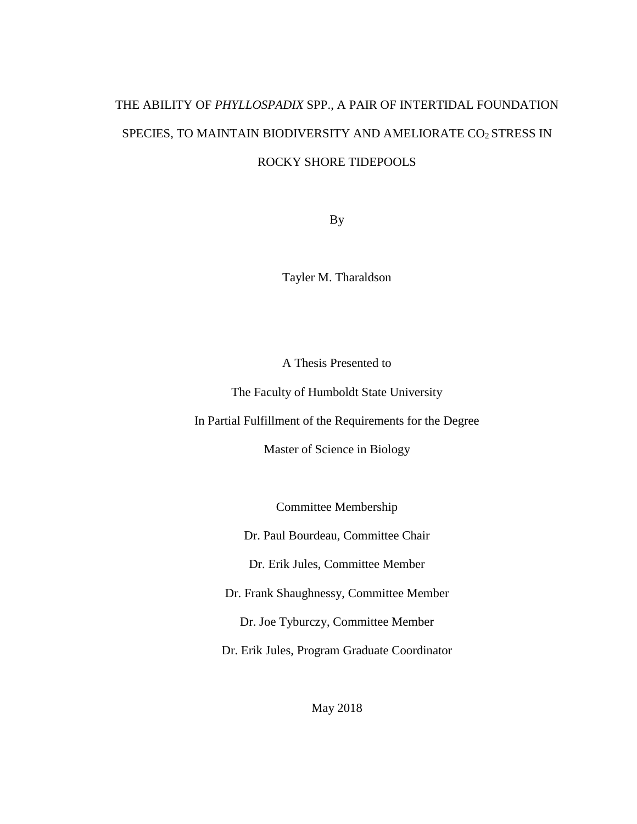# THE ABILITY OF *PHYLLOSPADIX* SPP., A PAIR OF INTERTIDAL FOUNDATION SPECIES, TO MAINTAIN BIODIVERSITY AND AMELIORATE CO2 STRESS IN ROCKY SHORE TIDEPOOLS

By

Tayler M. Tharaldson

A Thesis Presented to

The Faculty of Humboldt State University

In Partial Fulfillment of the Requirements for the Degree

Master of Science in Biology

Committee Membership

Dr. Paul Bourdeau, Committee Chair

Dr. Erik Jules, Committee Member

Dr. Frank Shaughnessy, Committee Member

Dr. Joe Tyburczy, Committee Member

Dr. Erik Jules, Program Graduate Coordinator

May 2018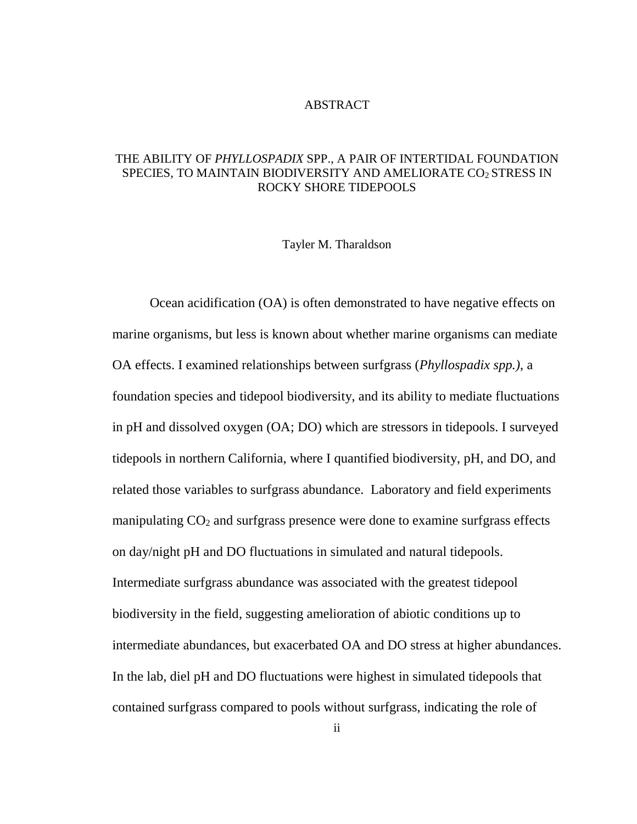#### ABSTRACT

#### <span id="page-1-0"></span>THE ABILITY OF *PHYLLOSPADIX* SPP., A PAIR OF INTERTIDAL FOUNDATION SPECIES, TO MAINTAIN BIODIVERSITY AND AMELIORATE CO2 STRESS IN ROCKY SHORE TIDEPOOLS

#### Tayler M. Tharaldson

Ocean acidification (OA) is often demonstrated to have negative effects on marine organisms, but less is known about whether marine organisms can mediate OA effects. I examined relationships between surfgrass (*Phyllospadix spp.)*, a foundation species and tidepool biodiversity, and its ability to mediate fluctuations in pH and dissolved oxygen (OA; DO) which are stressors in tidepools. I surveyed tidepools in northern California, where I quantified biodiversity, pH, and DO, and related those variables to surfgrass abundance. Laboratory and field experiments manipulating  $CO<sub>2</sub>$  and surfgrass presence were done to examine surfgrass effects on day/night pH and DO fluctuations in simulated and natural tidepools. Intermediate surfgrass abundance was associated with the greatest tidepool biodiversity in the field, suggesting amelioration of abiotic conditions up to intermediate abundances, but exacerbated OA and DO stress at higher abundances. In the lab, diel pH and DO fluctuations were highest in simulated tidepools that contained surfgrass compared to pools without surfgrass, indicating the role of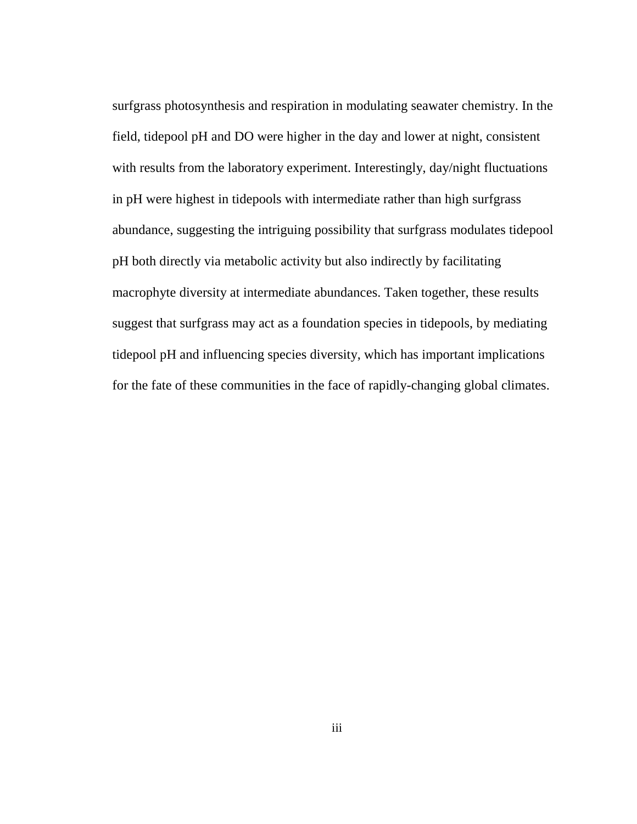surfgrass photosynthesis and respiration in modulating seawater chemistry. In the field, tidepool pH and DO were higher in the day and lower at night, consistent with results from the laboratory experiment. Interestingly, day/night fluctuations in pH were highest in tidepools with intermediate rather than high surfgrass abundance, suggesting the intriguing possibility that surfgrass modulates tidepool pH both directly via metabolic activity but also indirectly by facilitating macrophyte diversity at intermediate abundances. Taken together, these results suggest that surfgrass may act as a foundation species in tidepools, by mediating tidepool pH and influencing species diversity, which has important implications for the fate of these communities in the face of rapidly-changing global climates.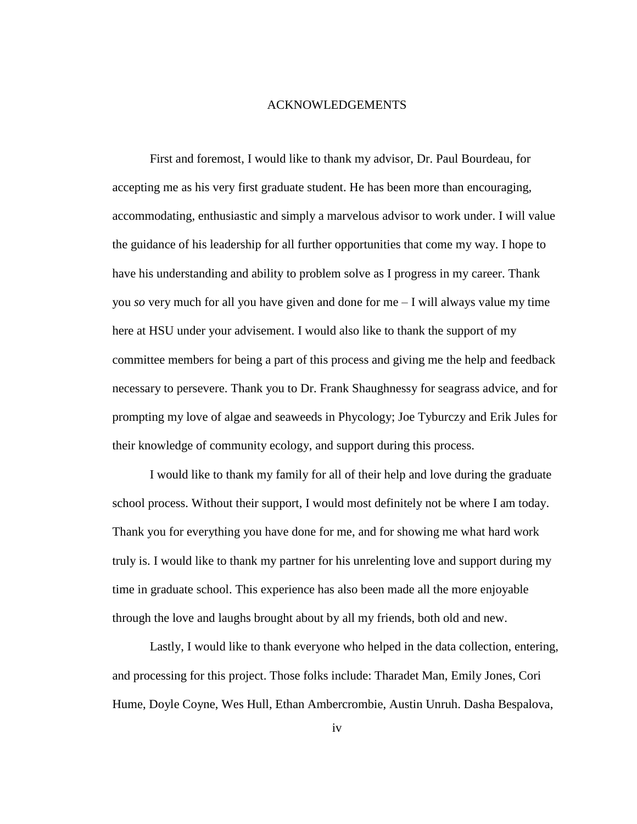#### ACKNOWLEDGEMENTS

<span id="page-3-0"></span>First and foremost, I would like to thank my advisor, Dr. Paul Bourdeau, for accepting me as his very first graduate student. He has been more than encouraging, accommodating, enthusiastic and simply a marvelous advisor to work under. I will value the guidance of his leadership for all further opportunities that come my way. I hope to have his understanding and ability to problem solve as I progress in my career. Thank you *so* very much for all you have given and done for me – I will always value my time here at HSU under your advisement. I would also like to thank the support of my committee members for being a part of this process and giving me the help and feedback necessary to persevere. Thank you to Dr. Frank Shaughnessy for seagrass advice, and for prompting my love of algae and seaweeds in Phycology; Joe Tyburczy and Erik Jules for their knowledge of community ecology, and support during this process.

I would like to thank my family for all of their help and love during the graduate school process. Without their support, I would most definitely not be where I am today. Thank you for everything you have done for me, and for showing me what hard work truly is. I would like to thank my partner for his unrelenting love and support during my time in graduate school. This experience has also been made all the more enjoyable through the love and laughs brought about by all my friends, both old and new.

Lastly, I would like to thank everyone who helped in the data collection, entering, and processing for this project. Those folks include: Tharadet Man, Emily Jones, Cori Hume, Doyle Coyne, Wes Hull, Ethan Ambercrombie, Austin Unruh. Dasha Bespalova,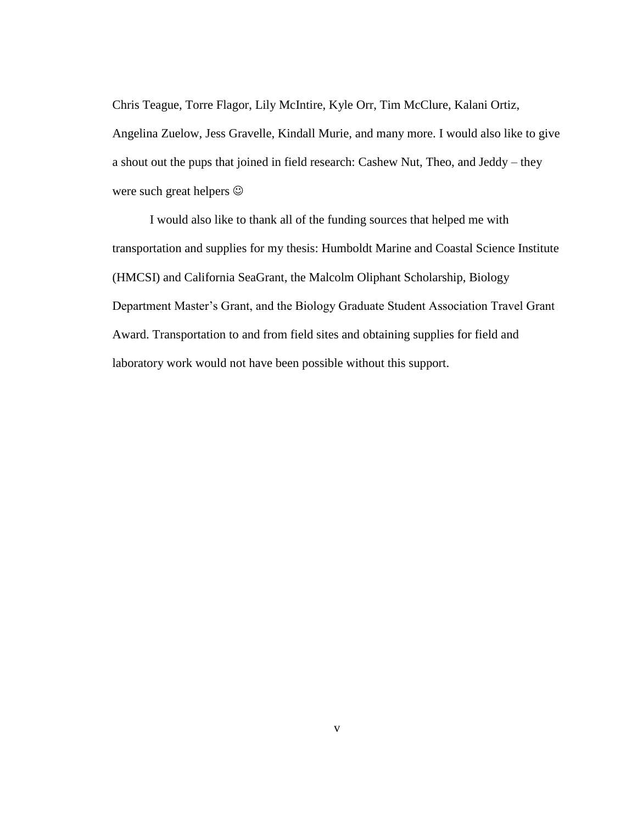Chris Teague, Torre Flagor, Lily McIntire, Kyle Orr, Tim McClure, Kalani Ortiz, Angelina Zuelow, Jess Gravelle, Kindall Murie, and many more. I would also like to give a shout out the pups that joined in field research: Cashew Nut, Theo, and Jeddy – they were such great helpers  $\odot$ 

I would also like to thank all of the funding sources that helped me with transportation and supplies for my thesis: Humboldt Marine and Coastal Science Institute (HMCSI) and California SeaGrant, the Malcolm Oliphant Scholarship, Biology Department Master's Grant, and the Biology Graduate Student Association Travel Grant Award. Transportation to and from field sites and obtaining supplies for field and laboratory work would not have been possible without this support.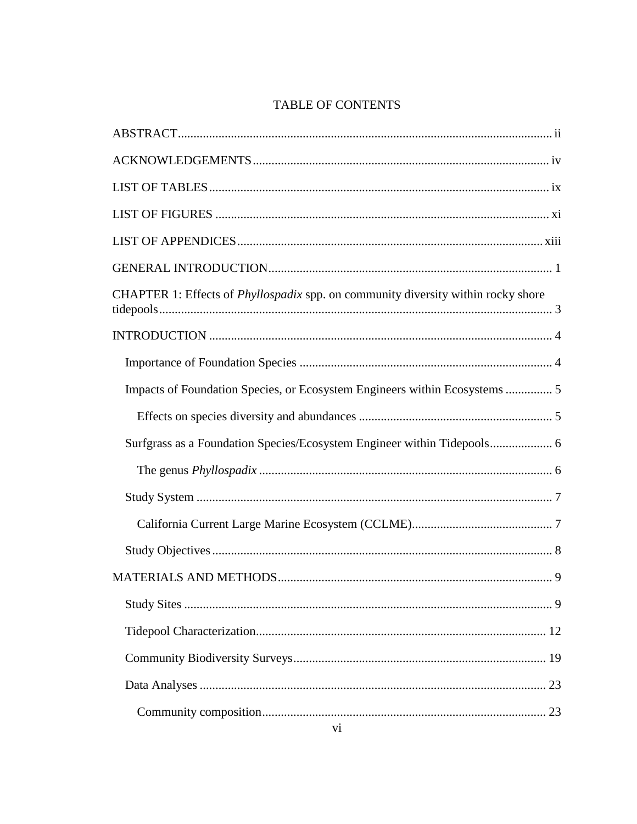## TABLE OF CONTENTS

| CHAPTER 1: Effects of <i>Phyllospadix</i> spp. on community diversity within rocky shore |
|------------------------------------------------------------------------------------------|
|                                                                                          |
|                                                                                          |
| Impacts of Foundation Species, or Ecosystem Engineers within Ecosystems  5               |
|                                                                                          |
| Surfgrass as a Foundation Species/Ecosystem Engineer within Tidepools 6                  |
|                                                                                          |
|                                                                                          |
|                                                                                          |
|                                                                                          |
|                                                                                          |
|                                                                                          |
|                                                                                          |
|                                                                                          |
|                                                                                          |
|                                                                                          |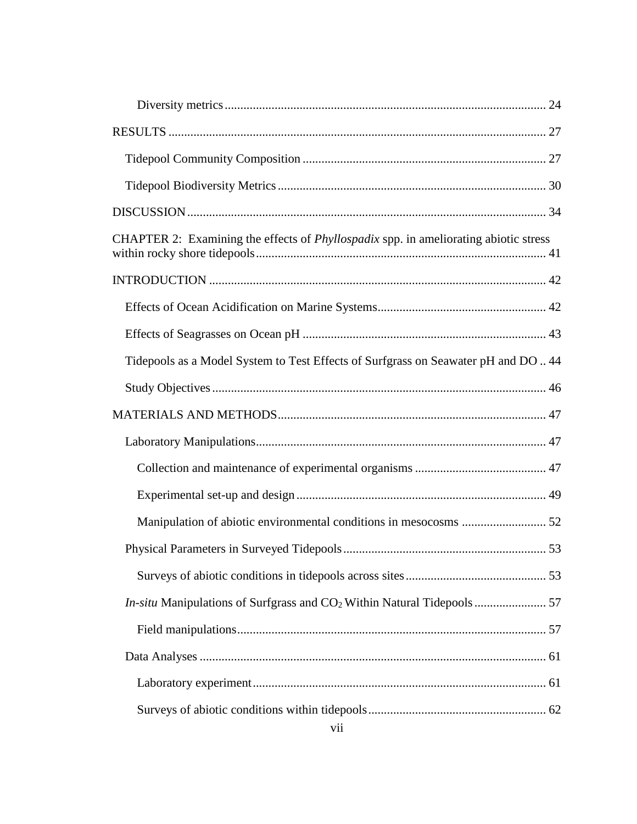| CHAPTER 2: Examining the effects of <i>Phyllospadix</i> spp. in ameliorating abiotic stress |  |
|---------------------------------------------------------------------------------------------|--|
|                                                                                             |  |
|                                                                                             |  |
|                                                                                             |  |
| Tidepools as a Model System to Test Effects of Surfgrass on Seawater pH and DO 44           |  |
|                                                                                             |  |
|                                                                                             |  |
|                                                                                             |  |
|                                                                                             |  |
|                                                                                             |  |
|                                                                                             |  |
|                                                                                             |  |
|                                                                                             |  |
|                                                                                             |  |
|                                                                                             |  |
|                                                                                             |  |
|                                                                                             |  |
|                                                                                             |  |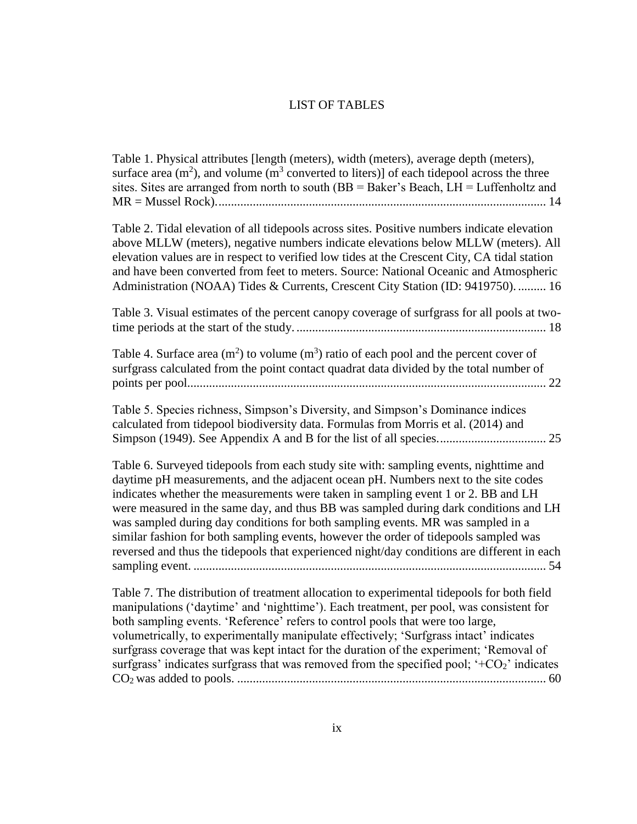#### LIST OF TABLES

<span id="page-8-0"></span>[Table 1. Physical attributes \[length \(meters\), width \(meters\), average depth \(meters\),](#page-26-0)  surface area  $(m^2)$ , and volume  $(m^3$  converted to liters)] of each tidepool across the three sites. Sites are arranged from north to south  $(BB = Baker's Beach, LH = Luftenholtz and$ [MR = Mussel Rock\)..........................................................................................................](#page-26-0) 14

[Table 2. Tidal elevation of all tidepools across sites. Positive numbers indicate elevation](#page-28-0)  [above MLLW \(meters\), negative numbers indicate elevations below MLLW \(meters\). All](#page-28-0)  [elevation values are in respect to verified low tides at the Crescent City, CA tidal station](#page-28-0)  [and have been converted from feet to meters. Source: National Oceanic and Atmospheric](#page-28-0)  [Administration \(NOAA\) Tides & Currents, Crescent City Station \(ID: 9419750\).](#page-28-0) ......... 16

[Table 3. Visual estimates of the percent canopy coverage of surfgrass for all pools at two](#page-30-0)time periods at the start of the study. [................................................................................](#page-30-0) 18

Table 4. Surface area  $(m^2)$  to volume  $(m^3)$  ratio of each pool and the percent cover of [surfgrass calculated from the point contact quadrat data divided by the total number of](#page-34-0)  [points per pool...................................................................................................................](#page-34-0) 22

[Table 5. Species richness, Simpson's Diversity, and Simpson's Dominance indices](#page-37-0)  [calculated from tidepool biodiversity data. Formulas from Morris et al. \(2014\) and](#page-37-0)  [Simpson \(1949\). See Appendix A and B for the list of all species...................................](#page-37-0) 25

[Table 6. Surveyed tidepools from each study site with: sampling events, nighttime and](#page-66-0)  [daytime pH measurements, and the adjacent ocean pH. Numbers next to the site codes](#page-66-0)  indicates whether the measurements were [taken in sampling event 1 or 2. BB and LH](#page-66-0)  [were measured in the same day, and thus BB was sampled during dark conditions and LH](#page-66-0)  [was sampled during day conditions for both sampling events. MR was sampled in a](#page-66-0)  [similar fashion for both sampling events, however the order of tidepools sampled was](#page-66-0)  [reversed and thus the tidepools that experienced night/day conditions are different in each](#page-66-0)  sampling event. [.................................................................................................................](#page-66-0) 54

[Table 7. The distribution of treatment allocation to experimental tidepools for both field](#page-72-0)  [manipulations \('daytime' and 'nighttime'\). Each treatment, per pool, was consistent for](#page-72-0)  [both sampling events. 'Reference' refers to control pools that were too large,](#page-72-0)  [volumetrically, to experimentally manipulate effectively; 'Surfgrass intact' indicates](#page-72-0)  [surfgrass coverage that was kept intact for the duration of the experiment; 'Removal of](#page-72-0)  surfgrass' indicates surfgrass that was removed from the specified pool;  $+CO_2$  indicates CO2 was added to pools. [...................................................................................................](#page-72-0) 60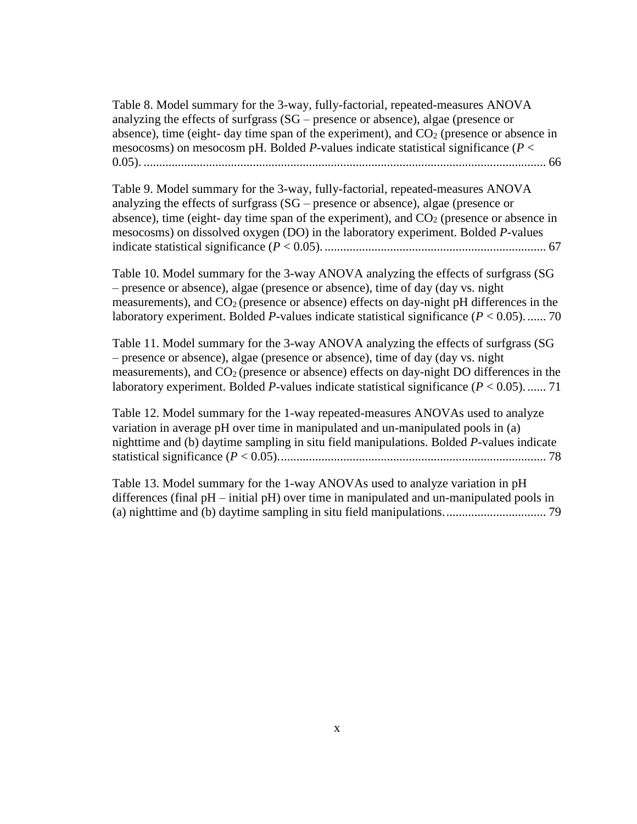[Table 8. Model summary for the 3-way, fully-factorial, repeated-measures ANOVA](#page-78-0)  analyzing the effects of surfgrass (SG – [presence or absence\), algae \(presence or](#page-78-0)  absence), time (eight- day time span of the experiment), and  $CO<sub>2</sub>$  (presence or absence in mesocosms) on mesocosm pH. Bolded *P*[-values indicate statistical significance \(](#page-78-0)*P* < 0.05). [.................................................................................................................................](#page-78-0) 66

[Table 9. Model summary for the 3-way, fully-factorial, repeated-measures ANOVA](#page-79-0)  analyzing the effects of surfgrass (SG – [presence or absence\), algae \(presence or](#page-79-0)  absence), time (eight- day time span of the experiment), and  $CO<sub>2</sub>$  (presence or absence in [mesocosms\) on dissolved oxygen \(DO\) in the laboratory experiment. Bolded](#page-79-0) *P*-values indicate statistical significance (*P* < 0.05). [.......................................................................](#page-79-0) 67

[Table 10. Model summary for the 3-way ANOVA analyzing the effects of surfgrass \(SG](#page-82-0)  – [presence or absence\), algae \(presence or absence\), time of day \(day vs. night](#page-82-0)  measurements), and  $CO<sub>2</sub>$  (presence or absence) effects on day-night pH differences in the laboratory experiment. Bolded *P*[-values indicate statistical significance \(](#page-82-0)*P* < 0.05). ...... 70

[Table 11. Model summary for the 3-way ANOVA analyzing the effects of surfgrass \(SG](#page-83-1)  – [presence or absence\), algae \(presence or absence\), time of day \(day vs. night](#page-83-1)  measurements), and  $CO<sub>2</sub>$  (presence or absence) effects on day-night DO differences in the laboratory experiment. Bolded *P*[-values indicate statistical significance \(](#page-83-1) $P < 0.05$ ). ...... 71

[Table 12. Model summary for the 1-way repeated-measures ANOVAs used to analyze](#page-90-0)  [variation in average pH over time in manipulated and un-manipulated pools in \(a\)](#page-90-0)  [nighttime and \(b\) daytime sampling in situ field manipulations. Bolded](#page-90-0) *P*-values indicate statistical significance (*P* [< 0.05\)......................................................................................](#page-90-0) 78

[Table 13. Model summary for the 1-way ANOVAs used to analyze variation in pH](#page-91-0)  differences (final pH – [initial pH\) over time in manipulated and un-manipulated pools in](#page-91-0)  [\(a\) nighttime and \(b\) daytime sampling in situ field manipulations.................................](#page-91-0) 79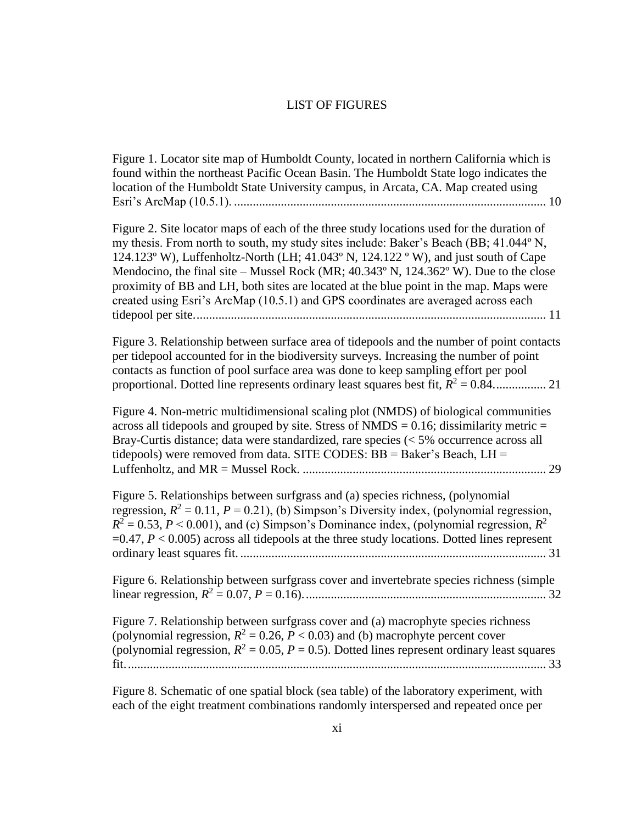#### LIST OF FIGURES

<span id="page-10-0"></span>[Figure 1. Locator site map of Humboldt County, located in northern California which is](#page-22-0)  [found within the northeast Pacific Ocean Basin. The Humboldt State logo indicates the](#page-22-0)  [location of the Humboldt State University campus, in Arcata, CA. Map created using](#page-22-0)  Esri's ArcMap (10.5.1). [....................................................................................................](#page-22-0) 10

[Figure 2. Site locator maps of each of the three study locations used for the duration of](#page-23-0)  [my thesis. From north to south, my study sites include: Baker's Beach \(BB; 41.044º N,](#page-23-0)  [124.123º W\), Luffenholtz-North \(LH; 41.043º N, 124.122 º W\), and just south of Cape](#page-23-0)  Mendocino, the final site – Mussel Rock (MR; 40.343° N, 124.362° W). Due to the close [proximity of BB and LH, both sites are located at the blue point in the map. Maps were](#page-23-0)  [created using Esri's ArcMap \(10.5.1\) and GPS coordinates are averaged across each](#page-23-0)  [tidepool per site.................................................................................................................](#page-23-0) 11

[Figure 3. Relationship between surface area of tidepools and the number of point contacts](#page-33-0)  [per tidepool accounted for in the biodiversity surveys. Increasing the number of point](#page-33-0)  [contacts as function of pool surface area was done to keep sampling effort per pool](#page-33-0)  [proportional. Dotted line represents ordinary least squares best fit,](#page-33-0) *R* <sup>2</sup> = 0.84................. 21

[Figure 4. Non-metric multidimensional scaling plot \(NMDS\) of biological communities](#page-41-0)  across all tidepools and grouped by site. Stress of  $NMDS = 0.16$ ; dissimilarity metric  $=$ [Bray-Curtis distance; data were standardized, rare species \(< 5% occurrence across all](#page-41-0)  tidepools) were removed from data. SITE CODES:  $BB = Baker's Beach$ ,  $LH =$ Luffenholtz, and MR = Mussel Rock. [..............................................................................](#page-41-0) 29

[Figure 5. Relationships between surfgrass and \(a\) species richness, \(polynomial](#page-43-0)  regression,  $R^2 = 0.11$ ,  $P = 0.21$ ), (b) Simpson's Diversity index, (polynomial regression,  $R^2 = 0.53, P \le 0.001$ ), and (c) Simpson's Dominance index, (polynomial regression,  $R^2$  $=0.47, P < 0.005$ ) across all tidepools at the three study locations. Dotted lines represent ordinary least squares fit. [..................................................................................................](#page-43-0) 31

[Figure 6. Relationship between surfgrass cover and invertebrate species richness \(simple](#page-44-0)  linear regression, *R* <sup>2</sup> = 0.07, *P* [= 0.16\)..............................................................................](#page-44-0) 32

[Figure 7. Relationship between surfgrass cover and \(a\) macrophyte species richness](#page-45-0)  (polynomial regression,  $R^2 = 0.26$ ,  $P < 0.03$ ) and (b) macrophyte percent cover (polynomial regression,  $R^2 = 0.05$ ,  $P = 0.5$ ). Dotted lines represent ordinary least squares [fit.......................................................................................................................................](#page-45-0) 33

[Figure 8. Schematic of one spatial block \(sea table\) of the laboratory experiment, with](#page-63-0)  [each of the eight treatment combinations randomly interspersed and repeated once per](#page-63-0)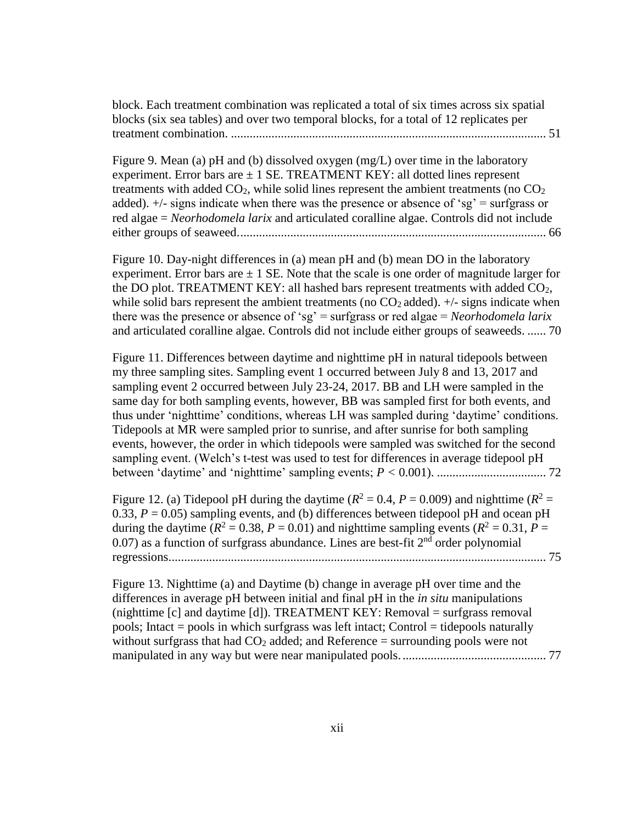[block. Each treatment combination was replicated a total of six times across six spatial](#page-63-0)  [blocks \(six sea tables\) and over two temporal blocks, for a total of 12 replicates per](#page-63-0)  treatment combination. [.....................................................................................................](#page-63-0) 51

[Figure 9. Mean \(a\) pH and \(b\) dissolved oxygen \(mg/L\) over time in the laboratory](#page-78-1)  experiment. Error bars are  $\pm$  1 SE. TREATMENT KEY: all dotted lines represent treatments with added  $CO<sub>2</sub>$ , while solid lines represent the ambient treatments (no  $CO<sub>2</sub>$ ) added).  $\pm$ /- signs indicate when there was the presence or absence of 'sg' = surfgrass or red algae = *Neorhodomela larix* [and articulated coralline algae. Controls did not include](#page-78-1)  [either groups of seaweed...................................................................................................](#page-78-1) 66

[Figure 10. Day-night differences in \(a\) mean pH and \(b\) mean DO in](#page-82-1) the laboratory experiment. Error bars are  $\pm 1$  SE. Note that the scale is one order of magnitude larger for the DO plot. TREATMENT KEY: all hashed bars represent treatments with added  $CO<sub>2</sub>$ , while solid bars represent the ambient treatments (no  $CO<sub>2</sub>$  added).  $+/$ - signs indicate when [there was the presence or absence of 'sg' = surfgrass or red algae =](#page-82-1) *Neorhodomela larix* [and articulated coralline algae. Controls did not include either groups of seaweeds.](#page-82-1) ...... 70

[Figure 11. Differences between daytime and nighttime pH in natural tidepools between](#page-84-0)  [my three sampling sites. Sampling event 1 occurred between July 8 and 13, 2017 and](#page-84-0)  [sampling event 2 occurred between July 23-24, 2017. BB and LH were sampled in the](#page-84-0)  [same day for both sampling events, however, BB was sampled first for both events, and](#page-84-0)  [thus under 'nighttime' conditions, whereas LH was sampled during 'daytime' conditions.](#page-84-0)  [Tidepools at MR were sampled prior to sunrise, and after sunrise for both sampling](#page-84-0)  [events, however, the order in which tidepools were sampled was switched for the second](#page-84-0)  [sampling event. \(Welch's t-test was used to test for differences in average tidepool pH](#page-84-0)  between 'daytime' [and 'nighttime' sampling events;](#page-84-0) *P <* 0.001). ................................... 72

[Figure 12. \(a\) Tidepool pH during the daytime \(](#page-87-1) $R^2 = 0.4$ ,  $P = 0.009$ ) and nighttime ( $R^2 = 0.4$ ) 0.33,  $P = 0.05$ ) sampling events, and (b) differences between tidepool pH and ocean pH during the daytime  $(R^2 = 0.38, P = 0.01)$  and nighttime sampling events  $(R^2 = 0.31, P = 0.01)$  $0.07$ ) as a function of surfgrass abundance. Lines are best-fit  $2<sup>nd</sup>$  order polynomial [regressions.........................................................................................................................](#page-87-1) 75

[Figure 13. Nighttime \(a\) and Daytime \(b\) change in average pH over time and the](#page-89-0)  [differences in average pH between initial and final pH in the](#page-89-0) *in situ* manipulations [\(nighttime \[c\] and daytime \[d\]\). TREATMENT KEY: Removal = surfgrass removal](#page-89-0)  [pools; Intact = pools in which surfgrass was left intact; Control = tidepools naturally](#page-89-0)  without surfgrass that had  $CO<sub>2</sub>$  added; and Reference = surrounding pools were not [manipulated in any way but were near manipulated pools...............................................](#page-89-0) 77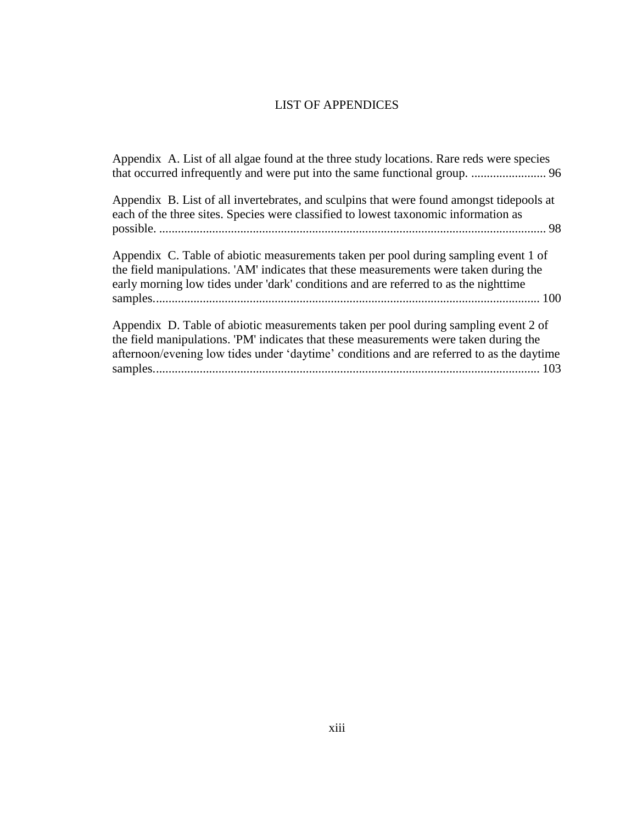## LIST OF APPENDICES

<span id="page-12-0"></span>

| Appendix A. List of all algae found at the three study locations. Rare reds were species                                                                                                                                                                                 |
|--------------------------------------------------------------------------------------------------------------------------------------------------------------------------------------------------------------------------------------------------------------------------|
| Appendix B. List of all invertebrates, and sculpins that were found amongst tidepools at<br>each of the three sites. Species were classified to lowest taxonomic information as                                                                                          |
| Appendix C. Table of abiotic measurements taken per pool during sampling event 1 of<br>the field manipulations. 'AM' indicates that these measurements were taken during the<br>early morning low tides under 'dark' conditions and are referred to as the nighttime     |
| Appendix D. Table of abiotic measurements taken per pool during sampling event 2 of<br>the field manipulations. PM' indicates that these measurements were taken during the<br>afternoon/evening low tides under 'daytime' conditions and are referred to as the daytime |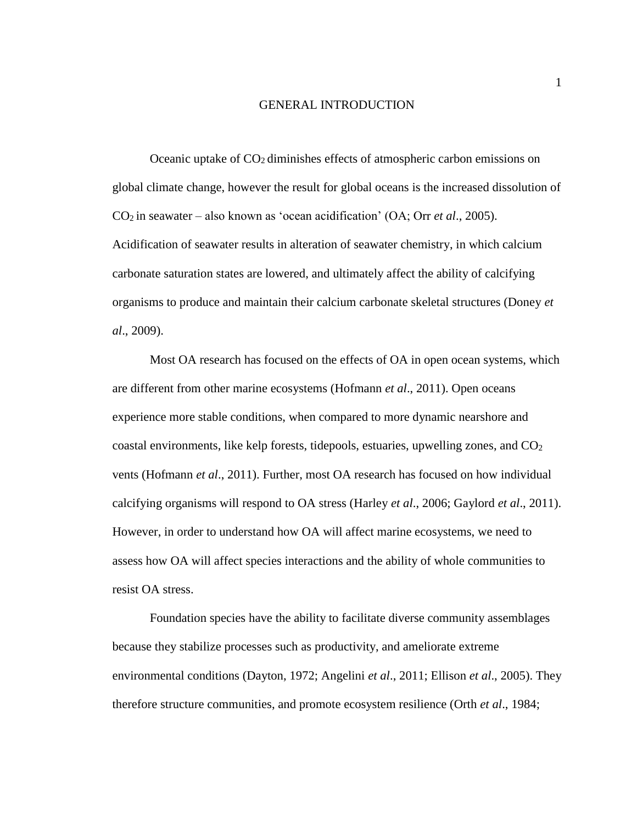#### GENERAL INTRODUCTION

<span id="page-13-0"></span>Oceanic uptake of  $CO<sub>2</sub>$  diminishes effects of atmospheric carbon emissions on global climate change, however the result for global oceans is the increased dissolution of CO2 in seawater – also known as 'ocean acidification' (OA; Orr *et al*., 2005). Acidification of seawater results in alteration of seawater chemistry, in which calcium carbonate saturation states are lowered, and ultimately affect the ability of calcifying organisms to produce and maintain their calcium carbonate skeletal structures (Doney *et al*., 2009).

Most OA research has focused on the effects of OA in open ocean systems, which are different from other marine ecosystems (Hofmann *et al*., 2011). Open oceans experience more stable conditions, when compared to more dynamic nearshore and coastal environments, like kelp forests, tidepools, estuaries, upwelling zones, and  $CO<sub>2</sub>$ vents (Hofmann *et al*., 2011). Further, most OA research has focused on how individual calcifying organisms will respond to OA stress (Harley *et al*., 2006; Gaylord *et al*., 2011). However, in order to understand how OA will affect marine ecosystems, we need to assess how OA will affect species interactions and the ability of whole communities to resist OA stress.

Foundation species have the ability to facilitate diverse community assemblages because they stabilize processes such as productivity, and ameliorate extreme environmental conditions (Dayton, 1972; Angelini *et al*., 2011; Ellison *et al*., 2005). They therefore structure communities, and promote ecosystem resilience (Orth *et al*., 1984;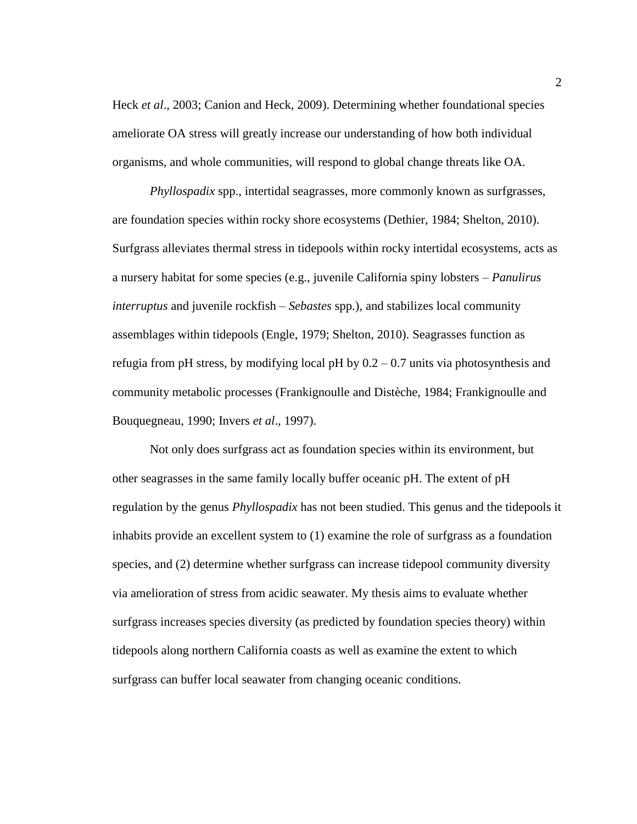Heck *et al*., 2003; Canion and Heck, 2009). Determining whether foundational species ameliorate OA stress will greatly increase our understanding of how both individual organisms, and whole communities, will respond to global change threats like OA.

*Phyllospadix* spp., intertidal seagrasses, more commonly known as surfgrasses, are foundation species within rocky shore ecosystems (Dethier, 1984; Shelton, 2010). Surfgrass alleviates thermal stress in tidepools within rocky intertidal ecosystems, acts as a nursery habitat for some species (e.g., juvenile California spiny lobsters – *Panulirus interruptus* and juvenile rockfish – *Sebastes* spp.), and stabilizes local community assemblages within tidepools (Engle, 1979; Shelton, 2010). Seagrasses function as refugia from pH stress, by modifying local pH by  $0.2 - 0.7$  units via photosynthesis and community metabolic processes (Frankignoulle and Distèche, 1984; Frankignoulle and Bouquegneau, 1990; Invers *et al*., 1997).

Not only does surfgrass act as foundation species within its environment, but other seagrasses in the same family locally buffer oceanic pH. The extent of pH regulation by the genus *Phyllospadix* has not been studied. This genus and the tidepools it inhabits provide an excellent system to (1) examine the role of surfgrass as a foundation species, and (2) determine whether surfgrass can increase tidepool community diversity via amelioration of stress from acidic seawater. My thesis aims to evaluate whether surfgrass increases species diversity (as predicted by foundation species theory) within tidepools along northern California coasts as well as examine the extent to which surfgrass can buffer local seawater from changing oceanic conditions.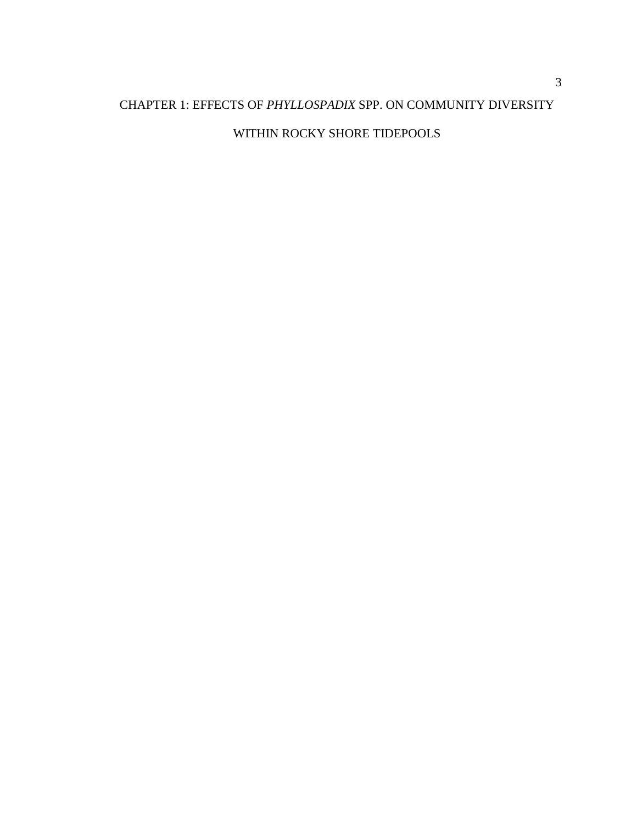## <span id="page-15-0"></span>CHAPTER 1: EFFECTS OF *PHYLLOSPADIX* SPP. ON COMMUNITY DIVERSITY

## WITHIN ROCKY SHORE TIDEPOOLS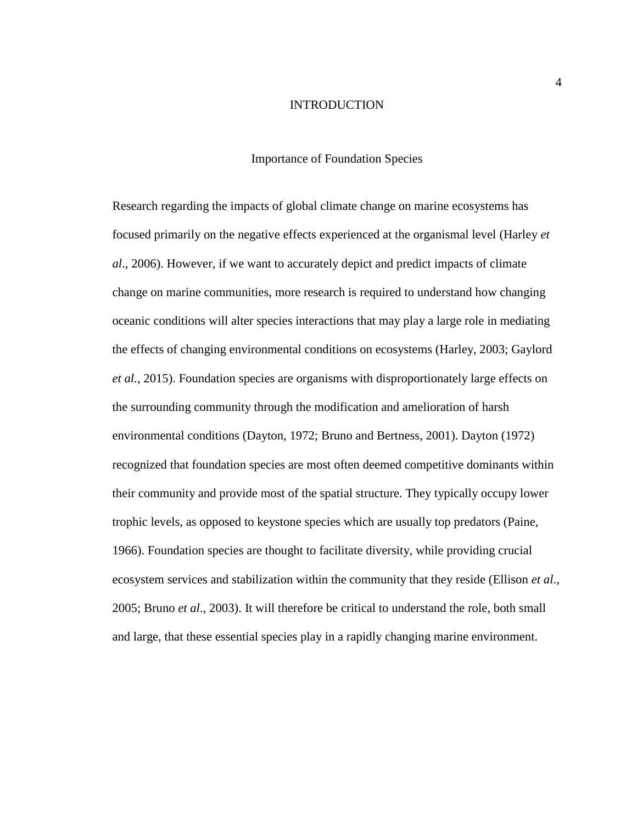#### INTRODUCTION

#### Importance of Foundation Species

<span id="page-16-2"></span><span id="page-16-1"></span><span id="page-16-0"></span>Research regarding the impacts of global climate change on marine ecosystems has focused primarily on the negative effects experienced at the organismal level (Harley *et al*., 2006). However, if we want to accurately depict and predict impacts of climate change on marine communities, more research is required to understand how changing oceanic conditions will alter species interactions that may play a large role in mediating the effects of changing environmental conditions on ecosystems (Harley, 2003; Gaylord *et al.*, 2015). Foundation species are organisms with disproportionately large effects on the surrounding community through the modification and amelioration of harsh environmental conditions (Dayton, 1972; Bruno and Bertness, 2001). Dayton (1972) recognized that foundation species are most often deemed competitive dominants within their community and provide most of the spatial structure. They typically occupy lower trophic levels, as opposed to keystone species which are usually top predators (Paine, 1966). Foundation species are thought to facilitate diversity, while providing crucial ecosystem services and stabilization within the community that they reside (Ellison *et al*., 2005; Bruno *et al*., 2003). It will therefore be critical to understand the role, both small and large, that these essential species play in a rapidly changing marine environment.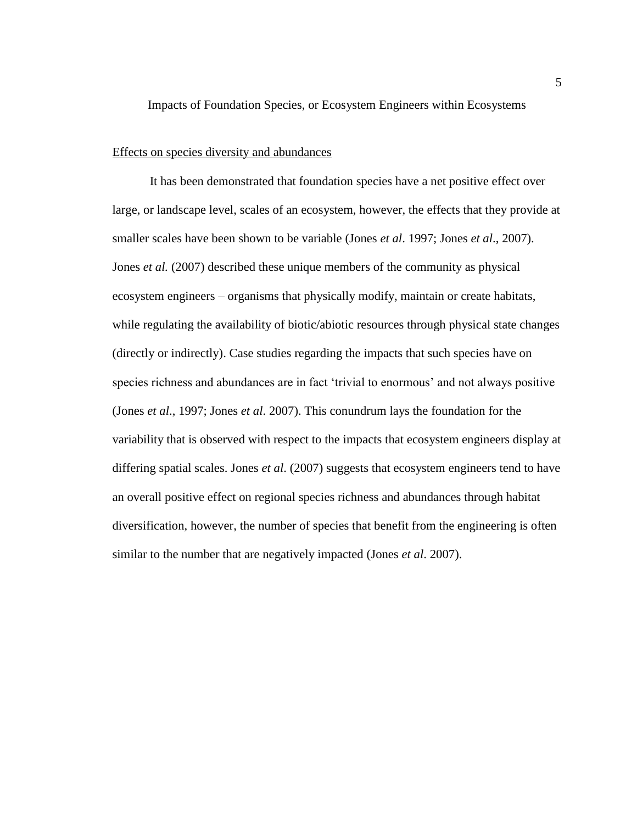Impacts of Foundation Species, or Ecosystem Engineers within Ecosystems

#### <span id="page-17-0"></span>Effects on species diversity and abundances

It has been demonstrated that foundation species have a net positive effect over large, or landscape level, scales of an ecosystem, however, the effects that they provide at smaller scales have been shown to be variable (Jones *et al*. 1997; Jones *et al*., 2007). Jones *et al.* (2007) described these unique members of the community as physical ecosystem engineers – organisms that physically modify, maintain or create habitats, while regulating the availability of biotic/abiotic resources through physical state changes (directly or indirectly). Case studies regarding the impacts that such species have on species richness and abundances are in fact 'trivial to enormous' and not always positive (Jones *et al*., 1997; Jones *et al*. 2007). This conundrum lays the foundation for the variability that is observed with respect to the impacts that ecosystem engineers display at differing spatial scales. Jones *et al*. (2007) suggests that ecosystem engineers tend to have an overall positive effect on regional species richness and abundances through habitat diversification, however, the number of species that benefit from the engineering is often similar to the number that are negatively impacted (Jones *et al*. 2007).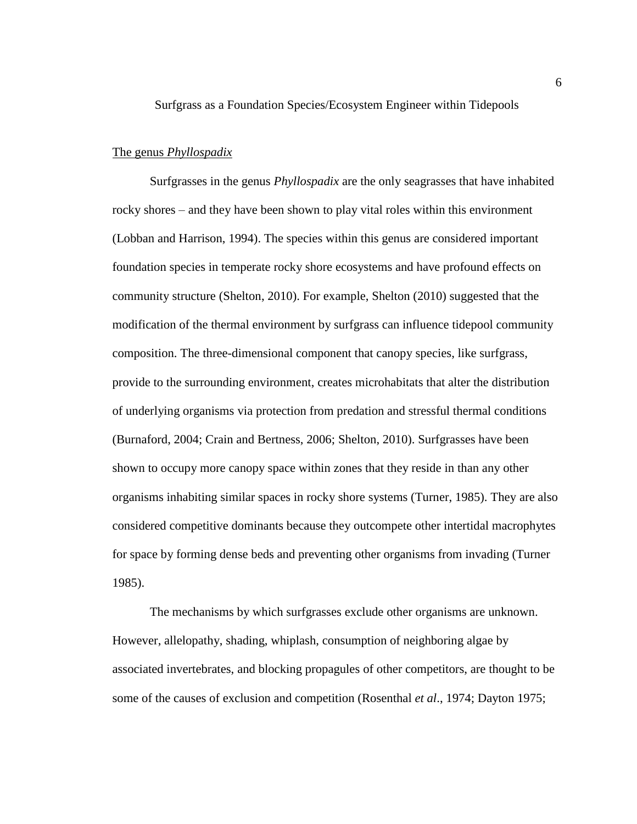<span id="page-18-0"></span>Surfgrass as a Foundation Species/Ecosystem Engineer within Tidepools

#### <span id="page-18-1"></span>The genus *Phyllospadix*

Surfgrasses in the genus *Phyllospadix* are the only seagrasses that have inhabited rocky shores – and they have been shown to play vital roles within this environment (Lobban and Harrison, 1994). The species within this genus are considered important foundation species in temperate rocky shore ecosystems and have profound effects on community structure (Shelton, 2010). For example, Shelton (2010) suggested that the modification of the thermal environment by surfgrass can influence tidepool community composition. The three-dimensional component that canopy species, like surfgrass, provide to the surrounding environment, creates microhabitats that alter the distribution of underlying organisms via protection from predation and stressful thermal conditions (Burnaford, 2004; Crain and Bertness, 2006; Shelton, 2010). Surfgrasses have been shown to occupy more canopy space within zones that they reside in than any other organisms inhabiting similar spaces in rocky shore systems (Turner, 1985). They are also considered competitive dominants because they outcompete other intertidal macrophytes for space by forming dense beds and preventing other organisms from invading (Turner 1985).

The mechanisms by which surfgrasses exclude other organisms are unknown. However, allelopathy, shading, whiplash, consumption of neighboring algae by associated invertebrates, and blocking propagules of other competitors, are thought to be some of the causes of exclusion and competition (Rosenthal *et al*., 1974; Dayton 1975;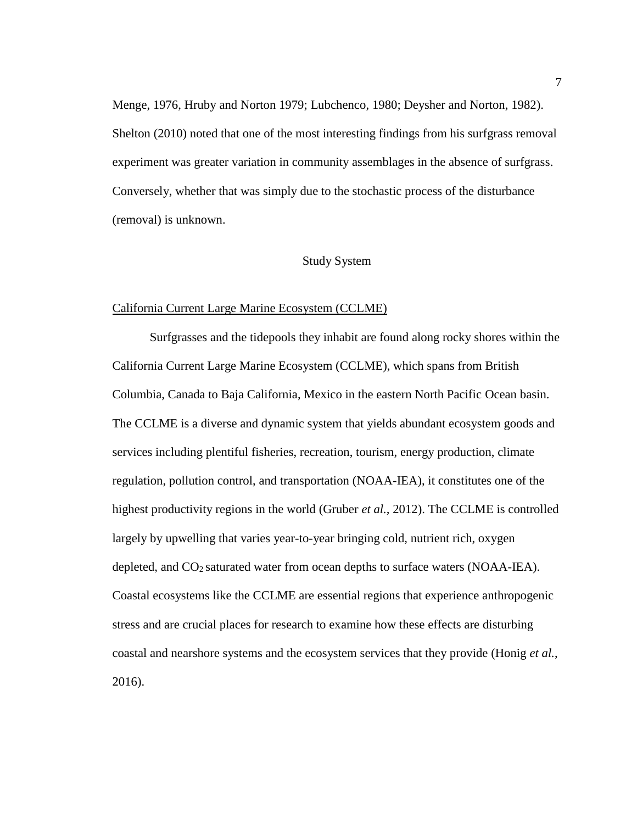Menge, 1976, Hruby and Norton 1979; Lubchenco, 1980; Deysher and Norton, 1982). Shelton (2010) noted that one of the most interesting findings from his surfgrass removal experiment was greater variation in community assemblages in the absence of surfgrass. Conversely, whether that was simply due to the stochastic process of the disturbance (removal) is unknown.

#### Study System

#### <span id="page-19-1"></span><span id="page-19-0"></span>California Current Large Marine Ecosystem (CCLME)

Surfgrasses and the tidepools they inhabit are found along rocky shores within the California Current Large Marine Ecosystem (CCLME), which spans from British Columbia, Canada to Baja California, Mexico in the eastern North Pacific Ocean basin. The CCLME is a diverse and dynamic system that yields abundant ecosystem goods and services including plentiful fisheries, recreation, tourism, energy production, climate regulation, pollution control, and transportation (NOAA-IEA), it constitutes one of the highest productivity regions in the world (Gruber *et al.,* 2012). The CCLME is controlled largely by upwelling that varies year-to-year bringing cold, nutrient rich, oxygen depleted, and  $CO<sub>2</sub>$  saturated water from ocean depths to surface waters (NOAA-IEA). Coastal ecosystems like the CCLME are essential regions that experience anthropogenic stress and are crucial places for research to examine how these effects are disturbing coastal and nearshore systems and the ecosystem services that they provide (Honig *et al.*, 2016).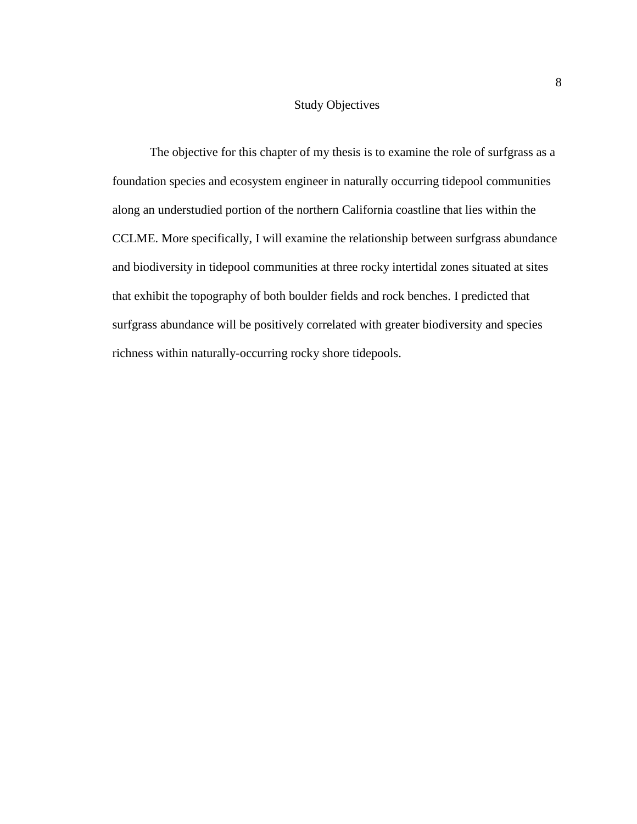#### Study Objectives

<span id="page-20-0"></span>The objective for this chapter of my thesis is to examine the role of surfgrass as a foundation species and ecosystem engineer in naturally occurring tidepool communities along an understudied portion of the northern California coastline that lies within the CCLME. More specifically, I will examine the relationship between surfgrass abundance and biodiversity in tidepool communities at three rocky intertidal zones situated at sites that exhibit the topography of both boulder fields and rock benches. I predicted that surfgrass abundance will be positively correlated with greater biodiversity and species richness within naturally-occurring rocky shore tidepools.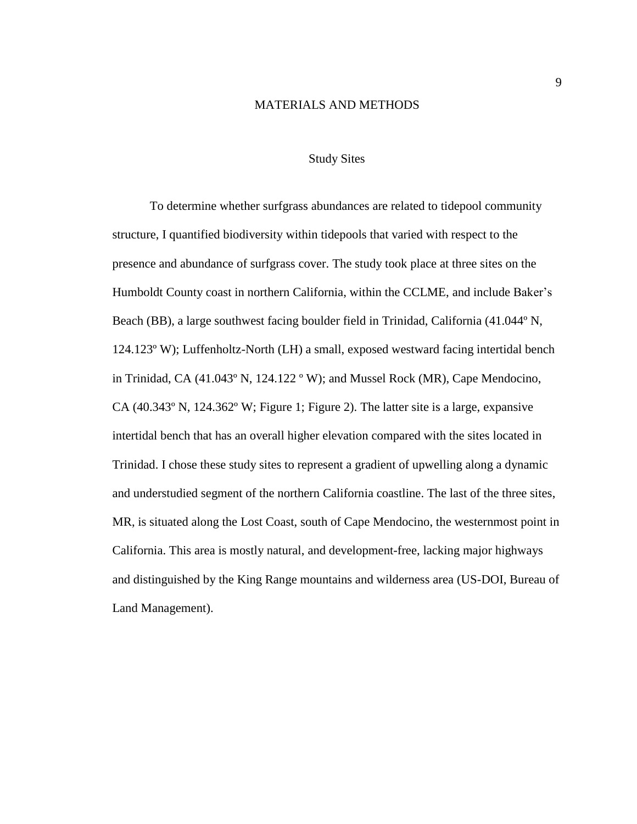#### MATERIALS AND METHODS

#### Study Sites

<span id="page-21-1"></span><span id="page-21-0"></span>To determine whether surfgrass abundances are related to tidepool community structure, I quantified biodiversity within tidepools that varied with respect to the presence and abundance of surfgrass cover. The study took place at three sites on the Humboldt County coast in northern California, within the CCLME, and include Baker's Beach (BB), a large southwest facing boulder field in Trinidad, California (41.044º N, 124.123º W); Luffenholtz-North (LH) a small, exposed westward facing intertidal bench in Trinidad, CA (41.043º N, 124.122 º W); and Mussel Rock (MR), Cape Mendocino, CA (40.343º N, 124.362º W; Figure 1; Figure 2). The latter site is a large, expansive intertidal bench that has an overall higher elevation compared with the sites located in Trinidad. I chose these study sites to represent a gradient of upwelling along a dynamic and understudied segment of the northern California coastline. The last of the three sites, MR, is situated along the Lost Coast, south of Cape Mendocino, the westernmost point in California. This area is mostly natural, and development-free, lacking major highways and distinguished by the King Range mountains and wilderness area (US-DOI, Bureau of Land Management).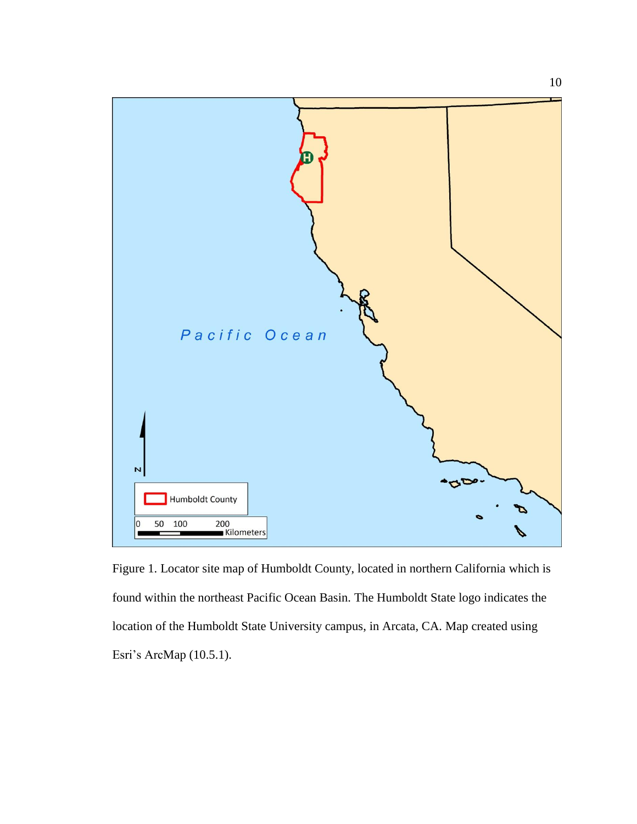

<span id="page-22-0"></span>Figure 1. Locator site map of Humboldt County, located in northern California which is found within the northeast Pacific Ocean Basin. The Humboldt State logo indicates the location of the Humboldt State University campus, in Arcata, CA. Map created using Esri's ArcMap (10.5.1).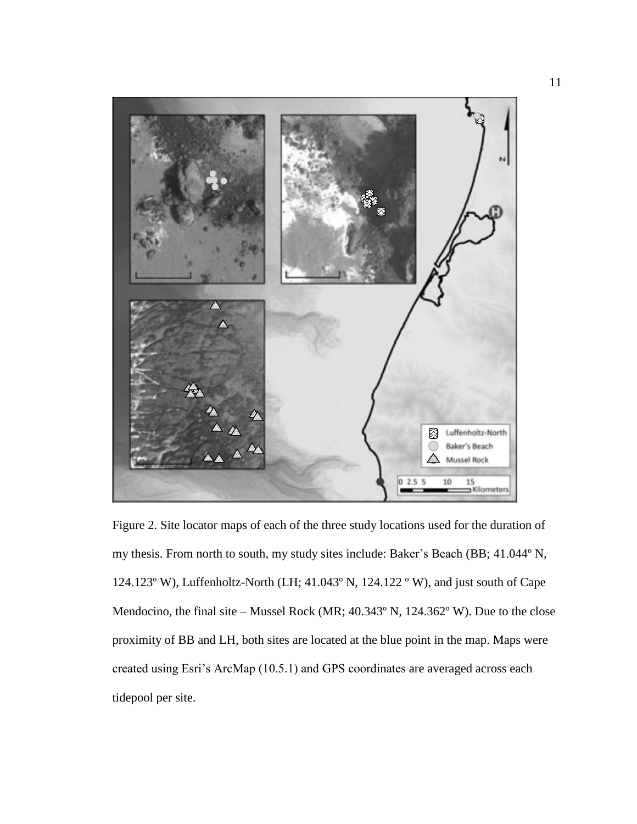<span id="page-23-0"></span>

Figure 2. Site locator maps of each of the three study locations used for the duration of my thesis. From north to south, my study sites include: Baker's Beach (BB; 41.044º N, 124.123º W), Luffenholtz-North (LH; 41.043º N, 124.122 º W), and just south of Cape Mendocino, the final site – Mussel Rock (MR; 40.343º N, 124.362º W). Due to the close proximity of BB and LH, both sites are located at the blue point in the map. Maps were created using Esri's ArcMap (10.5.1) and GPS coordinates are averaged across each tidepool per site.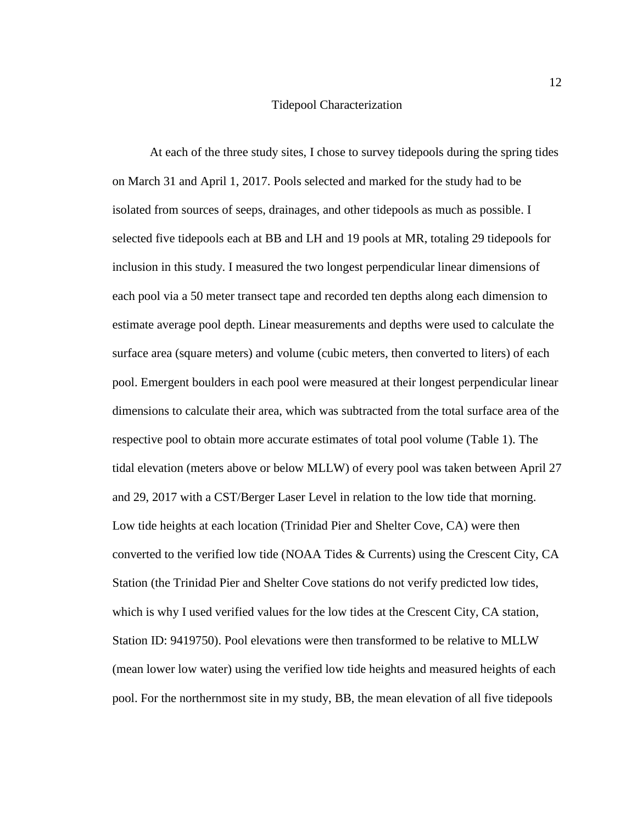#### Tidepool Characterization

<span id="page-24-0"></span>At each of the three study sites, I chose to survey tidepools during the spring tides on March 31 and April 1, 2017. Pools selected and marked for the study had to be isolated from sources of seeps, drainages, and other tidepools as much as possible. I selected five tidepools each at BB and LH and 19 pools at MR, totaling 29 tidepools for inclusion in this study. I measured the two longest perpendicular linear dimensions of each pool via a 50 meter transect tape and recorded ten depths along each dimension to estimate average pool depth. Linear measurements and depths were used to calculate the surface area (square meters) and volume (cubic meters, then converted to liters) of each pool. Emergent boulders in each pool were measured at their longest perpendicular linear dimensions to calculate their area, which was subtracted from the total surface area of the respective pool to obtain more accurate estimates of total pool volume (Table 1). The tidal elevation (meters above or below MLLW) of every pool was taken between April 27 and 29, 2017 with a CST/Berger Laser Level in relation to the low tide that morning. Low tide heights at each location (Trinidad Pier and Shelter Cove, CA) were then converted to the verified low tide (NOAA Tides & Currents) using the Crescent City, CA Station (the Trinidad Pier and Shelter Cove stations do not verify predicted low tides, which is why I used verified values for the low tides at the Crescent City, CA station, Station ID: 9419750). Pool elevations were then transformed to be relative to MLLW (mean lower low water) using the verified low tide heights and measured heights of each pool. For the northernmost site in my study, BB, the mean elevation of all five tidepools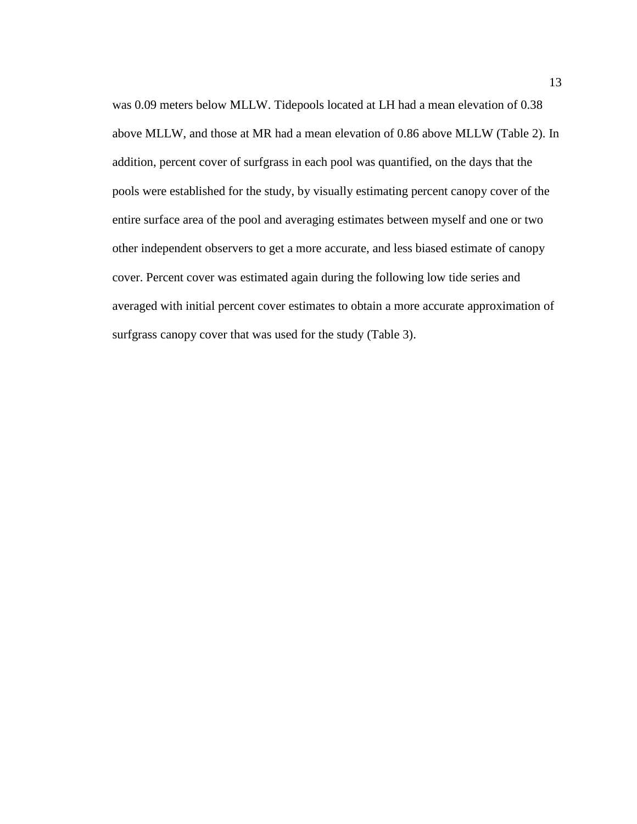was 0.09 meters below MLLW. Tidepools located at LH had a mean elevation of 0.38 above MLLW, and those at MR had a mean elevation of 0.86 above MLLW (Table 2). In addition, percent cover of surfgrass in each pool was quantified, on the days that the pools were established for the study, by visually estimating percent canopy cover of the entire surface area of the pool and averaging estimates between myself and one or two other independent observers to get a more accurate, and less biased estimate of canopy cover. Percent cover was estimated again during the following low tide series and averaged with initial percent cover estimates to obtain a more accurate approximation of surfgrass canopy cover that was used for the study (Table 3).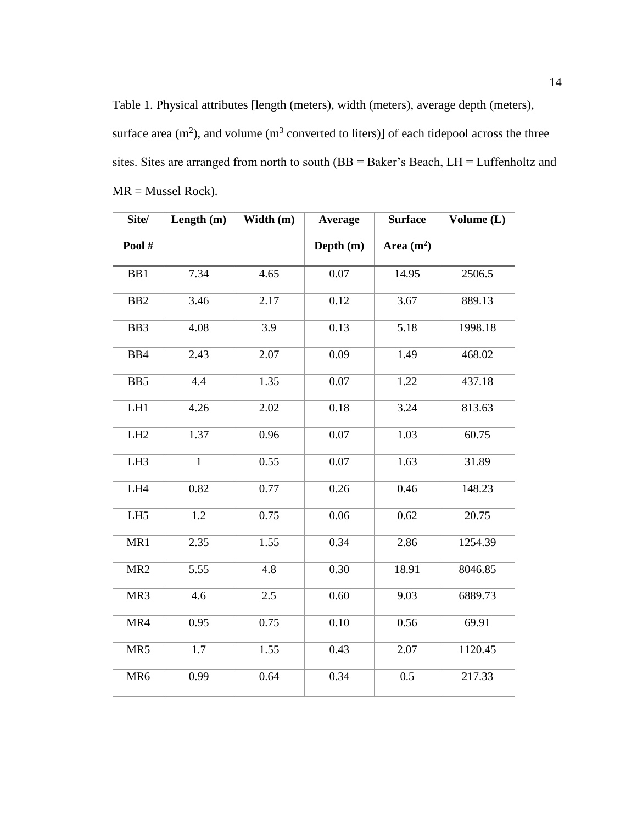<span id="page-26-0"></span>Table 1. Physical attributes [length (meters), width (meters), average depth (meters), surface area  $(m^2)$ , and volume  $(m^3$  converted to liters)] of each tidepool across the three sites. Sites are arranged from north to south (BB = Baker's Beach, LH = Luffenholtz and MR = Mussel Rock).

| Site/           | Length (m)   | Width (m) | Average   | <b>Surface</b> | Volume (L) |
|-----------------|--------------|-----------|-----------|----------------|------------|
| Pool#           |              |           | Depth (m) | Area $(m2)$    |            |
| BB1             | 7.34         | 4.65      | 0.07      | 14.95          | 2506.5     |
| B <sub>B2</sub> | 3.46         | 2.17      | 0.12      | 3.67           | 889.13     |
| BB3             | 4.08         | 3.9       | 0.13      | 5.18           | 1998.18    |
| BB4             | 2.43         | 2.07      | 0.09      | 1.49           | 468.02     |
| BB5             | 4.4          | 1.35      | 0.07      | 1.22           | 437.18     |
| LH1             | 4.26         | 2.02      | 0.18      | 3.24           | 813.63     |
| LH <sub>2</sub> | 1.37         | 0.96      | 0.07      | 1.03           | 60.75      |
| LH3             | $\mathbf{1}$ | 0.55      | 0.07      | 1.63           | 31.89      |
| LH4             | 0.82         | 0.77      | 0.26      | 0.46           | 148.23     |
| LH <sub>5</sub> | 1.2          | 0.75      | 0.06      | 0.62           | 20.75      |
| MR1             | 2.35         | 1.55      | 0.34      | 2.86           | 1254.39    |
| MR <sub>2</sub> | 5.55         | 4.8       | 0.30      | 18.91          | 8046.85    |
| MR3             | 4.6          | 2.5       | 0.60      | 9.03           | 6889.73    |
| MR4             | 0.95         | 0.75      | 0.10      | 0.56           | 69.91      |
| MR5             | 1.7          | 1.55      | 0.43      | 2.07           | 1120.45    |
| MR6             | 0.99         | 0.64      | 0.34      | 0.5            | 217.33     |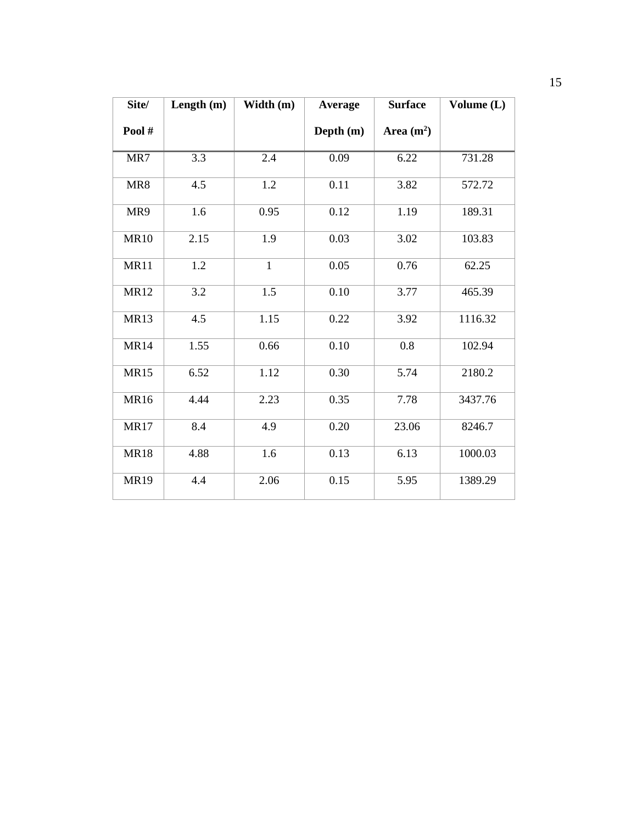| Site/       | Length $(m)$ | Width (m)    | Average   | <b>Surface</b> | Volume (L) |
|-------------|--------------|--------------|-----------|----------------|------------|
| Pool#       |              |              | Depth (m) | Area $(m^2)$   |            |
| MR7         | 3.3          | 2.4          | 0.09      | 6.22           | 731.28     |
| MR8         | 4.5          | 1.2          | 0.11      | 3.82           | 572.72     |
| MR9         | 1.6          | 0.95         | 0.12      | 1.19           | 189.31     |
| <b>MR10</b> | 2.15         | 1.9          | 0.03      | 3.02           | 103.83     |
| <b>MR11</b> | 1.2          | $\mathbf{1}$ | 0.05      | 0.76           | 62.25      |
| <b>MR12</b> | 3.2          | 1.5          | 0.10      | 3.77           | 465.39     |
| <b>MR13</b> | 4.5          | 1.15         | 0.22      | 3.92           | 1116.32    |
| <b>MR14</b> | 1.55         | 0.66         | 0.10      | 0.8            | 102.94     |
| <b>MR15</b> | 6.52         | 1.12         | 0.30      | 5.74           | 2180.2     |
| <b>MR16</b> | 4.44         | 2.23         | 0.35      | 7.78           | 3437.76    |
| <b>MR17</b> | 8.4          | 4.9          | 0.20      | 23.06          | 8246.7     |
| <b>MR18</b> | 4.88         | 1.6          | 0.13      | 6.13           | 1000.03    |
| <b>MR19</b> | 4.4          | 2.06         | 0.15      | 5.95           | 1389.29    |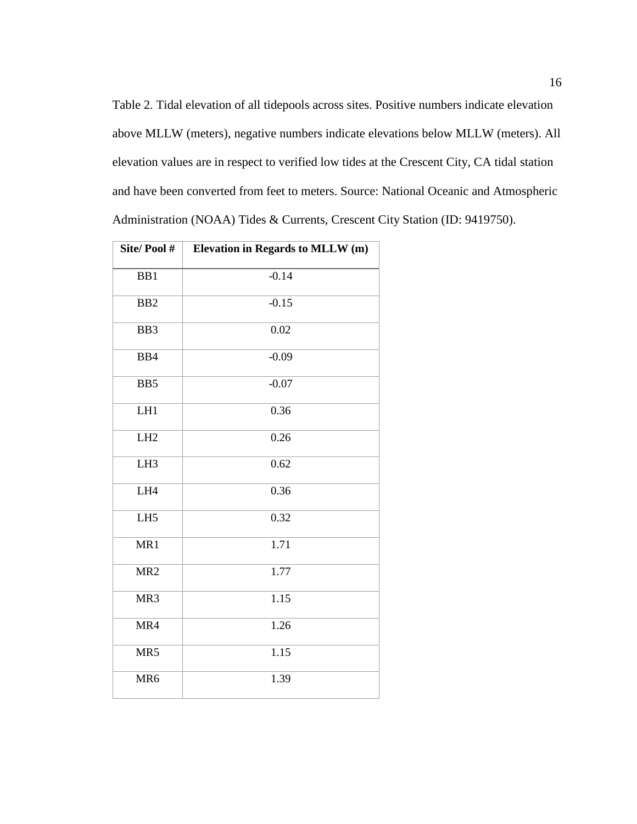<span id="page-28-0"></span>Table 2. Tidal elevation of all tidepools across sites. Positive numbers indicate elevation above MLLW (meters), negative numbers indicate elevations below MLLW (meters). All elevation values are in respect to verified low tides at the Crescent City, CA tidal station and have been converted from feet to meters. Source: National Oceanic and Atmospheric Administration (NOAA) Tides & Currents, Crescent City Station (ID: 9419750).

| Site/Pool#      | Elevation in Regards to MLLW (m) |  |
|-----------------|----------------------------------|--|
| BB1             | $-0.14$                          |  |
| B <sub>B2</sub> | $-0.15$                          |  |
| BB3             | 0.02                             |  |
| BB4             | $-0.09$                          |  |
| BB5             | $-0.07$                          |  |
| LH1             | 0.36                             |  |
| LH <sub>2</sub> | 0.26                             |  |
| LH3             | 0.62                             |  |
| LH4             | 0.36                             |  |
| LH <sub>5</sub> | 0.32                             |  |
| MR1             | 1.71                             |  |
| MR <sub>2</sub> | 1.77                             |  |
| MR3             | 1.15                             |  |
| MR4             | 1.26                             |  |
| MR5             | 1.15                             |  |
| MR <sub>6</sub> | 1.39                             |  |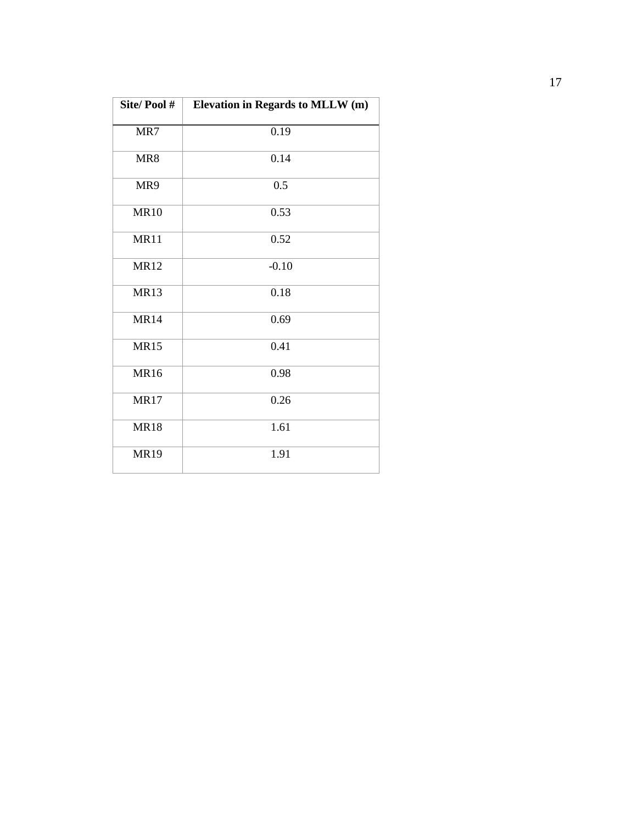| Site/Pool#  | Elevation in Regards to MLLW (m) |
|-------------|----------------------------------|
| MR7         | 0.19                             |
| MR8         | 0.14                             |
| MR9         | 0.5                              |
| <b>MR10</b> | 0.53                             |
| <b>MR11</b> | 0.52                             |
| <b>MR12</b> | $-0.10$                          |
| <b>MR13</b> | 0.18                             |
| <b>MR14</b> | 0.69                             |
| <b>MR15</b> | 0.41                             |
| <b>MR16</b> | 0.98                             |
| <b>MR17</b> | 0.26                             |
| <b>MR18</b> | 1.61                             |
| <b>MR19</b> | 1.91                             |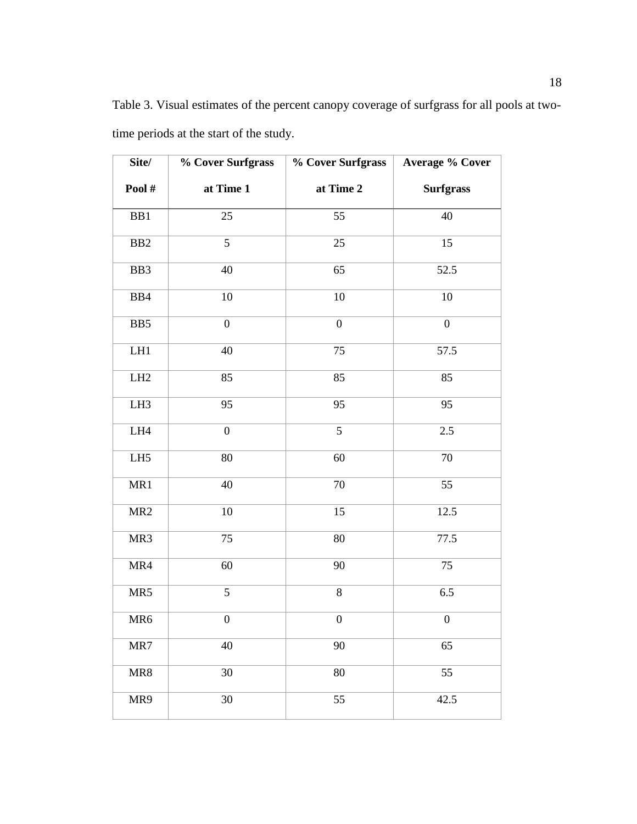| Site/               | % Cover Surfgrass | % Cover Surfgrass | <b>Average % Cover</b> |
|---------------------|-------------------|-------------------|------------------------|
| Pool#               | at Time 1         | at Time 2         | <b>Surfgrass</b>       |
| BB1                 | 25                | 55                | 40                     |
| B <sub>B2</sub>     | 5                 | 25                | 15                     |
| BB3                 | 40                | 65                | 52.5                   |
| BB4                 | 10                | 10                | 10                     |
| BB5                 | $\boldsymbol{0}$  | $\boldsymbol{0}$  | $\boldsymbol{0}$       |
| $\rm LH1$           | 40                | 75                | 57.5                   |
| LH2                 | 85                | 85                | 85                     |
| LH <sub>3</sub>     | 95                | 95                | 95                     |
| ${\rm L} {\rm H} 4$ | $\boldsymbol{0}$  | 5                 | 2.5                    |
| ${\rm LH5}$         | 80                | 60                | 70                     |
| MR1                 | 40                | $70\,$            | 55                     |
| MR2                 | $10\,$            | 15                | 12.5                   |
| MR3                 | $\overline{75}$   | 80                | 77.5                   |
| MR4                 | 60                | 90                | $\overline{75}$        |
| MR5                 | 5                 | $8\,$             | 6.5                    |
| MR <sub>6</sub>     | $\boldsymbol{0}$  | $\boldsymbol{0}$  | $\boldsymbol{0}$       |
| MR7                 | 40                | 90                | 65                     |
| MR8                 | 30                | 80                | 55                     |
| MR9                 | 30                | 55                | 42.5                   |

<span id="page-30-0"></span>Table 3. Visual estimates of the percent canopy coverage of surfgrass for all pools at twotime periods at the start of the study.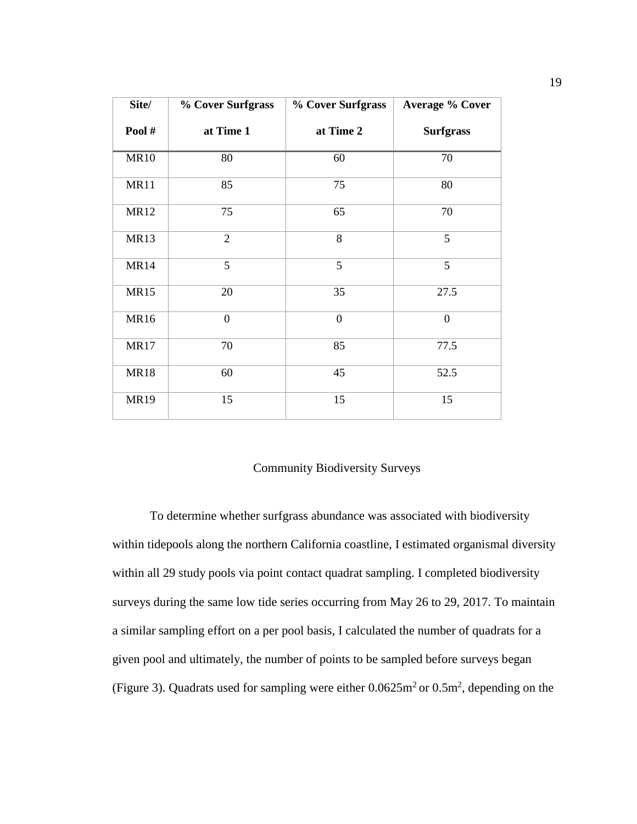| Site/       | % Cover Surfgrass | <b>% Cover Surfgrass</b> | <b>Average % Cover</b> |
|-------------|-------------------|--------------------------|------------------------|
| Pool#       | at Time 1         | at Time 2                | <b>Surfgrass</b>       |
| <b>MR10</b> | 80                | 60                       | 70                     |
| <b>MR11</b> | 85                | 75                       | 80                     |
| <b>MR12</b> | 75                | 65                       | 70                     |
| <b>MR13</b> | $\overline{2}$    | 8                        | 5                      |
| <b>MR14</b> | 5                 | 5                        | 5                      |
| <b>MR15</b> | 20                | 35                       | 27.5                   |
| <b>MR16</b> | $\boldsymbol{0}$  | $\boldsymbol{0}$         | $\boldsymbol{0}$       |
| <b>MR17</b> | 70                | 85                       | 77.5                   |
| <b>MR18</b> | 60                | 45                       | 52.5                   |
| <b>MR19</b> | 15                | 15                       | 15                     |

### Community Biodiversity Surveys

<span id="page-31-0"></span>To determine whether surfgrass abundance was associated with biodiversity within tidepools along the northern California coastline, I estimated organismal diversity within all 29 study pools via point contact quadrat sampling. I completed biodiversity surveys during the same low tide series occurring from May 26 to 29, 2017. To maintain a similar sampling effort on a per pool basis, I calculated the number of quadrats for a given pool and ultimately, the number of points to be sampled before surveys began (Figure 3). Quadrats used for sampling were either  $0.0625 \text{m}^2$  or  $0.5 \text{m}^2$ , depending on the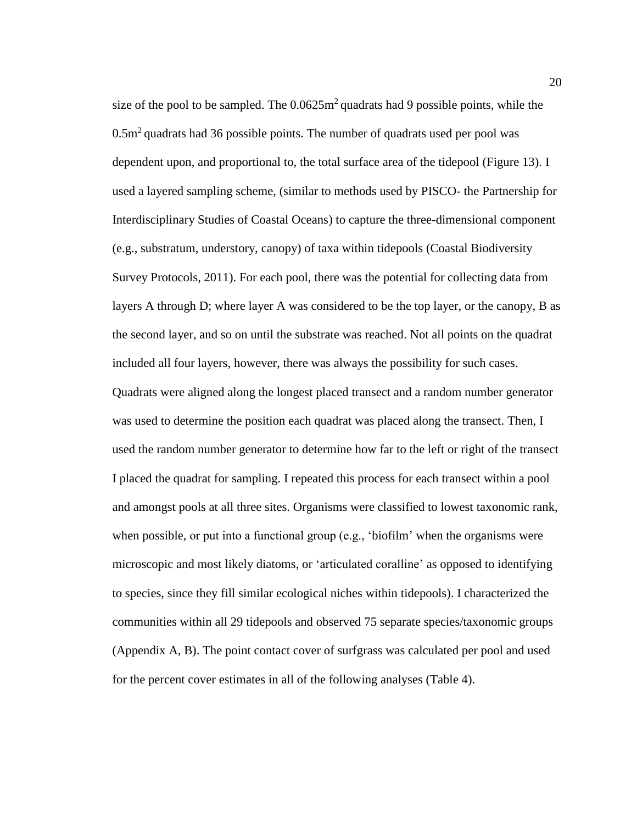size of the pool to be sampled. The  $0.0625m^2$  quadrats had 9 possible points, while the  $0.5m<sup>2</sup>$  quadrats had 36 possible points. The number of quadrats used per pool was dependent upon, and proportional to, the total surface area of the tidepool (Figure 13). I used a layered sampling scheme, (similar to methods used by PISCO- the Partnership for Interdisciplinary Studies of Coastal Oceans) to capture the three-dimensional component (e.g., substratum, understory, canopy) of taxa within tidepools (Coastal Biodiversity Survey Protocols, 2011). For each pool, there was the potential for collecting data from layers A through D; where layer A was considered to be the top layer, or the canopy, B as the second layer, and so on until the substrate was reached. Not all points on the quadrat included all four layers, however, there was always the possibility for such cases. Quadrats were aligned along the longest placed transect and a random number generator was used to determine the position each quadrat was placed along the transect. Then, I used the random number generator to determine how far to the left or right of the transect I placed the quadrat for sampling. I repeated this process for each transect within a pool and amongst pools at all three sites. Organisms were classified to lowest taxonomic rank, when possible, or put into a functional group (e.g., 'biofilm' when the organisms were microscopic and most likely diatoms, or 'articulated coralline' as opposed to identifying to species, since they fill similar ecological niches within tidepools). I characterized the communities within all 29 tidepools and observed 75 separate species/taxonomic groups (Appendix A, B). The point contact cover of surfgrass was calculated per pool and used for the percent cover estimates in all of the following analyses (Table 4).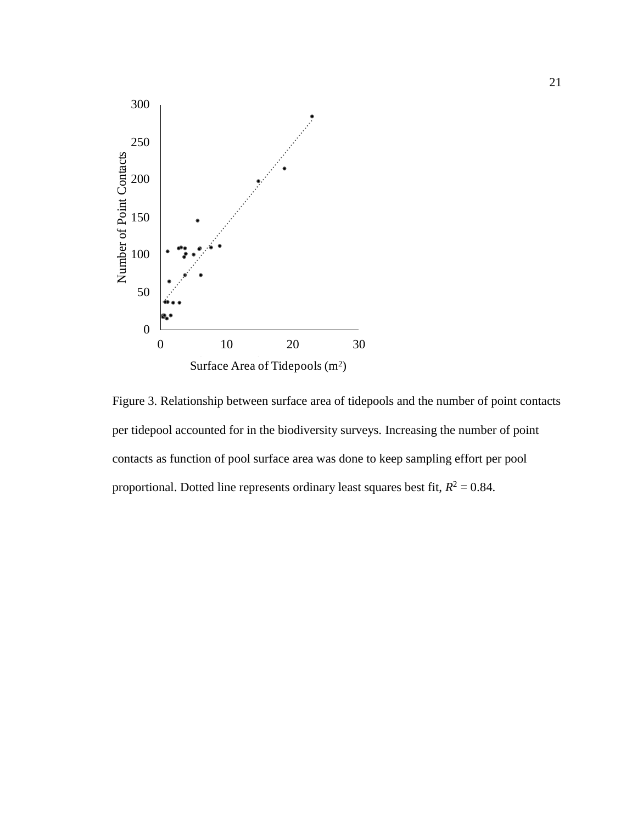

<span id="page-33-0"></span>Figure 3. Relationship between surface area of tidepools and the number of point contacts per tidepool accounted for in the biodiversity surveys. Increasing the number of point contacts as function of pool surface area was done to keep sampling effort per pool proportional. Dotted line represents ordinary least squares best fit,  $R^2 = 0.84$ .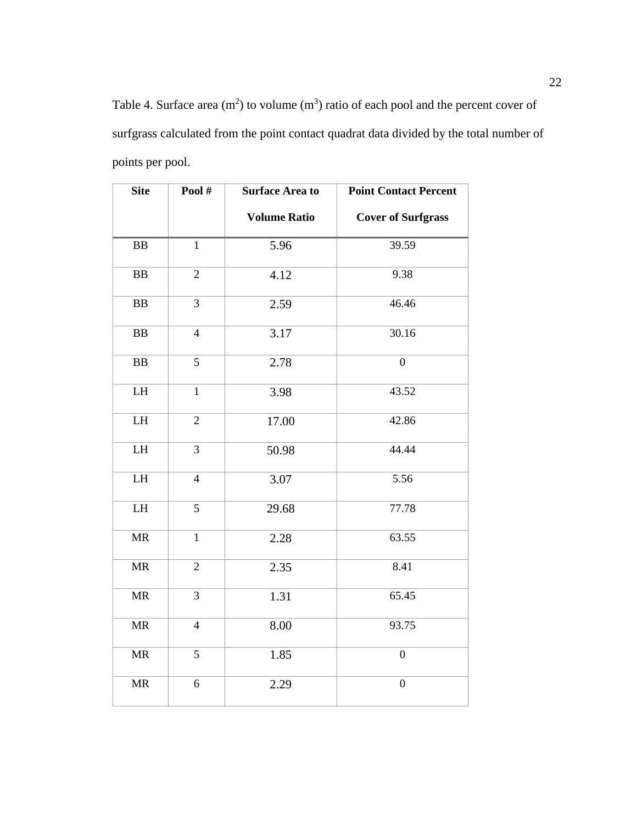<span id="page-34-0"></span>Table 4. Surface area  $(m^2)$  to volume  $(m^3)$  ratio of each pool and the percent cover of surfgrass calculated from the point contact quadrat data divided by the total number of points per pool.

| <b>Site</b>                       | Pool $#$       | <b>Surface Area to</b> | <b>Point Contact Percent</b> |
|-----------------------------------|----------------|------------------------|------------------------------|
|                                   |                | <b>Volume Ratio</b>    | <b>Cover of Surfgrass</b>    |
| ${\bf BB}$                        | $\mathbf{1}$   | 5.96                   | 39.59                        |
| ${\bf BB}$                        | $\overline{2}$ | 4.12                   | 9.38                         |
| ${\bf BB}$                        | 3              | 2.59                   | 46.46                        |
| ${\bf BB}$                        | $\overline{4}$ | 3.17                   | 30.16                        |
| $\overline{\mathbf{B}}\mathbf{B}$ | $\overline{5}$ | 2.78                   | $\overline{0}$               |
| LH                                | $\mathbf{1}$   | 3.98                   | 43.52                        |
| ${\rm LH}$                        | $\overline{2}$ | 17.00                  | 42.86                        |
| LH                                | 3              | 50.98                  | 44.44                        |
| ${\rm LH}$                        | $\overline{4}$ | 3.07                   | 5.56                         |
| LH                                | 5              | 29.68                  | 77.78                        |
| $\ensuremath{\mathsf{MR}}\xspace$ | $\mathbf{1}$   | 2.28                   | 63.55                        |
| $\ensuremath{\mathsf{MR}}\xspace$ | $\overline{2}$ | 2.35                   | 8.41                         |
| $\ensuremath{\mathsf{MR}}\xspace$ | $\overline{3}$ | 1.31                   | 65.45                        |
| $\ensuremath{\mathsf{MR}}\xspace$ | $\overline{4}$ | 8.00                   | 93.75                        |
| $\ensuremath{\mathsf{MR}}\xspace$ | 5              | 1.85                   | $\overline{0}$               |
| <b>MR</b>                         | 6              | 2.29                   | $\overline{0}$               |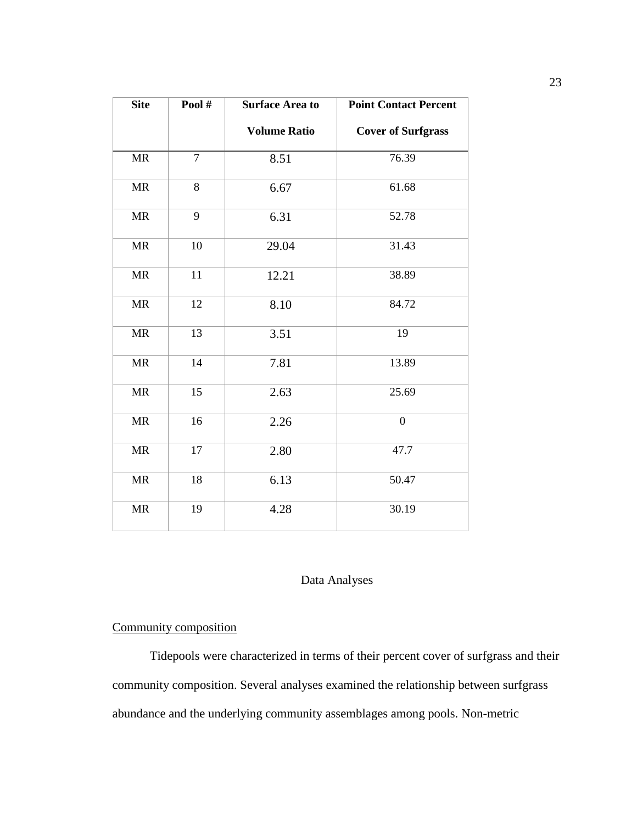| <b>Site</b>                       | Pool#          | <b>Surface Area to</b> | <b>Point Contact Percent</b> |
|-----------------------------------|----------------|------------------------|------------------------------|
|                                   |                | <b>Volume Ratio</b>    | <b>Cover of Surfgrass</b>    |
| MR                                | $\overline{7}$ | 8.51                   | 76.39                        |
| $\ensuremath{\mathsf{MR}}\xspace$ | 8              | 6.67                   | 61.68                        |
| <b>MR</b>                         | 9              | 6.31                   | 52.78                        |
| $\ensuremath{\mathsf{MR}}\xspace$ | 10             | 29.04                  | 31.43                        |
| $\ensuremath{\mathsf{MR}}\xspace$ | 11             | 12.21                  | 38.89                        |
| $\ensuremath{\mathsf{MR}}\xspace$ | 12             | 8.10                   | 84.72                        |
| $\ensuremath{\mathsf{MR}}\xspace$ | 13             | 3.51                   | 19                           |
| <b>MR</b>                         | 14             | 7.81                   | 13.89                        |
| $\ensuremath{\mathsf{MR}}\xspace$ | 15             | 2.63                   | 25.69                        |
| MR                                | 16             | 2.26                   | $\overline{0}$               |
| $\ensuremath{\mathsf{MR}}\xspace$ | 17             | 2.80                   | 47.7                         |
| <b>MR</b>                         | 18             | 6.13                   | 50.47                        |
| $\ensuremath{\mathsf{MR}}\xspace$ | 19             | 4.28                   | 30.19                        |
|                                   |                |                        |                              |

## Data Analyses

## <span id="page-35-1"></span><span id="page-35-0"></span>Community composition

Tidepools were characterized in terms of their percent cover of surfgrass and their community composition. Several analyses examined the relationship between surfgrass abundance and the underlying community assemblages among pools. Non-metric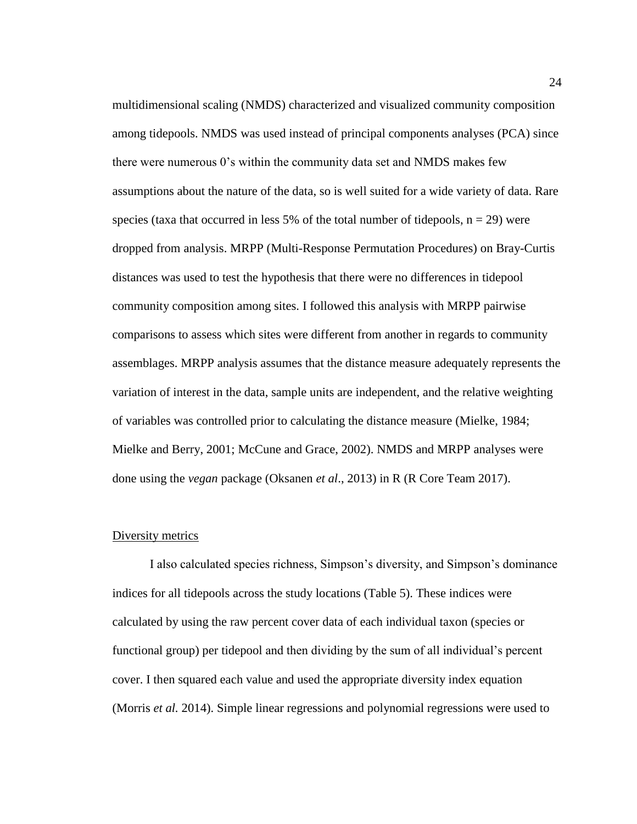multidimensional scaling (NMDS) characterized and visualized community composition among tidepools. NMDS was used instead of principal components analyses (PCA) since there were numerous 0's within the community data set and NMDS makes few assumptions about the nature of the data, so is well suited for a wide variety of data. Rare species (taxa that occurred in less 5% of the total number of tidepools,  $n = 29$ ) were dropped from analysis. MRPP (Multi-Response Permutation Procedures) on Bray-Curtis distances was used to test the hypothesis that there were no differences in tidepool community composition among sites. I followed this analysis with MRPP pairwise comparisons to assess which sites were different from another in regards to community assemblages. MRPP analysis assumes that the distance measure adequately represents the variation of interest in the data, sample units are independent, and the relative weighting of variables was controlled prior to calculating the distance measure (Mielke, 1984; Mielke and Berry, 2001; McCune and Grace, 2002). NMDS and MRPP analyses were done using the *vegan* package (Oksanen *et al*., 2013) in R (R Core Team 2017).

## Diversity metrics

I also calculated species richness, Simpson's diversity, and Simpson's dominance indices for all tidepools across the study locations (Table 5). These indices were calculated by using the raw percent cover data of each individual taxon (species or functional group) per tidepool and then dividing by the sum of all individual's percent cover. I then squared each value and used the appropriate diversity index equation (Morris *et al.* 2014). Simple linear regressions and polynomial regressions were used to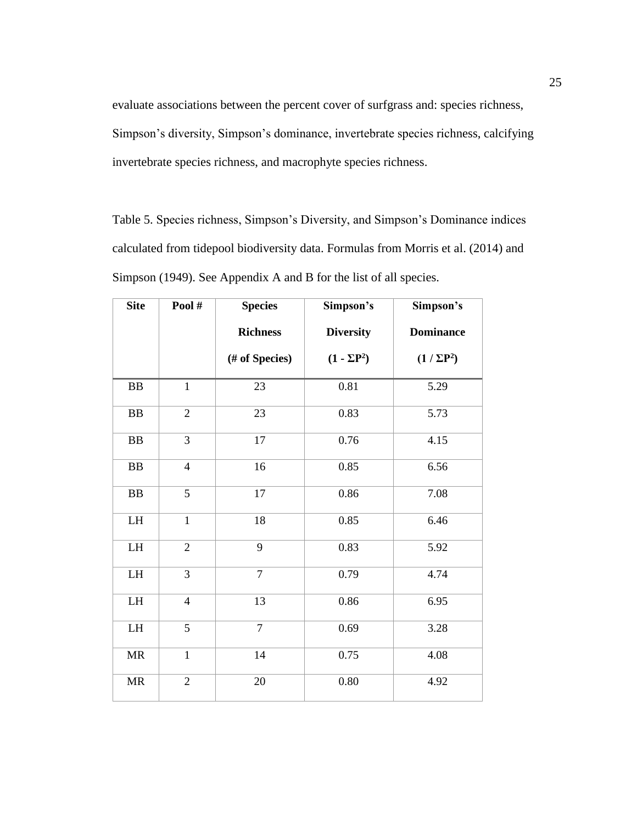evaluate associations between the percent cover of surfgrass and: species richness, Simpson's diversity, Simpson's dominance, invertebrate species richness, calcifying invertebrate species richness, and macrophyte species richness.

Table 5. Species richness, Simpson's Diversity, and Simpson's Dominance indices calculated from tidepool biodiversity data. Formulas from Morris et al. (2014) and Simpson (1949). See Appendix A and B for the list of all species.

| <b>Site</b>                       | Pool#          | <b>Species</b>  | Simpson's          | Simpson's        |
|-----------------------------------|----------------|-----------------|--------------------|------------------|
|                                   |                | <b>Richness</b> | <b>Diversity</b>   | <b>Dominance</b> |
|                                   |                | (# of Species)  | $(1 - \Sigma P^2)$ | $(1/\Sigma P^2)$ |
| BB                                | $\mathbf{1}$   | 23              | 0.81               | 5.29             |
| ${\bf BB}$                        | $\sqrt{2}$     | 23              | 0.83               | 5.73             |
| BB                                | 3              | 17              | 0.76               | 4.15             |
| ${\bf BB}$                        | $\overline{4}$ | 16              | 0.85               | 6.56             |
| ${\bf BB}$                        | 5              | 17              | 0.86               | 7.08             |
| ${\rm LH}$                        | $\mathbf{1}$   | 18              | 0.85               | 6.46             |
| ${\rm LH}$                        | $\mathfrak{2}$ | 9               | 0.83               | 5.92             |
| ${\rm LH}$                        | 3              | $\overline{7}$  | 0.79               | 4.74             |
| ${\rm LH}$                        | $\overline{4}$ | 13<br>0.86      |                    | 6.95             |
| ${\rm LH}$                        | 5              | $\tau$          | 0.69               | 3.28             |
| MR                                | $\mathbf{1}$   | 14              | 0.75               | 4.08             |
| $\ensuremath{\mathsf{MR}}\xspace$ | $\overline{2}$ | 20              | 0.80               | 4.92             |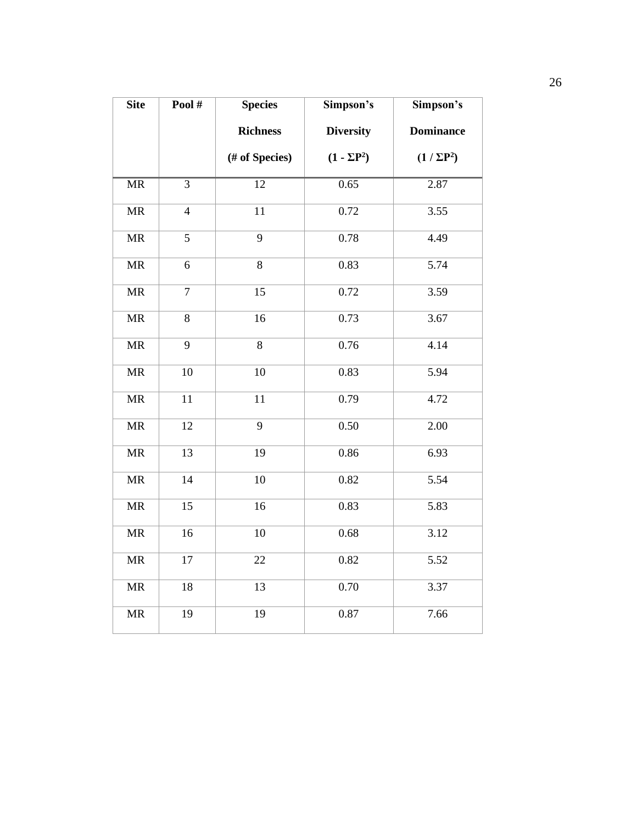| <b>Site</b>                       | Pool#          | <b>Species</b><br>Simpson's         |                    | Simpson's        |
|-----------------------------------|----------------|-------------------------------------|--------------------|------------------|
|                                   |                | <b>Richness</b><br><b>Diversity</b> |                    | <b>Dominance</b> |
|                                   |                | (# of Species)                      | $(1 - \Sigma P^2)$ | $(1/\Sigma P^2)$ |
| $\overline{\text{MR}}$            | $\overline{3}$ | $\overline{12}$                     | 0.65               | 2.87             |
| $\overline{\text{MR}}$            | $\overline{4}$ | $\overline{11}$                     | 0.72               | 3.55             |
| <b>MR</b>                         | $\overline{5}$ | $\overline{9}$                      | 0.78               | 4.49             |
| $\ensuremath{\mathsf{MR}}\xspace$ | 6              | 8                                   | 0.83               | 5.74             |
| <b>MR</b>                         | $\overline{7}$ | 15                                  | 0.72               | 3.59             |
| MR                                | 8              | 16                                  | 0.73               | 3.67             |
| MR                                | $\overline{9}$ | 8                                   | 0.76               | 4.14             |
| $\ensuremath{\mathsf{MR}}\xspace$ | 10             | 10                                  | 0.83               | 5.94             |
| MR                                | 11             | 11                                  | 0.79               | 4.72             |
| <b>MR</b>                         | 12             | 9                                   | 0.50               | 2.00             |
| <b>MR</b>                         | 13             | 19                                  | 0.86               | 6.93             |
| $\ensuremath{\mathsf{MR}}\xspace$ | 14             | 10                                  | 0.82               | 5.54             |
| <b>MR</b>                         | 15             | 16                                  | 0.83               | 5.83             |
| MR                                | 16             | 10                                  | 0.68               | 3.12             |
| $\ensuremath{\mathsf{MR}}\xspace$ | 17             | 22                                  | 0.82               | 5.52             |
| $\ensuremath{\mathsf{MR}}\xspace$ | 18             | 13                                  | 0.70               | 3.37             |
| <b>MR</b>                         | 19             | 19                                  | 0.87               | 7.66             |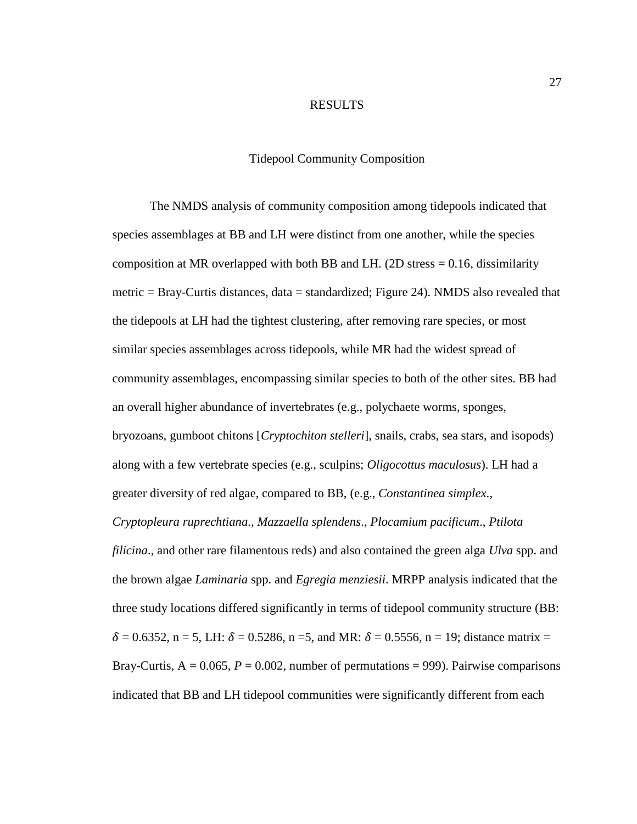## RESULTS

#### Tidepool Community Composition

The NMDS analysis of community composition among tidepools indicated that species assemblages at BB and LH were distinct from one another, while the species composition at MR overlapped with both BB and LH. (2D stress  $= 0.16$ , dissimilarity metric = Bray-Curtis distances, data = standardized; Figure 24). NMDS also revealed that the tidepools at LH had the tightest clustering, after removing rare species, or most similar species assemblages across tidepools, while MR had the widest spread of community assemblages, encompassing similar species to both of the other sites. BB had an overall higher abundance of invertebrates (e.g., polychaete worms, sponges, bryozoans, gumboot chitons [*Cryptochiton stelleri*], snails, crabs, sea stars, and isopods) along with a few vertebrate species (e.g., sculpins; *Oligocottus maculosus*). LH had a greater diversity of red algae, compared to BB, (e.g., *Constantinea simplex*.,

*Cryptopleura ruprechtiana*., *Mazzaella splendens*., *Plocamium pacificum*., *Ptilota filicina*., and other rare filamentous reds) and also contained the green alga *Ulva* spp. and the brown algae *Laminaria* spp. and *Egregia menziesii*. MRPP analysis indicated that the three study locations differed significantly in terms of tidepool community structure (BB:  $\delta = 0.6352$ , n = 5, LH:  $\delta = 0.5286$ , n = 5, and MR:  $\delta = 0.5556$ , n = 19; distance matrix = Bray-Curtis,  $A = 0.065$ ,  $P = 0.002$ , number of permutations = 999). Pairwise comparisons indicated that BB and LH tidepool communities were significantly different from each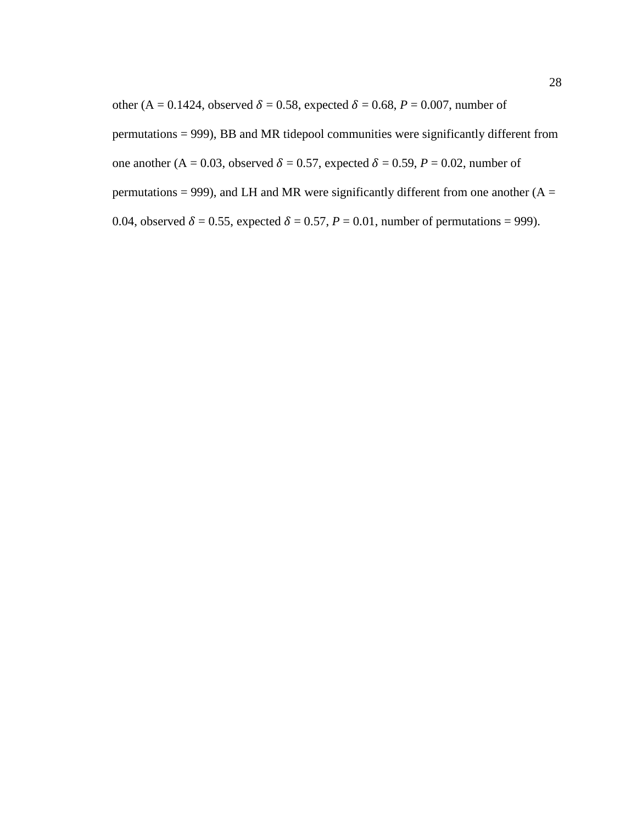other (A = 0.1424, observed  $\delta = 0.58$ , expected  $\delta = 0.68$ ,  $P = 0.007$ , number of

permutations = 999), BB and MR tidepool communities were significantly different from

one another (A = 0.03, observed  $\delta$  = 0.57, expected  $\delta$  = 0.59, *P* = 0.02, number of

permutations = 999), and LH and MR were significantly different from one another  $(A =$ 

0.04, observed  $\delta = 0.55$ , expected  $\delta = 0.57$ ,  $P = 0.01$ , number of permutations = 999).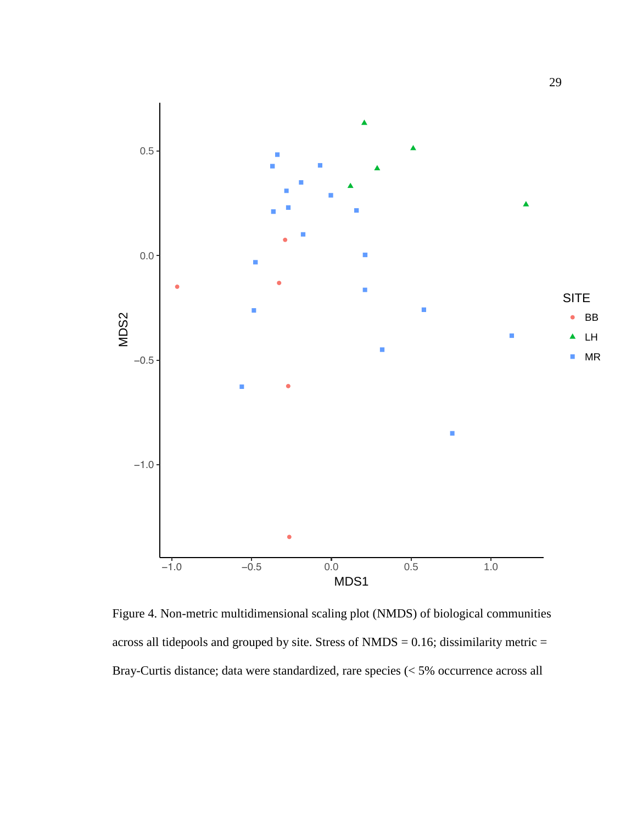

Figure 4. Non-metric multidimensional scaling plot (NMDS) of biological communities across all tidepools and grouped by site. Stress of  $NMDS = 0.16$ ; dissimilarity metric = Bray-Curtis distance; data were standardized, rare species (< 5% occurrence across all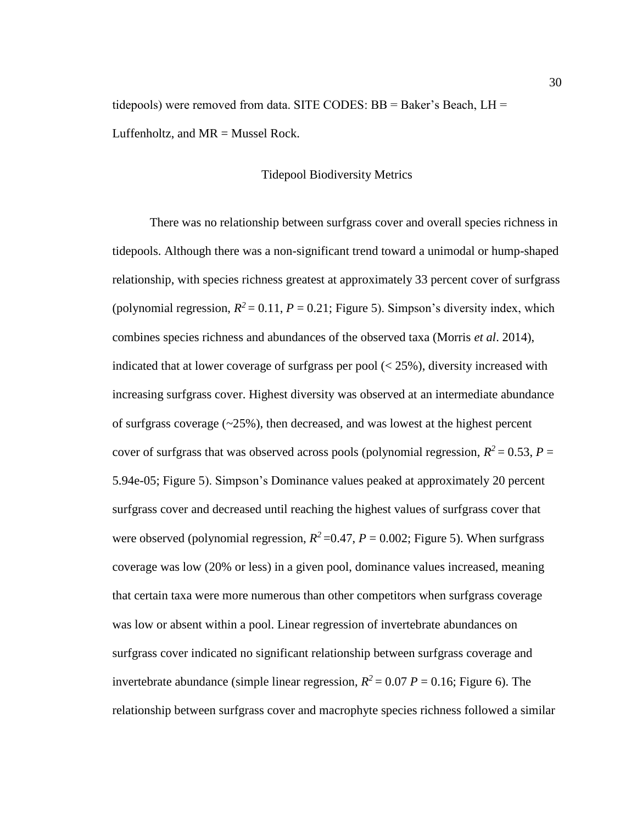tidepools) were removed from data. SITE CODES: BB = Baker's Beach, LH = Luffenholtz, and  $MR =$ Mussel Rock.

# Tidepool Biodiversity Metrics

There was no relationship between surfgrass cover and overall species richness in tidepools. Although there was a non-significant trend toward a unimodal or hump-shaped relationship, with species richness greatest at approximately 33 percent cover of surfgrass (polynomial regression,  $R^2 = 0.11$ ,  $P = 0.21$ ; Figure 5). Simpson's diversity index, which combines species richness and abundances of the observed taxa (Morris *et al*. 2014), indicated that at lower coverage of surfgrass per pool  $\left($  < 25%), diversity increased with increasing surfgrass cover. Highest diversity was observed at an intermediate abundance of surfgrass coverage  $(\sim 25\%)$ , then decreased, and was lowest at the highest percent cover of surfgrass that was observed across pools (polynomial regression,  $R^2 = 0.53$ ,  $P =$ 5.94e-05; Figure 5). Simpson's Dominance values peaked at approximately 20 percent surfgrass cover and decreased until reaching the highest values of surfgrass cover that were observed (polynomial regression,  $R^2$  =0.47,  $P$  = 0.002; Figure 5). When surfgrass coverage was low (20% or less) in a given pool, dominance values increased, meaning that certain taxa were more numerous than other competitors when surfgrass coverage was low or absent within a pool. Linear regression of invertebrate abundances on surfgrass cover indicated no significant relationship between surfgrass coverage and invertebrate abundance (simple linear regression,  $R^2 = 0.07 P = 0.16$ ; Figure 6). The relationship between surfgrass cover and macrophyte species richness followed a similar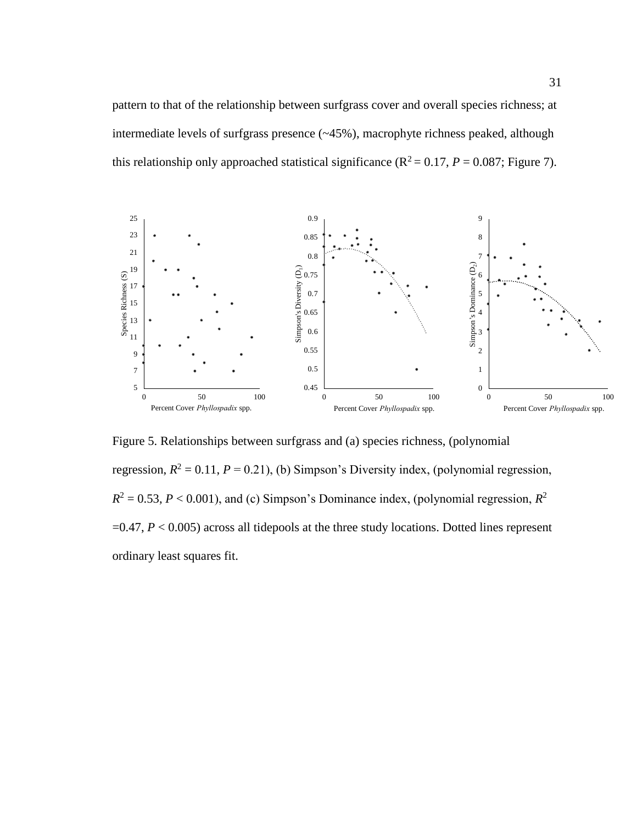pattern to that of the relationship between surfgrass cover and overall species richness; at intermediate levels of surfgrass presence (~45%), macrophyte richness peaked, although this relationship only approached statistical significance ( $R^2 = 0.17$ ,  $P = 0.087$ ; Figure 7).



Figure 5. Relationships between surfgrass and (a) species richness, (polynomial regression,  $R^2 = 0.11$ ,  $P = 0.21$ ), (b) Simpson's Diversity index, (polynomial regression,  $R^2 = 0.53, P < 0.001$ ), and (c) Simpson's Dominance index, (polynomial regression,  $R^2$  $=0.47, P < 0.005$ ) across all tidepools at the three study locations. Dotted lines represent ordinary least squares fit.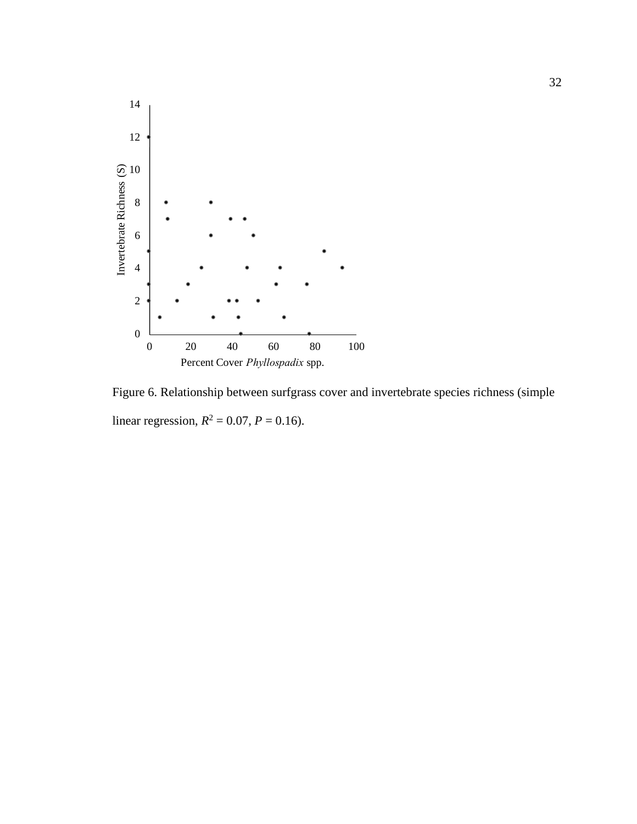

Figure 6. Relationship between surfgrass cover and invertebrate species richness (simple linear regression,  $R^2 = 0.07$ ,  $P = 0.16$ ).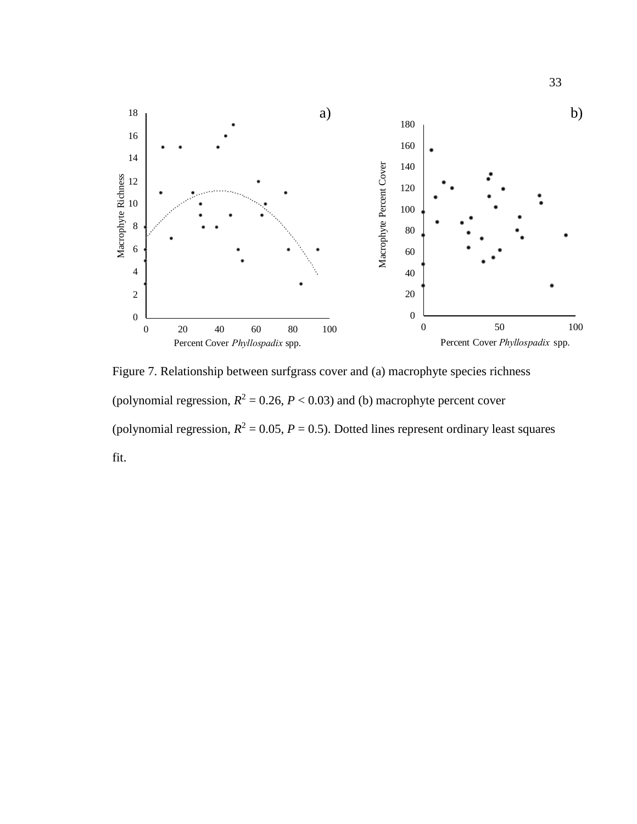

Figure 7. Relationship between surfgrass cover and (a) macrophyte species richness (polynomial regression,  $R^2 = 0.26$ ,  $P < 0.03$ ) and (b) macrophyte percent cover (polynomial regression,  $R^2 = 0.05$ ,  $P = 0.5$ ). Dotted lines represent ordinary least squares fit.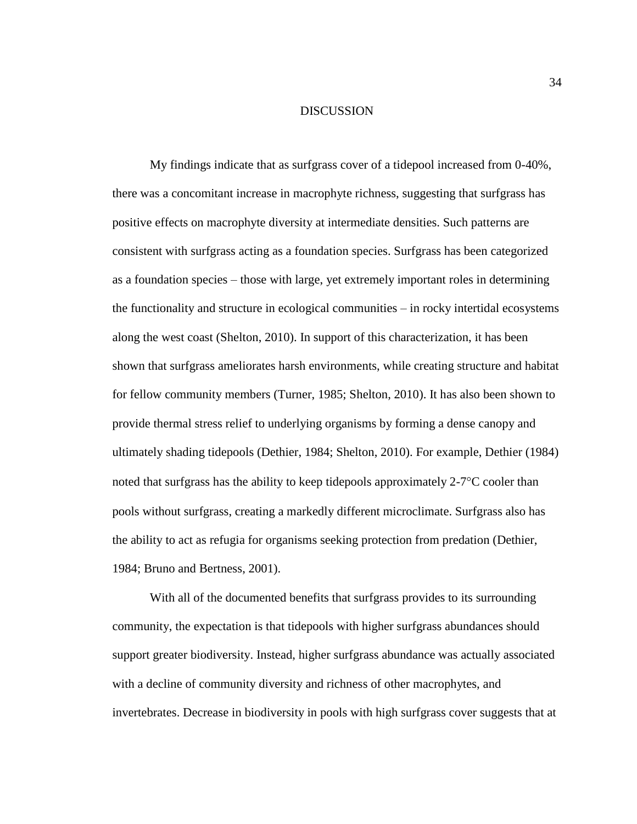## DISCUSSION

My findings indicate that as surfgrass cover of a tidepool increased from 0-40%, there was a concomitant increase in macrophyte richness, suggesting that surfgrass has positive effects on macrophyte diversity at intermediate densities. Such patterns are consistent with surfgrass acting as a foundation species. Surfgrass has been categorized as a foundation species – those with large, yet extremely important roles in determining the functionality and structure in ecological communities – in rocky intertidal ecosystems along the west coast (Shelton, 2010). In support of this characterization, it has been shown that surfgrass ameliorates harsh environments, while creating structure and habitat for fellow community members (Turner, 1985; Shelton, 2010). It has also been shown to provide thermal stress relief to underlying organisms by forming a dense canopy and ultimately shading tidepools (Dethier, 1984; Shelton, 2010). For example, Dethier (1984) noted that surfgrass has the ability to keep tidepools approximately  $2\n-7^\circ\text{C}$  cooler than pools without surfgrass, creating a markedly different microclimate. Surfgrass also has the ability to act as refugia for organisms seeking protection from predation (Dethier, 1984; Bruno and Bertness, 2001).

With all of the documented benefits that surfgrass provides to its surrounding community, the expectation is that tidepools with higher surfgrass abundances should support greater biodiversity. Instead, higher surfgrass abundance was actually associated with a decline of community diversity and richness of other macrophytes, and invertebrates. Decrease in biodiversity in pools with high surfgrass cover suggests that at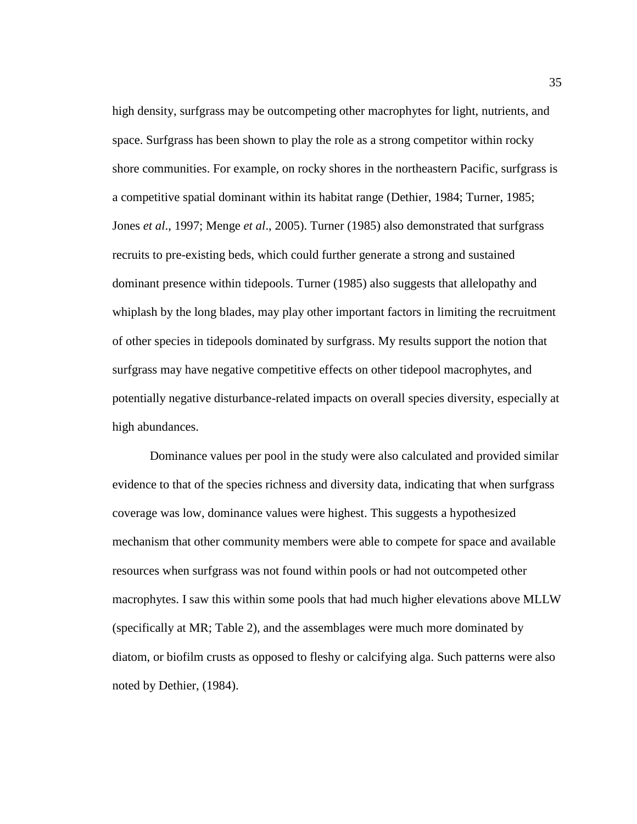high density, surfgrass may be outcompeting other macrophytes for light, nutrients, and space. Surfgrass has been shown to play the role as a strong competitor within rocky shore communities. For example, on rocky shores in the northeastern Pacific, surfgrass is a competitive spatial dominant within its habitat range (Dethier, 1984; Turner, 1985; Jones *et al*., 1997; Menge *et al*., 2005). Turner (1985) also demonstrated that surfgrass recruits to pre-existing beds, which could further generate a strong and sustained dominant presence within tidepools. Turner (1985) also suggests that allelopathy and whiplash by the long blades, may play other important factors in limiting the recruitment of other species in tidepools dominated by surfgrass. My results support the notion that surfgrass may have negative competitive effects on other tidepool macrophytes, and potentially negative disturbance-related impacts on overall species diversity, especially at high abundances.

Dominance values per pool in the study were also calculated and provided similar evidence to that of the species richness and diversity data, indicating that when surfgrass coverage was low, dominance values were highest. This suggests a hypothesized mechanism that other community members were able to compete for space and available resources when surfgrass was not found within pools or had not outcompeted other macrophytes. I saw this within some pools that had much higher elevations above MLLW (specifically at MR; Table 2), and the assemblages were much more dominated by diatom, or biofilm crusts as opposed to fleshy or calcifying alga. Such patterns were also noted by Dethier, (1984).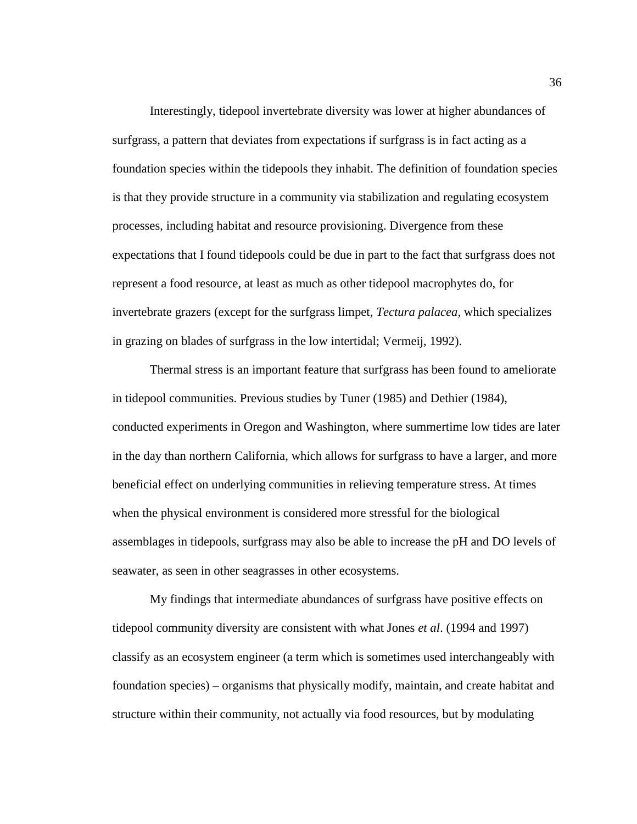Interestingly, tidepool invertebrate diversity was lower at higher abundances of surfgrass, a pattern that deviates from expectations if surfgrass is in fact acting as a foundation species within the tidepools they inhabit. The definition of foundation species is that they provide structure in a community via stabilization and regulating ecosystem processes, including habitat and resource provisioning. Divergence from these expectations that I found tidepools could be due in part to the fact that surfgrass does not represent a food resource, at least as much as other tidepool macrophytes do, for invertebrate grazers (except for the surfgrass limpet, *Tectura palacea*, which specializes in grazing on blades of surfgrass in the low intertidal; Vermeij, 1992).

Thermal stress is an important feature that surfgrass has been found to ameliorate in tidepool communities. Previous studies by Tuner (1985) and Dethier (1984), conducted experiments in Oregon and Washington, where summertime low tides are later in the day than northern California, which allows for surfgrass to have a larger, and more beneficial effect on underlying communities in relieving temperature stress. At times when the physical environment is considered more stressful for the biological assemblages in tidepools, surfgrass may also be able to increase the pH and DO levels of seawater, as seen in other seagrasses in other ecosystems.

My findings that intermediate abundances of surfgrass have positive effects on tidepool community diversity are consistent with what Jones *et al*. (1994 and 1997) classify as an ecosystem engineer (a term which is sometimes used interchangeably with foundation species) – organisms that physically modify, maintain, and create habitat and structure within their community, not actually via food resources, but by modulating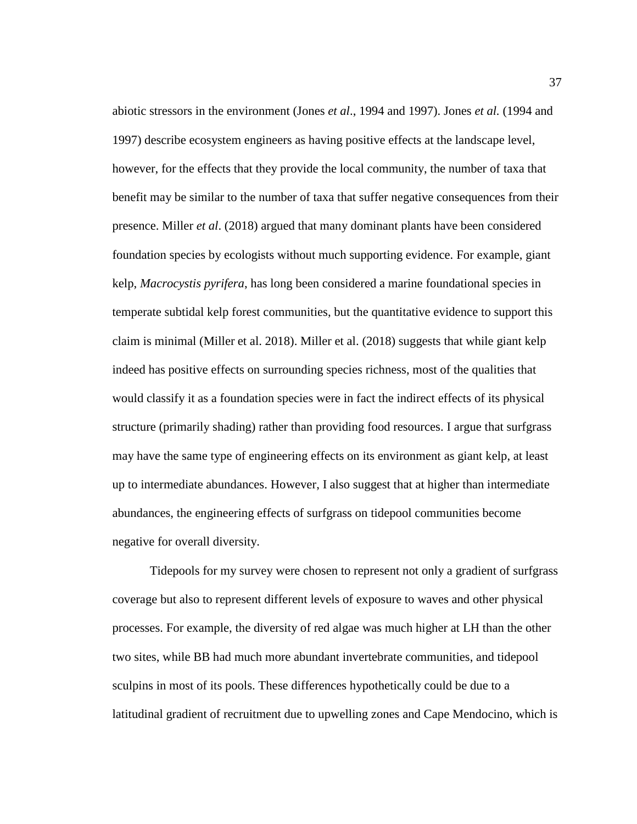abiotic stressors in the environment (Jones *et al*., 1994 and 1997). Jones *et al.* (1994 and 1997) describe ecosystem engineers as having positive effects at the landscape level, however, for the effects that they provide the local community, the number of taxa that benefit may be similar to the number of taxa that suffer negative consequences from their presence. Miller *et al*. (2018) argued that many dominant plants have been considered foundation species by ecologists without much supporting evidence. For example, giant kelp, *Macrocystis pyrifera*, has long been considered a marine foundational species in temperate subtidal kelp forest communities, but the quantitative evidence to support this claim is minimal (Miller et al. 2018). Miller et al. (2018) suggests that while giant kelp indeed has positive effects on surrounding species richness, most of the qualities that would classify it as a foundation species were in fact the indirect effects of its physical structure (primarily shading) rather than providing food resources. I argue that surfgrass may have the same type of engineering effects on its environment as giant kelp, at least up to intermediate abundances. However, I also suggest that at higher than intermediate abundances, the engineering effects of surfgrass on tidepool communities become negative for overall diversity.

Tidepools for my survey were chosen to represent not only a gradient of surfgrass coverage but also to represent different levels of exposure to waves and other physical processes. For example, the diversity of red algae was much higher at LH than the other two sites, while BB had much more abundant invertebrate communities, and tidepool sculpins in most of its pools. These differences hypothetically could be due to a latitudinal gradient of recruitment due to upwelling zones and Cape Mendocino, which is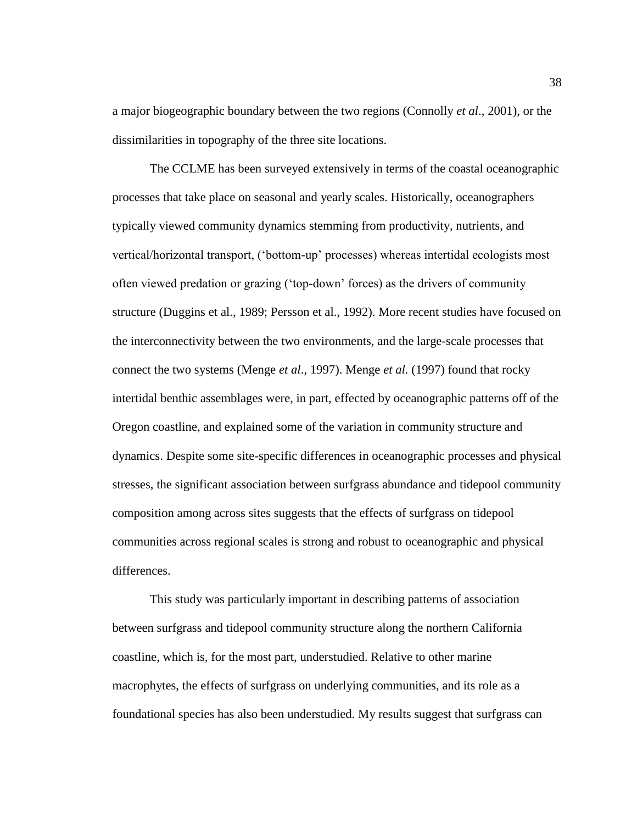a major biogeographic boundary between the two regions (Connolly *et al*., 2001), or the dissimilarities in topography of the three site locations.

The CCLME has been surveyed extensively in terms of the coastal oceanographic processes that take place on seasonal and yearly scales. Historically, oceanographers typically viewed community dynamics stemming from productivity, nutrients, and vertical/horizontal transport, ('bottom-up' processes) whereas intertidal ecologists most often viewed predation or grazing ('top-down' forces) as the drivers of community structure (Duggins et al., 1989; Persson et al., 1992). More recent studies have focused on the interconnectivity between the two environments, and the large-scale processes that connect the two systems (Menge *et al*., 1997). Menge *et al.* (1997) found that rocky intertidal benthic assemblages were, in part, effected by oceanographic patterns off of the Oregon coastline, and explained some of the variation in community structure and dynamics. Despite some site-specific differences in oceanographic processes and physical stresses, the significant association between surfgrass abundance and tidepool community composition among across sites suggests that the effects of surfgrass on tidepool communities across regional scales is strong and robust to oceanographic and physical differences.

This study was particularly important in describing patterns of association between surfgrass and tidepool community structure along the northern California coastline, which is, for the most part, understudied. Relative to other marine macrophytes, the effects of surfgrass on underlying communities, and its role as a foundational species has also been understudied. My results suggest that surfgrass can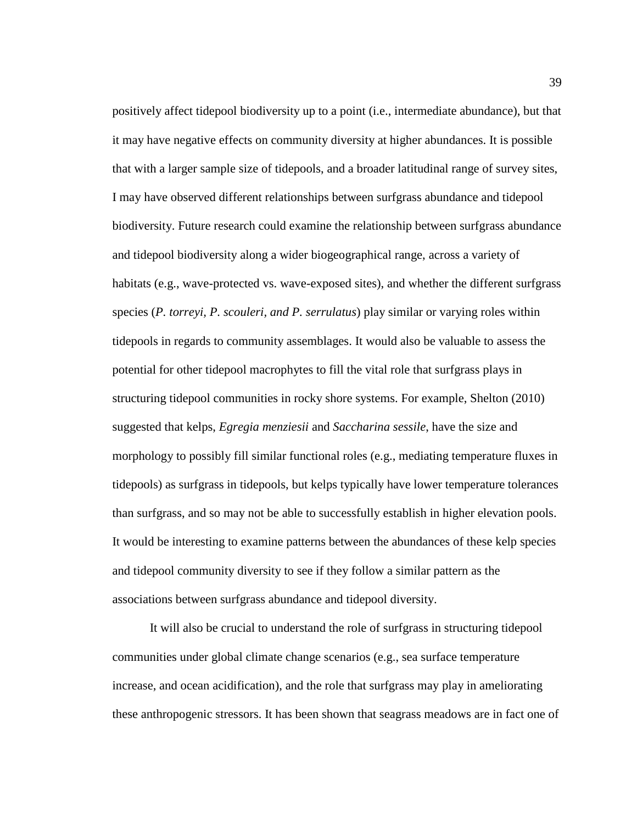positively affect tidepool biodiversity up to a point (i.e., intermediate abundance), but that it may have negative effects on community diversity at higher abundances. It is possible that with a larger sample size of tidepools, and a broader latitudinal range of survey sites, I may have observed different relationships between surfgrass abundance and tidepool biodiversity. Future research could examine the relationship between surfgrass abundance and tidepool biodiversity along a wider biogeographical range, across a variety of habitats (e.g., wave-protected vs. wave-exposed sites), and whether the different surfgrass species (*P. torreyi, P. scouleri, and P. serrulatus*) play similar or varying roles within tidepools in regards to community assemblages. It would also be valuable to assess the potential for other tidepool macrophytes to fill the vital role that surfgrass plays in structuring tidepool communities in rocky shore systems. For example, Shelton (2010) suggested that kelps, *Egregia menziesii* and *Saccharina sessile*, have the size and morphology to possibly fill similar functional roles (e.g., mediating temperature fluxes in tidepools) as surfgrass in tidepools, but kelps typically have lower temperature tolerances than surfgrass, and so may not be able to successfully establish in higher elevation pools. It would be interesting to examine patterns between the abundances of these kelp species and tidepool community diversity to see if they follow a similar pattern as the associations between surfgrass abundance and tidepool diversity.

It will also be crucial to understand the role of surfgrass in structuring tidepool communities under global climate change scenarios (e.g., sea surface temperature increase, and ocean acidification), and the role that surfgrass may play in ameliorating these anthropogenic stressors. It has been shown that seagrass meadows are in fact one of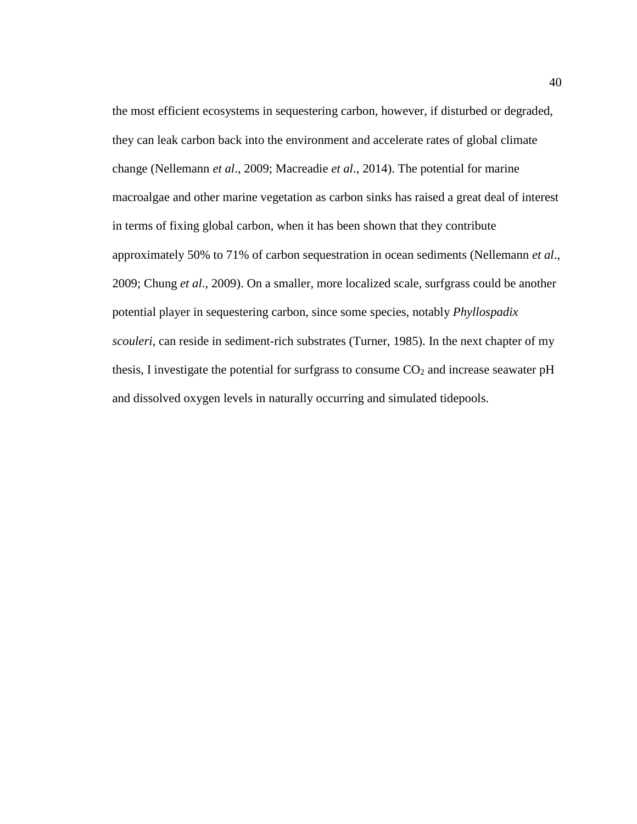the most efficient ecosystems in sequestering carbon, however, if disturbed or degraded, they can leak carbon back into the environment and accelerate rates of global climate change (Nellemann *et al*., 2009; Macreadie *et al*., 2014). The potential for marine macroalgae and other marine vegetation as carbon sinks has raised a great deal of interest in terms of fixing global carbon, when it has been shown that they contribute approximately 50% to 71% of carbon sequestration in ocean sediments (Nellemann *et al*., 2009; Chung *et al*., 2009). On a smaller, more localized scale, surfgrass could be another potential player in sequestering carbon, since some species, notably *Phyllospadix scouleri*, can reside in sediment-rich substrates (Turner, 1985). In the next chapter of my thesis, I investigate the potential for surfgrass to consume  $CO<sub>2</sub>$  and increase seawater pH and dissolved oxygen levels in naturally occurring and simulated tidepools.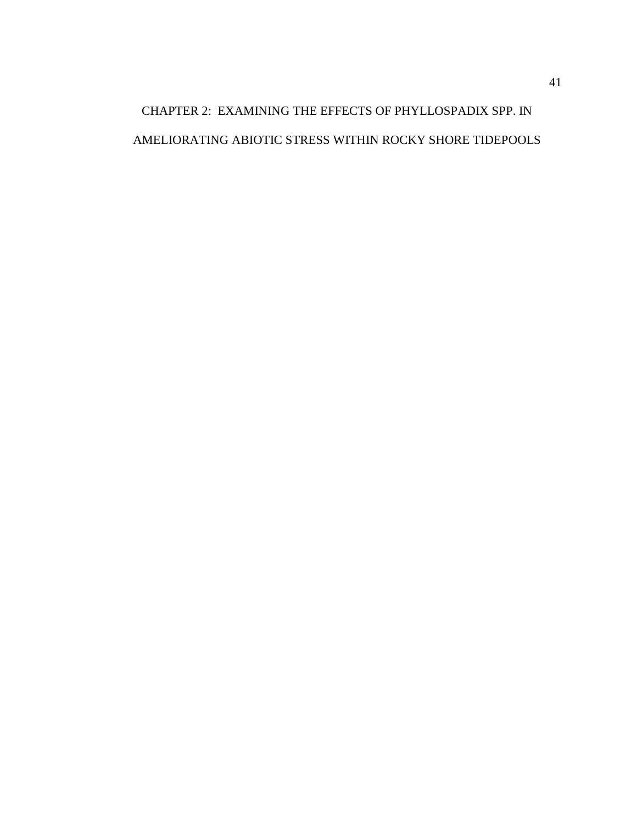# CHAPTER 2: EXAMINING THE EFFECTS OF PHYLLOSPADIX SPP. IN AMELIORATING ABIOTIC STRESS WITHIN ROCKY SHORE TIDEPOOLS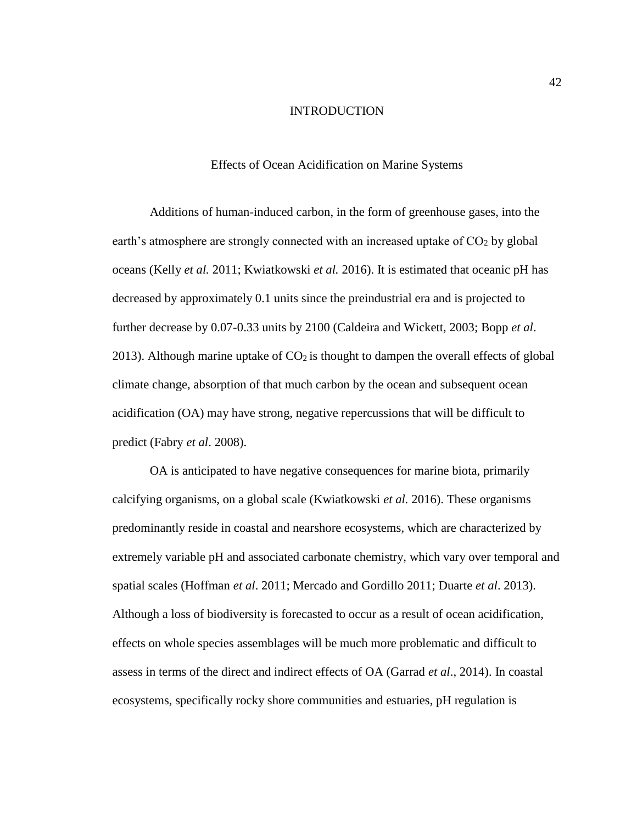## INTRODUCTION

## Effects of Ocean Acidification on Marine Systems

Additions of human-induced carbon, in the form of greenhouse gases, into the earth's atmosphere are strongly connected with an increased uptake of  $CO<sub>2</sub>$  by global oceans (Kelly *et al.* 2011; Kwiatkowski *et al.* 2016). It is estimated that oceanic pH has decreased by approximately 0.1 units since the preindustrial era and is projected to further decrease by 0.07-0.33 units by 2100 (Caldeira and Wickett, 2003; Bopp *et al*. 2013). Although marine uptake of  $CO<sub>2</sub>$  is thought to dampen the overall effects of global climate change, absorption of that much carbon by the ocean and subsequent ocean acidification (OA) may have strong, negative repercussions that will be difficult to predict (Fabry *et al*. 2008).

OA is anticipated to have negative consequences for marine biota, primarily calcifying organisms, on a global scale (Kwiatkowski *et al.* 2016). These organisms predominantly reside in coastal and nearshore ecosystems, which are characterized by extremely variable pH and associated carbonate chemistry, which vary over temporal and spatial scales (Hoffman *et al*. 2011; Mercado and Gordillo 2011; Duarte *et al*. 2013). Although a loss of biodiversity is forecasted to occur as a result of ocean acidification, effects on whole species assemblages will be much more problematic and difficult to assess in terms of the direct and indirect effects of OA (Garrad *et al*., 2014). In coastal ecosystems, specifically rocky shore communities and estuaries, pH regulation is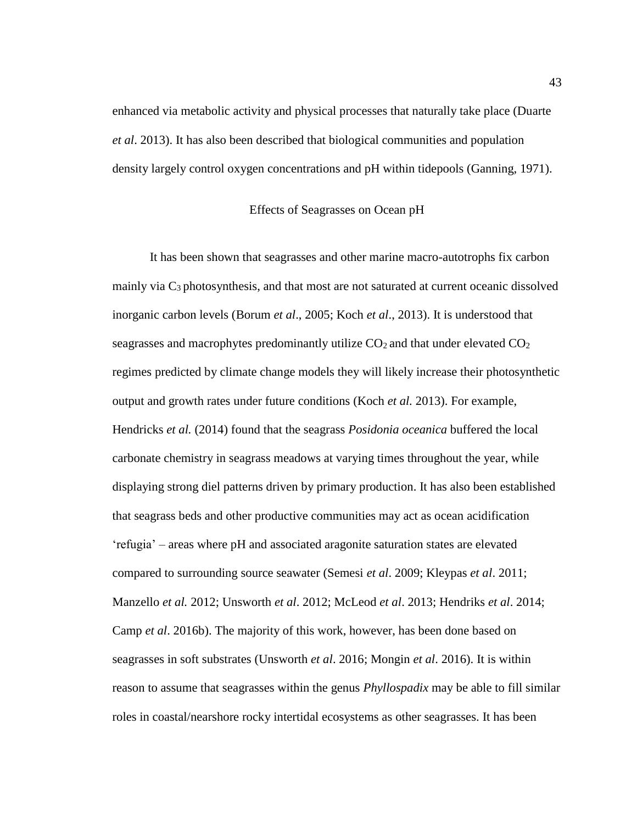enhanced via metabolic activity and physical processes that naturally take place (Duarte *et al*. 2013). It has also been described that biological communities and population density largely control oxygen concentrations and pH within tidepools (Ganning, 1971).

## Effects of Seagrasses on Ocean pH

It has been shown that seagrasses and other marine macro-autotrophs fix carbon mainly via  $C_3$  photosynthesis, and that most are not saturated at current oceanic dissolved inorganic carbon levels (Borum *et al*., 2005; Koch *et al*., 2013). It is understood that seagrasses and macrophytes predominantly utilize  $CO<sub>2</sub>$  and that under elevated  $CO<sub>2</sub>$ regimes predicted by climate change models they will likely increase their photosynthetic output and growth rates under future conditions (Koch *et al.* 2013). For example, Hendricks *et al.* (2014) found that the seagrass *Posidonia oceanica* buffered the local carbonate chemistry in seagrass meadows at varying times throughout the year, while displaying strong diel patterns driven by primary production. It has also been established that seagrass beds and other productive communities may act as ocean acidification 'refugia' – areas where pH and associated aragonite saturation states are elevated compared to surrounding source seawater (Semesi *et al*. 2009; Kleypas *et al*. 2011; Manzello *et al.* 2012; Unsworth *et al*. 2012; McLeod *et al*. 2013; Hendriks *et al*. 2014; Camp *et al*. 2016b). The majority of this work, however, has been done based on seagrasses in soft substrates (Unsworth *et al*. 2016; Mongin *et al*. 2016). It is within reason to assume that seagrasses within the genus *Phyllospadix* may be able to fill similar roles in coastal/nearshore rocky intertidal ecosystems as other seagrasses. It has been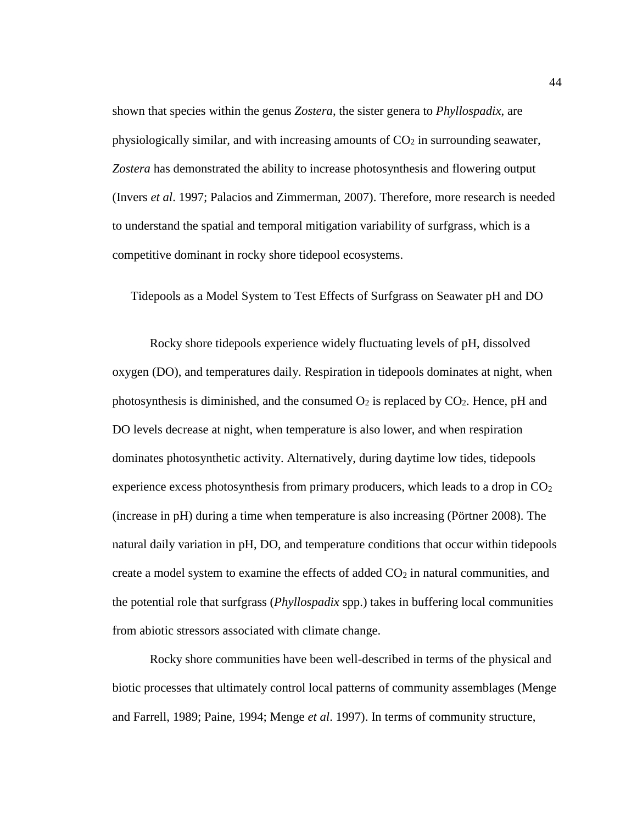shown that species within the genus *Zostera*, the sister genera to *Phyllospadix*, are physiologically similar, and with increasing amounts of  $CO<sub>2</sub>$  in surrounding seawater, *Zostera* has demonstrated the ability to increase photosynthesis and flowering output (Invers *et al*. 1997; Palacios and Zimmerman, 2007). Therefore, more research is needed to understand the spatial and temporal mitigation variability of surfgrass, which is a competitive dominant in rocky shore tidepool ecosystems.

Tidepools as a Model System to Test Effects of Surfgrass on Seawater pH and DO

Rocky shore tidepools experience widely fluctuating levels of pH, dissolved oxygen (DO), and temperatures daily. Respiration in tidepools dominates at night, when photosynthesis is diminished, and the consumed  $O_2$  is replaced by  $CO_2$ . Hence, pH and DO levels decrease at night, when temperature is also lower, and when respiration dominates photosynthetic activity. Alternatively, during daytime low tides, tidepools experience excess photosynthesis from primary producers, which leads to a drop in  $CO<sub>2</sub>$ (increase in pH) during a time when temperature is also increasing (Pörtner 2008). The natural daily variation in pH, DO, and temperature conditions that occur within tidepools create a model system to examine the effects of added  $CO<sub>2</sub>$  in natural communities, and the potential role that surfgrass (*Phyllospadix* spp.) takes in buffering local communities from abiotic stressors associated with climate change.

Rocky shore communities have been well-described in terms of the physical and biotic processes that ultimately control local patterns of community assemblages (Menge and Farrell, 1989; Paine, 1994; Menge *et al*. 1997). In terms of community structure,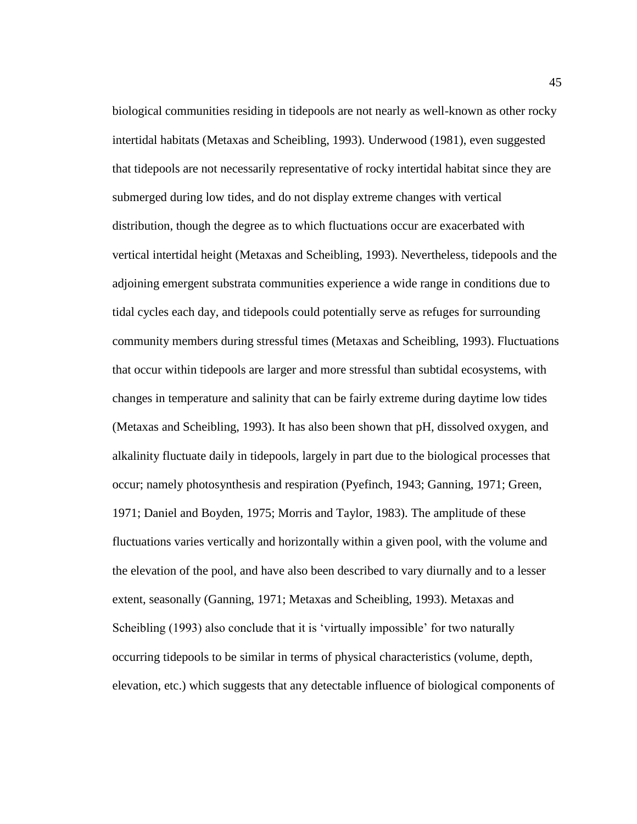biological communities residing in tidepools are not nearly as well-known as other rocky intertidal habitats (Metaxas and Scheibling, 1993). Underwood (1981), even suggested that tidepools are not necessarily representative of rocky intertidal habitat since they are submerged during low tides, and do not display extreme changes with vertical distribution, though the degree as to which fluctuations occur are exacerbated with vertical intertidal height (Metaxas and Scheibling, 1993). Nevertheless, tidepools and the adjoining emergent substrata communities experience a wide range in conditions due to tidal cycles each day, and tidepools could potentially serve as refuges for surrounding community members during stressful times (Metaxas and Scheibling, 1993). Fluctuations that occur within tidepools are larger and more stressful than subtidal ecosystems, with changes in temperature and salinity that can be fairly extreme during daytime low tides (Metaxas and Scheibling, 1993). It has also been shown that pH, dissolved oxygen, and alkalinity fluctuate daily in tidepools, largely in part due to the biological processes that occur; namely photosynthesis and respiration (Pyefinch, 1943; Ganning, 1971; Green, 1971; Daniel and Boyden, 1975; Morris and Taylor, 1983). The amplitude of these fluctuations varies vertically and horizontally within a given pool, with the volume and the elevation of the pool, and have also been described to vary diurnally and to a lesser extent, seasonally (Ganning, 1971; Metaxas and Scheibling, 1993). Metaxas and Scheibling (1993) also conclude that it is 'virtually impossible' for two naturally occurring tidepools to be similar in terms of physical characteristics (volume, depth, elevation, etc.) which suggests that any detectable influence of biological components of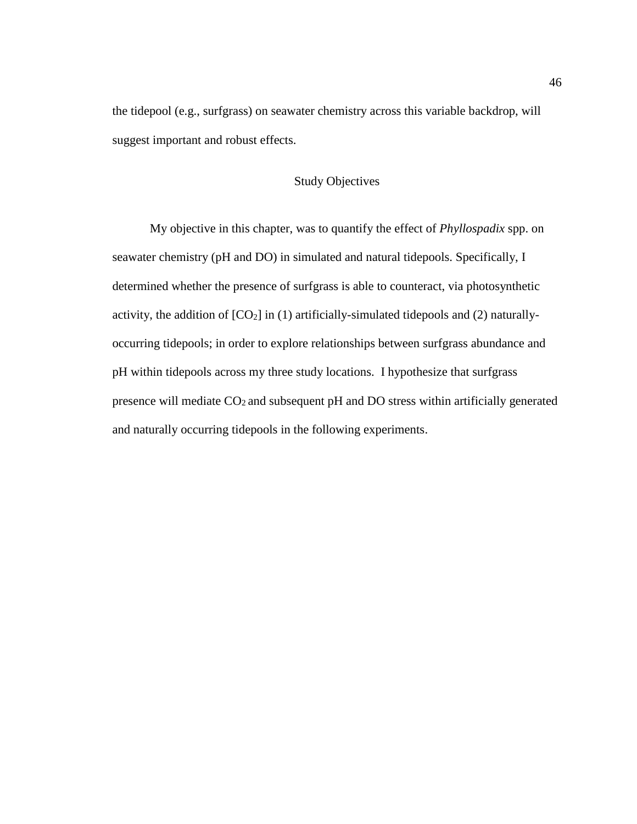the tidepool (e.g., surfgrass) on seawater chemistry across this variable backdrop, will suggest important and robust effects.

# Study Objectives

My objective in this chapter, was to quantify the effect of *Phyllospadix* spp. on seawater chemistry (pH and DO) in simulated and natural tidepools. Specifically, I determined whether the presence of surfgrass is able to counteract, via photosynthetic activity, the addition of  $[CO_2]$  in (1) artificially-simulated tidepools and (2) naturallyoccurring tidepools; in order to explore relationships between surfgrass abundance and pH within tidepools across my three study locations. I hypothesize that surfgrass presence will mediate  $CO<sub>2</sub>$  and subsequent pH and DO stress within artificially generated and naturally occurring tidepools in the following experiments.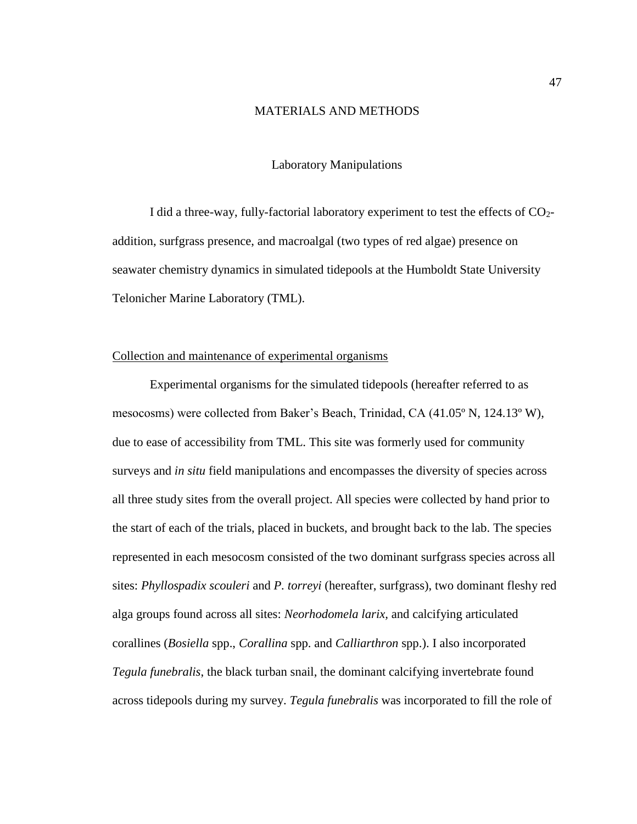# MATERIALS AND METHODS

## Laboratory Manipulations

I did a three-way, fully-factorial laboratory experiment to test the effects of CO2 addition, surfgrass presence, and macroalgal (two types of red algae) presence on seawater chemistry dynamics in simulated tidepools at the Humboldt State University Telonicher Marine Laboratory (TML).

## Collection and maintenance of experimental organisms

Experimental organisms for the simulated tidepools (hereafter referred to as mesocosms) were collected from Baker's Beach, Trinidad, CA (41.05º N, 124.13º W), due to ease of accessibility from TML. This site was formerly used for community surveys and *in situ* field manipulations and encompasses the diversity of species across all three study sites from the overall project. All species were collected by hand prior to the start of each of the trials, placed in buckets, and brought back to the lab. The species represented in each mesocosm consisted of the two dominant surfgrass species across all sites: *Phyllospadix scouleri* and *P. torreyi* (hereafter, surfgrass), two dominant fleshy red alga groups found across all sites: *Neorhodomela larix,* and calcifying articulated corallines (*Bosiella* spp., *Corallina* spp. and *Calliarthron* spp.). I also incorporated *Tegula funebralis*, the black turban snail, the dominant calcifying invertebrate found across tidepools during my survey. *Tegula funebralis* was incorporated to fill the role of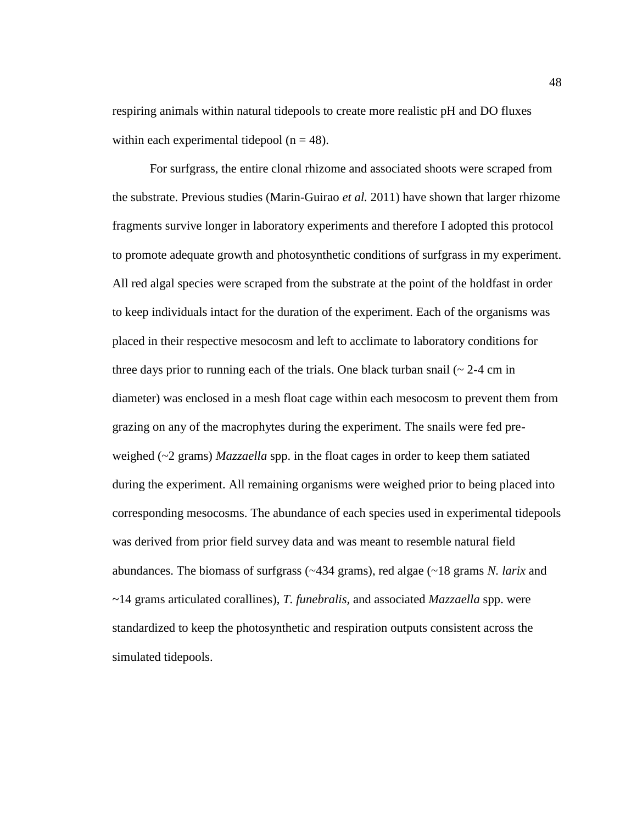respiring animals within natural tidepools to create more realistic pH and DO fluxes within each experimental tidepool ( $n = 48$ ).

For surfgrass, the entire clonal rhizome and associated shoots were scraped from the substrate. Previous studies (Marin-Guirao *et al.* 2011) have shown that larger rhizome fragments survive longer in laboratory experiments and therefore I adopted this protocol to promote adequate growth and photosynthetic conditions of surfgrass in my experiment. All red algal species were scraped from the substrate at the point of the holdfast in order to keep individuals intact for the duration of the experiment. Each of the organisms was placed in their respective mesocosm and left to acclimate to laboratory conditions for three days prior to running each of the trials. One black turban snail  $\sim$  2-4 cm in diameter) was enclosed in a mesh float cage within each mesocosm to prevent them from grazing on any of the macrophytes during the experiment. The snails were fed preweighed (~2 grams) *Mazzaella* spp. in the float cages in order to keep them satiated during the experiment. All remaining organisms were weighed prior to being placed into corresponding mesocosms. The abundance of each species used in experimental tidepools was derived from prior field survey data and was meant to resemble natural field abundances. The biomass of surfgrass (~434 grams), red algae (~18 grams *N. larix* and ~14 grams articulated corallines), *T. funebralis,* and associated *Mazzaella* spp. were standardized to keep the photosynthetic and respiration outputs consistent across the simulated tidepools.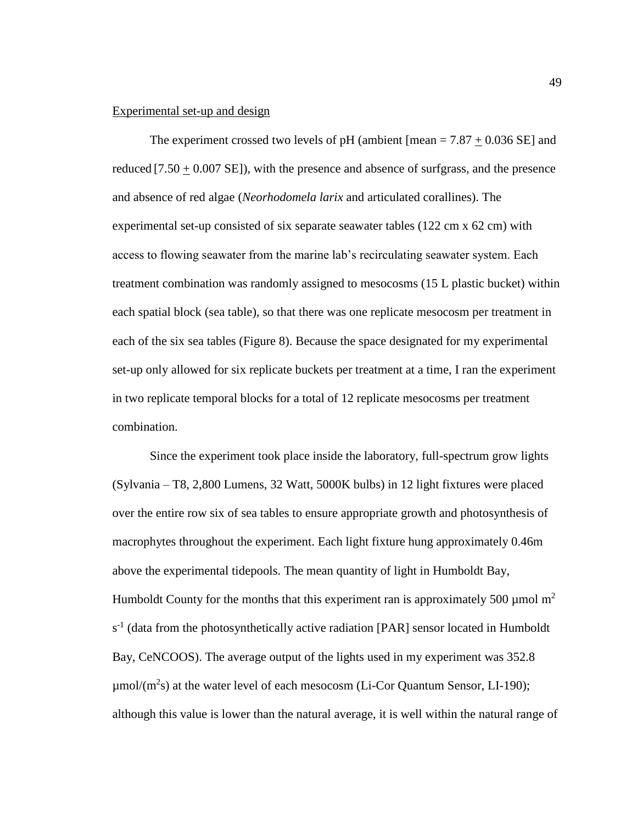## Experimental set-up and design

The experiment crossed two levels of pH (ambient  $[mean = 7.87 + 0.036$  SE] and reduced  $[7.50 + 0.007 \text{ SE}]$ , with the presence and absence of surfgrass, and the presence and absence of red algae (*Neorhodomela larix* and articulated corallines). The experimental set-up consisted of six separate seawater tables (122 cm x 62 cm) with access to flowing seawater from the marine lab's recirculating seawater system. Each treatment combination was randomly assigned to mesocosms (15 L plastic bucket) within each spatial block (sea table), so that there was one replicate mesocosm per treatment in each of the six sea tables (Figure 8). Because the space designated for my experimental set-up only allowed for six replicate buckets per treatment at a time, I ran the experiment in two replicate temporal blocks for a total of 12 replicate mesocosms per treatment combination.

Since the experiment took place inside the laboratory, full-spectrum grow lights (Sylvania – T8, 2,800 Lumens, 32 Watt, 5000K bulbs) in 12 light fixtures were placed over the entire row six of sea tables to ensure appropriate growth and photosynthesis of macrophytes throughout the experiment. Each light fixture hung approximately 0.46m above the experimental tidepools. The mean quantity of light in Humboldt Bay, Humboldt County for the months that this experiment ran is approximately 500  $\mu$ mol m<sup>2</sup>  $s<sup>-1</sup>$  (data from the photosynthetically active radiation [PAR] sensor located in Humboldt Bay, CeNCOOS). The average output of the lights used in my experiment was 352.8  $\mu$ mol/(m<sup>2</sup>s) at the water level of each mesocosm (Li-Cor Quantum Sensor, LI-190); although this value is lower than the natural average, it is well within the natural range of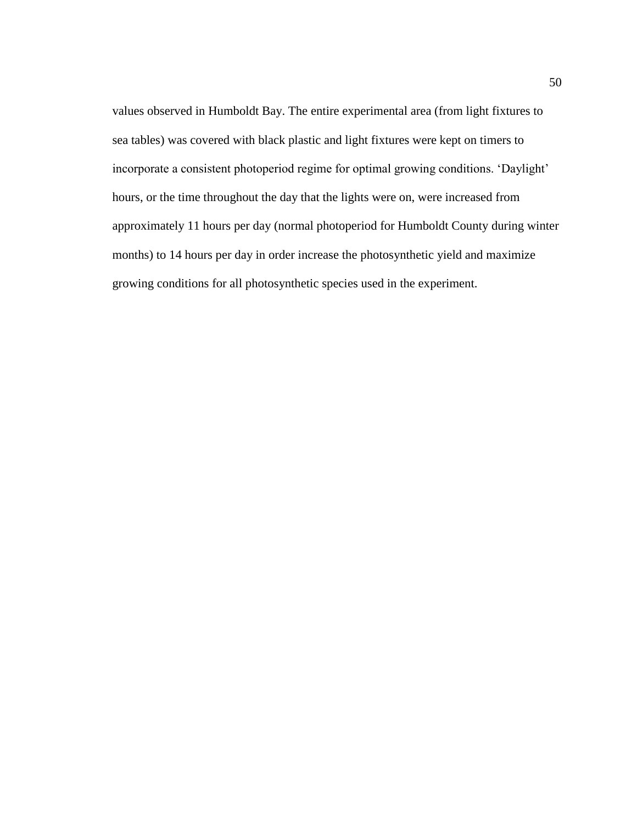values observed in Humboldt Bay. The entire experimental area (from light fixtures to sea tables) was covered with black plastic and light fixtures were kept on timers to incorporate a consistent photoperiod regime for optimal growing conditions. 'Daylight' hours, or the time throughout the day that the lights were on, were increased from approximately 11 hours per day (normal photoperiod for Humboldt County during winter months) to 14 hours per day in order increase the photosynthetic yield and maximize growing conditions for all photosynthetic species used in the experiment.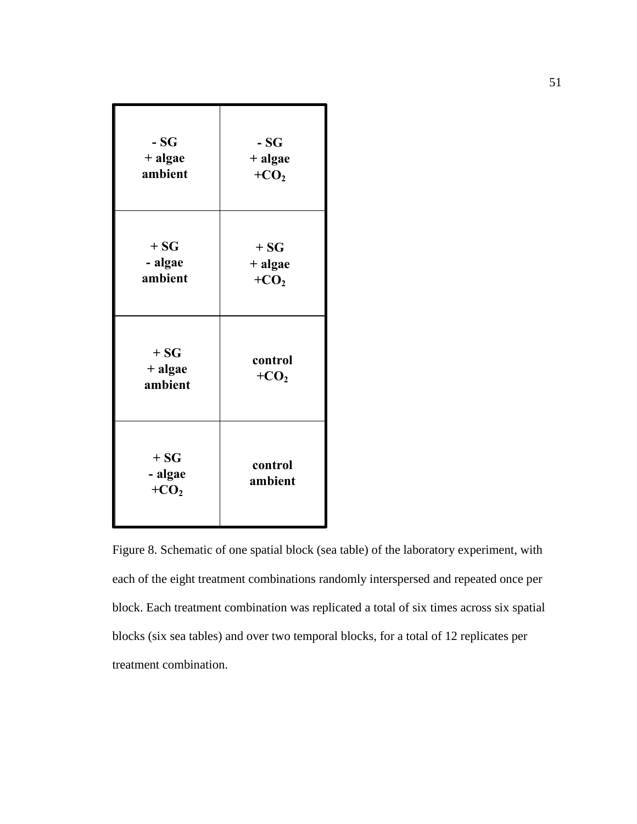| $-SG$                       | $-SG$              |
|-----------------------------|--------------------|
| + algae                     | + algae            |
| ambient                     | $+CO2$             |
| $+SG$                       | $+SG$              |
| - algae                     | + algae            |
| ambient                     | $+CO2$             |
| $+SG$<br>+ algae<br>ambient | control<br>$+CO2$  |
| $+SG$<br>- algae<br>$+CO2$  | control<br>ambient |

Figure 8. Schematic of one spatial block (sea table) of the laboratory experiment, with each of the eight treatment combinations randomly interspersed and repeated once per block. Each treatment combination was replicated a total of six times across six spatial blocks (six sea tables) and over two temporal blocks, for a total of 12 replicates per treatment combination.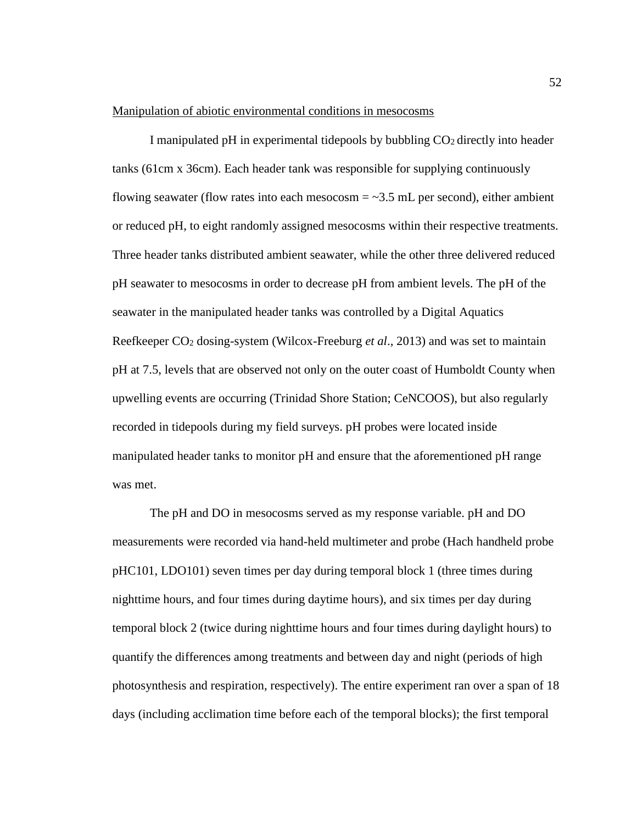### Manipulation of abiotic environmental conditions in mesocosms

I manipulated pH in experimental tidepools by bubbling  $CO<sub>2</sub>$  directly into header tanks (61cm x 36cm). Each header tank was responsible for supplying continuously flowing seawater (flow rates into each mesocosm  $=$  ~3.5 mL per second), either ambient or reduced pH, to eight randomly assigned mesocosms within their respective treatments. Three header tanks distributed ambient seawater, while the other three delivered reduced pH seawater to mesocosms in order to decrease pH from ambient levels. The pH of the seawater in the manipulated header tanks was controlled by a Digital Aquatics Reefkeeper CO<sup>2</sup> dosing-system (Wilcox-Freeburg *et al*., 2013) and was set to maintain pH at 7.5, levels that are observed not only on the outer coast of Humboldt County when upwelling events are occurring (Trinidad Shore Station; CeNCOOS), but also regularly recorded in tidepools during my field surveys. pH probes were located inside manipulated header tanks to monitor pH and ensure that the aforementioned pH range was met.

The pH and DO in mesocosms served as my response variable. pH and DO measurements were recorded via hand-held multimeter and probe (Hach handheld probe pHC101, LDO101) seven times per day during temporal block 1 (three times during nighttime hours, and four times during daytime hours), and six times per day during temporal block 2 (twice during nighttime hours and four times during daylight hours) to quantify the differences among treatments and between day and night (periods of high photosynthesis and respiration, respectively). The entire experiment ran over a span of 18 days (including acclimation time before each of the temporal blocks); the first temporal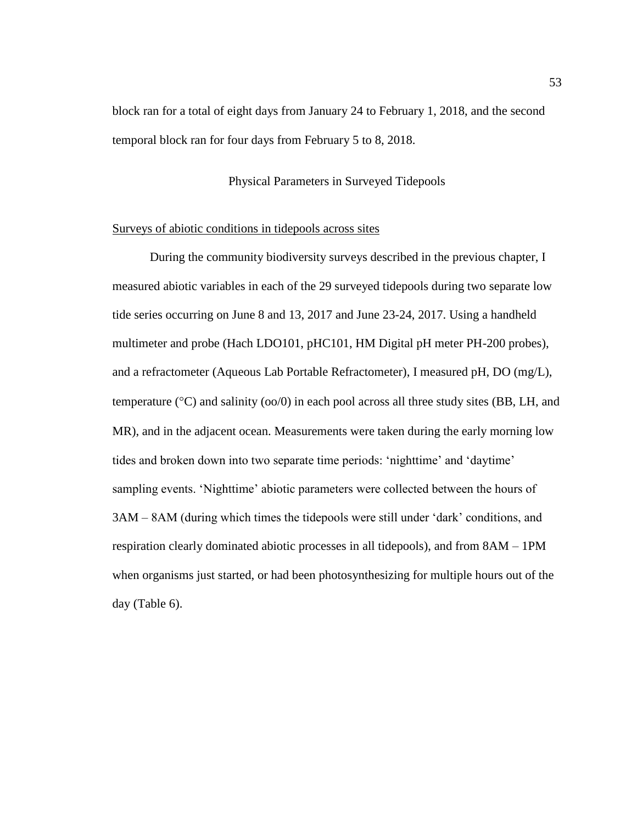block ran for a total of eight days from January 24 to February 1, 2018, and the second temporal block ran for four days from February 5 to 8, 2018.

# Physical Parameters in Surveyed Tidepools

## Surveys of abiotic conditions in tidepools across sites

During the community biodiversity surveys described in the previous chapter, I measured abiotic variables in each of the 29 surveyed tidepools during two separate low tide series occurring on June 8 and 13, 2017 and June 23-24, 2017. Using a handheld multimeter and probe (Hach LDO101, pHC101, HM Digital pH meter PH-200 probes), and a refractometer (Aqueous Lab Portable Refractometer), I measured pH, DO (mg/L), temperature ( $\degree$ C) and salinity ( $\degree$ o $\degree$ ) in each pool across all three study sites (BB, LH, and MR), and in the adjacent ocean. Measurements were taken during the early morning low tides and broken down into two separate time periods: 'nighttime' and 'daytime' sampling events. 'Nighttime' abiotic parameters were collected between the hours of 3AM – 8AM (during which times the tidepools were still under 'dark' conditions, and respiration clearly dominated abiotic processes in all tidepools), and from 8AM – 1PM when organisms just started, or had been photosynthesizing for multiple hours out of the day (Table 6).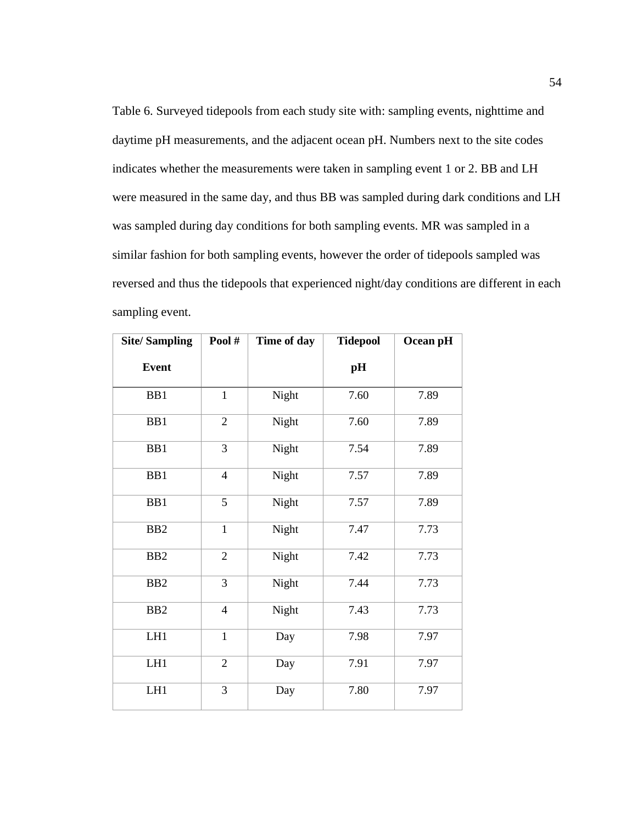Table 6. Surveyed tidepools from each study site with: sampling events, nighttime and daytime pH measurements, and the adjacent ocean pH. Numbers next to the site codes indicates whether the measurements were taken in sampling event 1 or 2. BB and LH were measured in the same day, and thus BB was sampled during dark conditions and LH was sampled during day conditions for both sampling events. MR was sampled in a similar fashion for both sampling events, however the order of tidepools sampled was reversed and thus the tidepools that experienced night/day conditions are different in each sampling event.

| <b>Site/Sampling</b> | Pool#          | Time of day | <b>Tidepool</b> | Ocean pH |
|----------------------|----------------|-------------|-----------------|----------|
| <b>Event</b>         |                |             | pH              |          |
| BB1                  | $\mathbf{1}$   | Night       | 7.60            | 7.89     |
| BB1                  | $\mathbf{2}$   | Night       | 7.60            | 7.89     |
| BB1                  | 3              | Night       | 7.54            | 7.89     |
| BB1                  | $\overline{4}$ | Night       | 7.57            | 7.89     |
| BB1                  | 5              | Night       | 7.57            | 7.89     |
| B <sub>B2</sub>      | $\mathbf{1}$   | Night       | 7.47            | 7.73     |
| B <sub>B2</sub>      | $\sqrt{2}$     | Night       | 7.42            | 7.73     |
| B <sub>B2</sub>      | 3              | Night       | 7.44            | 7.73     |
| B <sub>B2</sub>      | $\overline{4}$ | Night       | 7.43            | 7.73     |
| LH1                  | $\mathbf{1}$   | Day         | 7.98            | 7.97     |
| LH1                  | $\mathbf{2}$   | Day         | 7.91            | 7.97     |
| LH1                  | $\mathfrak{Z}$ | Day         | 7.80            | 7.97     |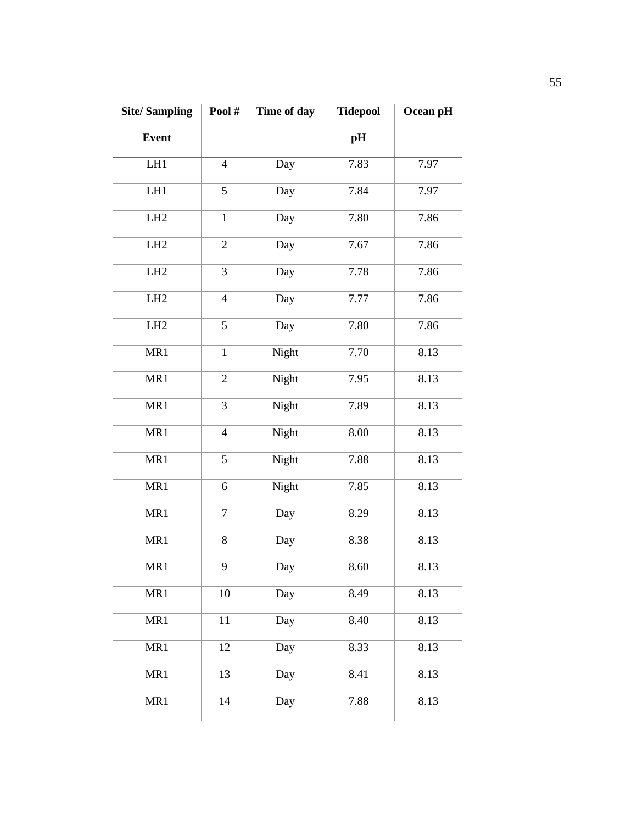| <b>Site/Sampling</b> | Pool#          | Time of day | <b>Tidepool</b> | Ocean pH |
|----------------------|----------------|-------------|-----------------|----------|
| <b>Event</b>         |                |             | pH              |          |
| LH1                  | $\overline{4}$ | Day         | 7.83            | 7.97     |
| LH1                  | 5              | Day         | 7.84            | 7.97     |
| LH <sub>2</sub>      | $\mathbf{1}$   | Day         | 7.80            | 7.86     |
| LH <sub>2</sub>      | $\overline{2}$ | Day         | 7.67            | 7.86     |
| LH2                  | 3              | Day         | 7.78            | 7.86     |
| LH <sub>2</sub>      | $\overline{4}$ | Day         | 7.77            | 7.86     |
| LH <sub>2</sub>      | 5              | Day         | 7.80            | 7.86     |
| MR1                  | $\mathbf{1}$   | Night       | 7.70            | 8.13     |
| MR1                  | $\sqrt{2}$     | Night       | 7.95            | 8.13     |
| MR1                  | 3              | Night       | 7.89            | 8.13     |
| MR1                  | $\overline{4}$ | Night       | 8.00            | 8.13     |
| MR1                  | 5              | Night       | 7.88            | 8.13     |
| MR1                  | 6              | Night       | 7.85            | 8.13     |
| MR1                  | $\overline{7}$ | Day         | 8.29            | 8.13     |
| MR1                  | 8              | Day         | 8.38            | 8.13     |
| MR1                  | 9              | Day         | 8.60            | 8.13     |
| MR1                  | 10             | Day         | 8.49            | 8.13     |
| MR1                  | 11             | Day         | 8.40            | 8.13     |
| MR1                  | 12             | Day         | 8.33            | 8.13     |
| MR1                  | 13             | Day         | 8.41            | 8.13     |
| MR1                  | 14             | Day         | 7.88            | 8.13     |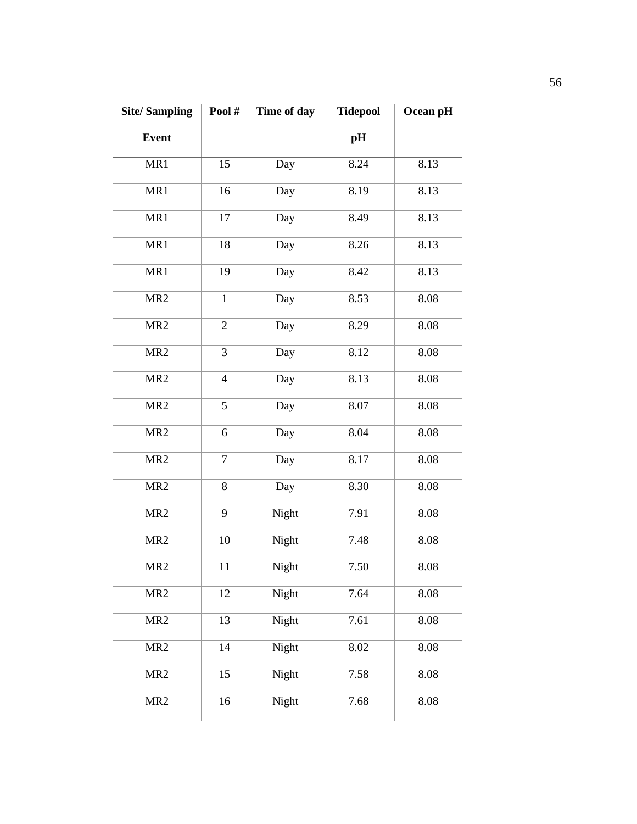| <b>Site/Sampling</b> | Pool#            | Time of day | <b>Tidepool</b> | Ocean pH |
|----------------------|------------------|-------------|-----------------|----------|
| <b>Event</b>         |                  |             | pH              |          |
| MR1                  | $\overline{15}$  | Day         | 8.24            | 8.13     |
| MR1                  | 16               | Day         | 8.19            | 8.13     |
| MR1                  | 17               | Day         | 8.49            | 8.13     |
| MR1                  | 18               | Day         | 8.26            | 8.13     |
| MR1                  | 19               | Day         | 8.42            | 8.13     |
| MR <sub>2</sub>      | $\mathbf{1}$     | Day         | 8.53            | 8.08     |
| MR <sub>2</sub>      | $\overline{2}$   | Day         | 8.29            | 8.08     |
| MR <sub>2</sub>      | 3                | Day         | 8.12            | 8.08     |
| MR <sub>2</sub>      | $\overline{4}$   | Day         | 8.13            | 8.08     |
| MR <sub>2</sub>      | 5                | Day         | 8.07            | 8.08     |
| MR <sub>2</sub>      | 6                | Day         | 8.04            | 8.08     |
| MR <sub>2</sub>      | $\boldsymbol{7}$ | Day         | 8.17            | 8.08     |
| MR <sub>2</sub>      | 8                | Day         | 8.30            | 8.08     |
| MR <sub>2</sub>      | 9                | Night       | 7.91            | 8.08     |
| MR <sub>2</sub>      | 10               | Night       | 7.48            | 8.08     |
| MR <sub>2</sub>      | 11               | Night       | 7.50            | 8.08     |
| MR <sub>2</sub>      | 12               | Night       | 7.64            | 8.08     |
| MR <sub>2</sub>      | 13               | Night       | 7.61            | 8.08     |
| MR <sub>2</sub>      | 14               | Night       | 8.02            | 8.08     |
| MR <sub>2</sub>      | 15               | Night       | 7.58            | 8.08     |
| MR <sub>2</sub>      | 16               | Night       | 7.68            | 8.08     |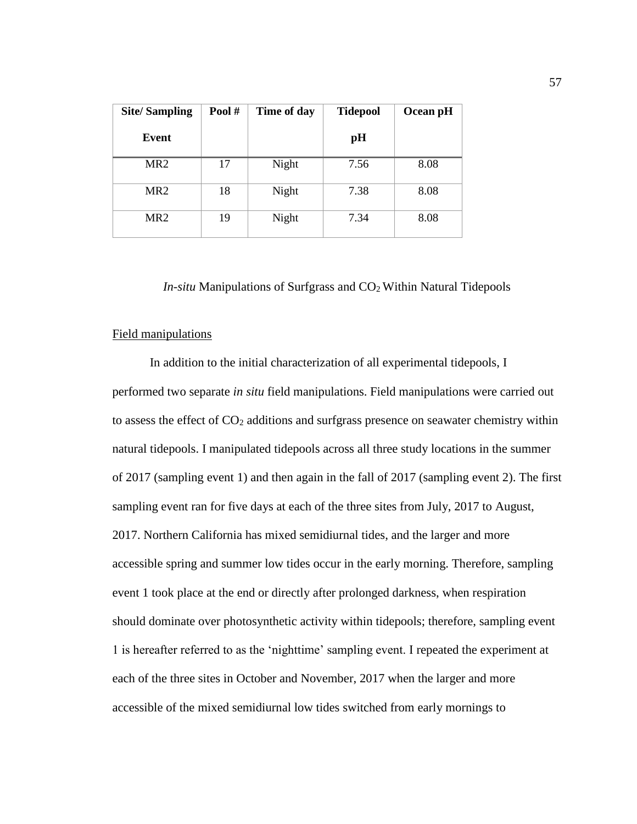| <b>Site/Sampling</b> | Pool# | Time of day | <b>Tidepool</b> | Ocean pH |
|----------------------|-------|-------------|-----------------|----------|
| Event                |       |             | pH              |          |
| MR <sub>2</sub>      | 17    | Night       | 7.56            | 8.08     |
| MR <sub>2</sub>      | 18    | Night       | 7.38            | 8.08     |
| MR <sub>2</sub>      | 19    | Night       | 7.34            | 8.08     |

*In-situ* Manipulations of Surfgrass and CO<sub>2</sub> Within Natural Tidepools

### Field manipulations

In addition to the initial characterization of all experimental tidepools, I performed two separate *in situ* field manipulations. Field manipulations were carried out to assess the effect of  $CO<sub>2</sub>$  additions and surfgrass presence on seawater chemistry within natural tidepools. I manipulated tidepools across all three study locations in the summer of 2017 (sampling event 1) and then again in the fall of 2017 (sampling event 2). The first sampling event ran for five days at each of the three sites from July, 2017 to August, 2017. Northern California has mixed semidiurnal tides, and the larger and more accessible spring and summer low tides occur in the early morning. Therefore, sampling event 1 took place at the end or directly after prolonged darkness, when respiration should dominate over photosynthetic activity within tidepools; therefore, sampling event 1 is hereafter referred to as the 'nighttime' sampling event. I repeated the experiment at each of the three sites in October and November, 2017 when the larger and more accessible of the mixed semidiurnal low tides switched from early mornings to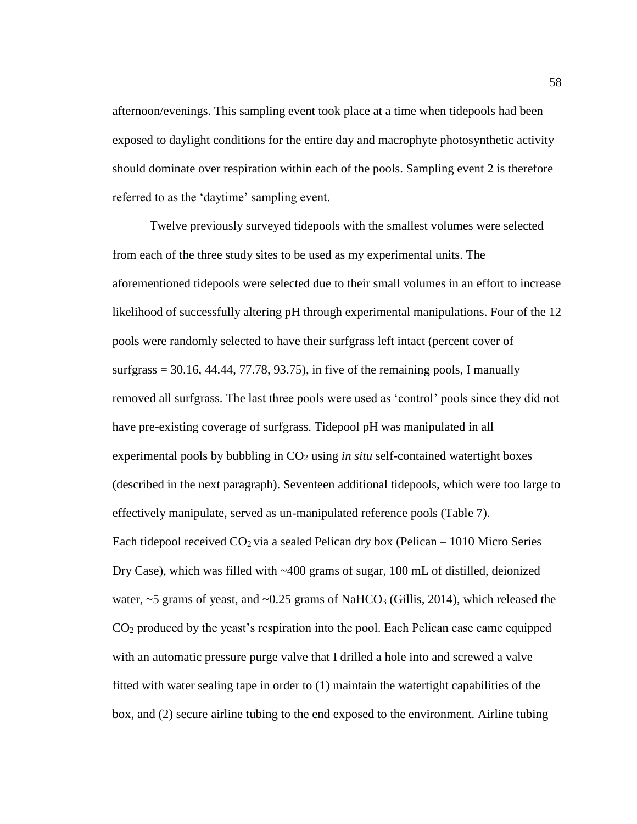afternoon/evenings. This sampling event took place at a time when tidepools had been exposed to daylight conditions for the entire day and macrophyte photosynthetic activity should dominate over respiration within each of the pools. Sampling event 2 is therefore referred to as the 'daytime' sampling event.

Twelve previously surveyed tidepools with the smallest volumes were selected from each of the three study sites to be used as my experimental units. The aforementioned tidepools were selected due to their small volumes in an effort to increase likelihood of successfully altering pH through experimental manipulations. Four of the 12 pools were randomly selected to have their surfgrass left intact (percent cover of surfgrass  $= 30.16, 44.44, 77.78, 93.75$ , in five of the remaining pools, I manually removed all surfgrass. The last three pools were used as 'control' pools since they did not have pre-existing coverage of surfgrass. Tidepool pH was manipulated in all experimental pools by bubbling in CO<sup>2</sup> using *in situ* self-contained watertight boxes (described in the next paragraph). Seventeen additional tidepools, which were too large to effectively manipulate, served as un-manipulated reference pools (Table 7). Each tidepool received  $CO<sub>2</sub>$  via a sealed Pelican dry box (Pelican – 1010 Micro Series Dry Case), which was filled with ~400 grams of sugar, 100 mL of distilled, deionized water,  $\sim$  5 grams of yeast, and  $\sim$  0.25 grams of NaHCO<sub>3</sub> (Gillis, 2014), which released the CO<sup>2</sup> produced by the yeast's respiration into the pool. Each Pelican case came equipped with an automatic pressure purge valve that I drilled a hole into and screwed a valve fitted with water sealing tape in order to (1) maintain the watertight capabilities of the box, and (2) secure airline tubing to the end exposed to the environment. Airline tubing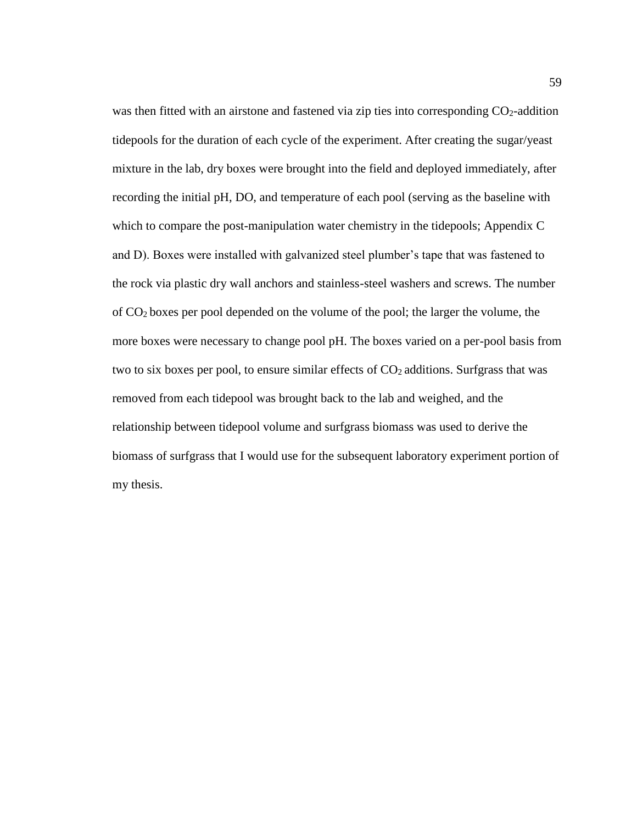was then fitted with an airstone and fastened via zip ties into corresponding  $CO<sub>2</sub>$ -addition tidepools for the duration of each cycle of the experiment. After creating the sugar/yeast mixture in the lab, dry boxes were brought into the field and deployed immediately, after recording the initial pH, DO, and temperature of each pool (serving as the baseline with which to compare the post-manipulation water chemistry in the tidepools; Appendix C and D). Boxes were installed with galvanized steel plumber's tape that was fastened to the rock via plastic dry wall anchors and stainless-steel washers and screws. The number of CO2 boxes per pool depended on the volume of the pool; the larger the volume, the more boxes were necessary to change pool pH. The boxes varied on a per-pool basis from two to six boxes per pool, to ensure similar effects of  $CO<sub>2</sub>$  additions. Surfgrass that was removed from each tidepool was brought back to the lab and weighed, and the relationship between tidepool volume and surfgrass biomass was used to derive the biomass of surfgrass that I would use for the subsequent laboratory experiment portion of my thesis.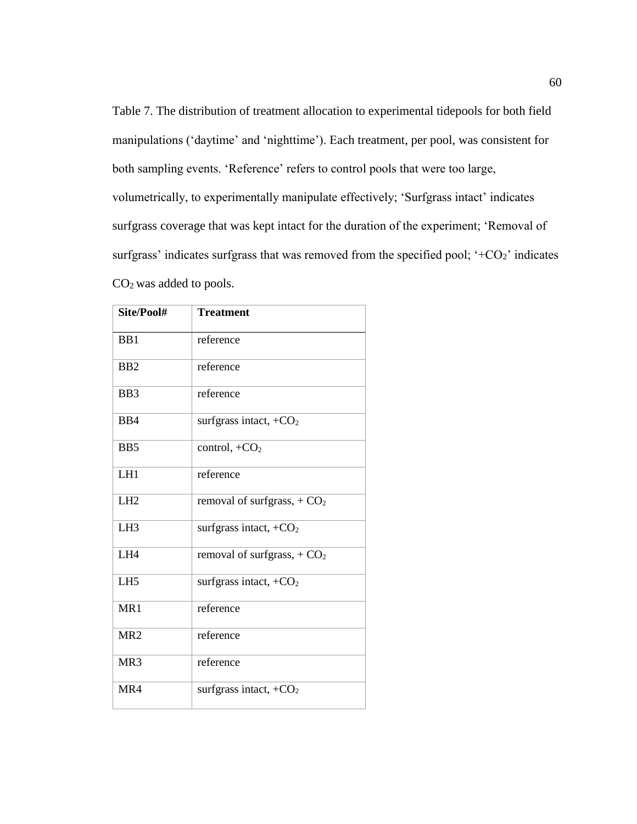Table 7. The distribution of treatment allocation to experimental tidepools for both field manipulations ('daytime' and 'nighttime'). Each treatment, per pool, was consistent for both sampling events. 'Reference' refers to control pools that were too large, volumetrically, to experimentally manipulate effectively; 'Surfgrass intact' indicates surfgrass coverage that was kept intact for the duration of the experiment; 'Removal of surfgrass' indicates surfgrass that was removed from the specified pool;  $+CO_2$ ' indicates CO2 was added to pools.

| Site/Pool#      | <b>Treatment</b>                   |
|-----------------|------------------------------------|
| B <sub>B1</sub> | reference                          |
| B <sub>B2</sub> | reference                          |
| BB3             | reference                          |
| B <sub>B4</sub> | surfgrass intact, $+CO2$           |
| B <sub>B5</sub> | control, $+CO2$                    |
| LH1             | reference                          |
| LH2             | removal of surfgrass, $+CO2$       |
| LH <sub>3</sub> | surfgrass intact, $+CO2$           |
| LH4             | removal of surfgrass, $+CO2$       |
| LH <sub>5</sub> | surfgrass intact, $+CO2$           |
| MR1             | reference                          |
| MR <sub>2</sub> | reference                          |
| MR <sub>3</sub> | reference                          |
| MR4             | surfgrass intact, +CO <sub>2</sub> |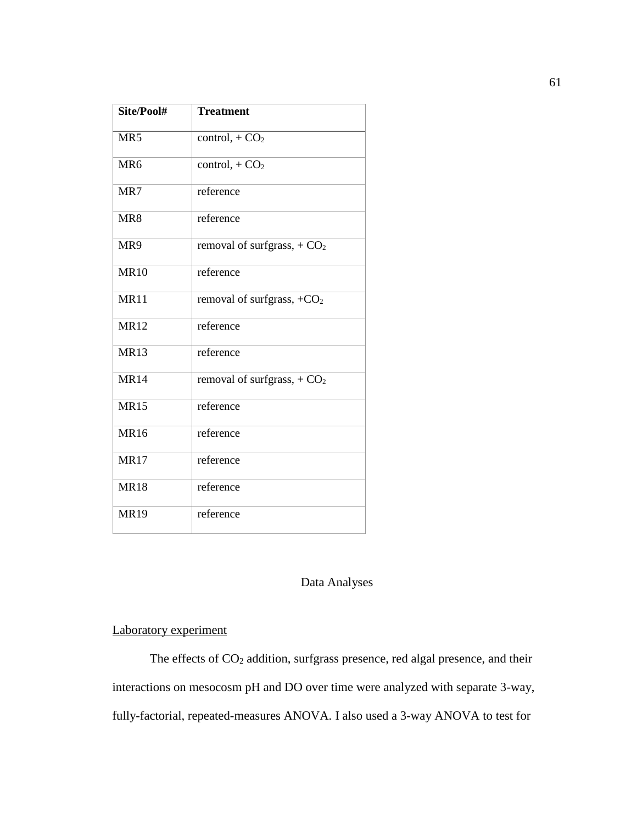| Site/Pool#      | <b>Treatment</b>             |
|-----------------|------------------------------|
| MR <sub>5</sub> | control, $+CO2$              |
| MR <sub>6</sub> | control, $+CO2$              |
| MR7             | reference                    |
| MR8             | reference                    |
| MR9             | removal of surfgrass, $+CO2$ |
| <b>MR10</b>     | reference                    |
| <b>MR11</b>     | removal of surfgrass, $+CO2$ |
| <b>MR12</b>     | reference                    |
| <b>MR13</b>     | reference                    |
| <b>MR14</b>     | removal of surfgrass, $+CO2$ |
| <b>MR15</b>     | reference                    |
| <b>MR16</b>     | reference                    |
| <b>MR17</b>     | reference                    |
| <b>MR18</b>     | reference                    |
| <b>MR19</b>     | reference                    |

# Data Analyses

# Laboratory experiment

The effects of CO<sub>2</sub> addition, surfgrass presence, red algal presence, and their interactions on mesocosm pH and DO over time were analyzed with separate 3-way, fully-factorial, repeated-measures ANOVA. I also used a 3-way ANOVA to test for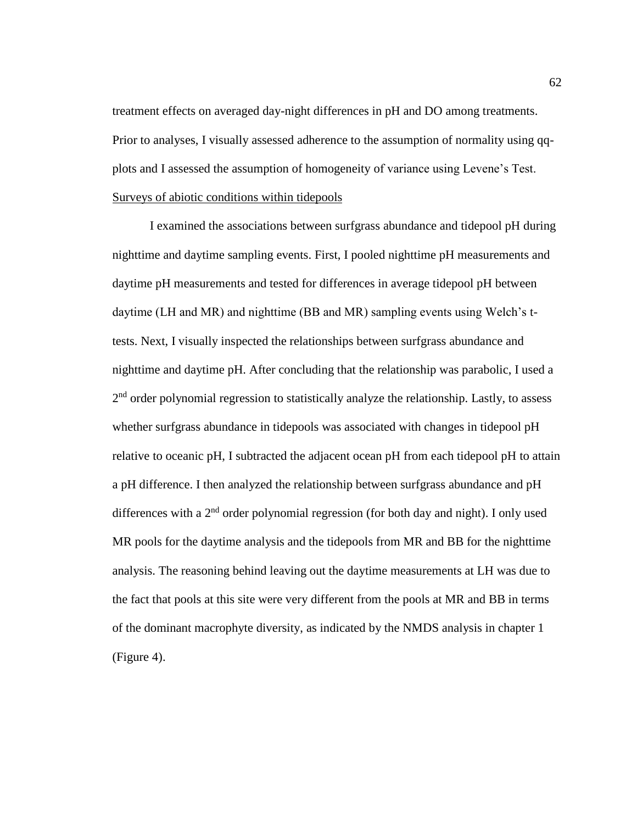treatment effects on averaged day-night differences in pH and DO among treatments. Prior to analyses, I visually assessed adherence to the assumption of normality using qqplots and I assessed the assumption of homogeneity of variance using Levene's Test. Surveys of abiotic conditions within tidepools

I examined the associations between surfgrass abundance and tidepool pH during nighttime and daytime sampling events. First, I pooled nighttime pH measurements and daytime pH measurements and tested for differences in average tidepool pH between daytime (LH and MR) and nighttime (BB and MR) sampling events using Welch's ttests. Next, I visually inspected the relationships between surfgrass abundance and nighttime and daytime pH. After concluding that the relationship was parabolic, I used a 2<sup>nd</sup> order polynomial regression to statistically analyze the relationship. Lastly, to assess whether surfgrass abundance in tidepools was associated with changes in tidepool pH relative to oceanic pH, I subtracted the adjacent ocean pH from each tidepool pH to attain a pH difference. I then analyzed the relationship between surfgrass abundance and pH differences with a  $2<sup>nd</sup>$  order polynomial regression (for both day and night). I only used MR pools for the daytime analysis and the tidepools from MR and BB for the nighttime analysis. The reasoning behind leaving out the daytime measurements at LH was due to the fact that pools at this site were very different from the pools at MR and BB in terms of the dominant macrophyte diversity, as indicated by the NMDS analysis in chapter 1 (Figure 4).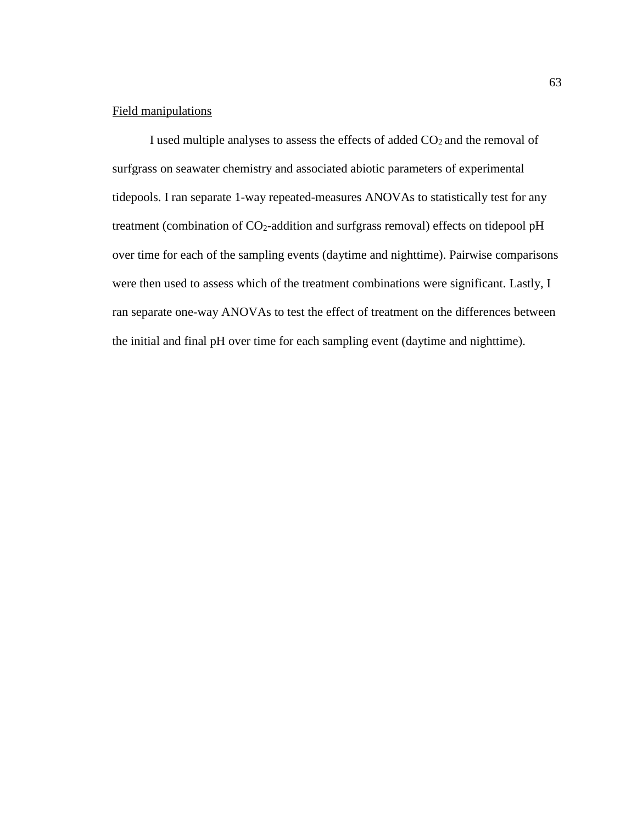# Field manipulations

I used multiple analyses to assess the effects of added  $CO<sub>2</sub>$  and the removal of surfgrass on seawater chemistry and associated abiotic parameters of experimental tidepools. I ran separate 1-way repeated-measures ANOVAs to statistically test for any treatment (combination of CO<sub>2</sub>-addition and surfgrass removal) effects on tidepool pH over time for each of the sampling events (daytime and nighttime). Pairwise comparisons were then used to assess which of the treatment combinations were significant. Lastly, I ran separate one-way ANOVAs to test the effect of treatment on the differences between the initial and final pH over time for each sampling event (daytime and nighttime).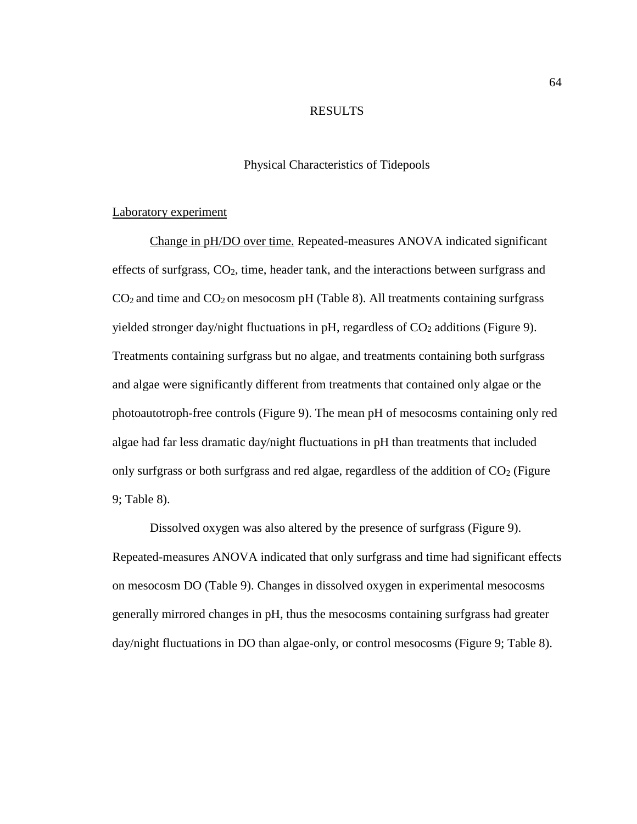# RESULTS

# Physical Characteristics of Tidepools

### Laboratory experiment

Change in pH/DO over time. Repeated-measures ANOVA indicated significant effects of surfgrass, CO2, time, header tank, and the interactions between surfgrass and  $CO<sub>2</sub>$  and time and  $CO<sub>2</sub>$  on mesocosm pH (Table 8). All treatments containing surfgrass yielded stronger day/night fluctuations in pH, regardless of  $CO<sub>2</sub>$  additions (Figure 9). Treatments containing surfgrass but no algae, and treatments containing both surfgrass and algae were significantly different from treatments that contained only algae or the photoautotroph-free controls (Figure 9). The mean pH of mesocosms containing only red algae had far less dramatic day/night fluctuations in pH than treatments that included only surfgrass or both surfgrass and red algae, regardless of the addition of  $CO<sub>2</sub>$  (Figure 9; Table 8).

Dissolved oxygen was also altered by the presence of surfgrass (Figure 9). Repeated-measures ANOVA indicated that only surfgrass and time had significant effects on mesocosm DO (Table 9). Changes in dissolved oxygen in experimental mesocosms generally mirrored changes in pH, thus the mesocosms containing surfgrass had greater day/night fluctuations in DO than algae-only, or control mesocosms (Figure 9; Table 8).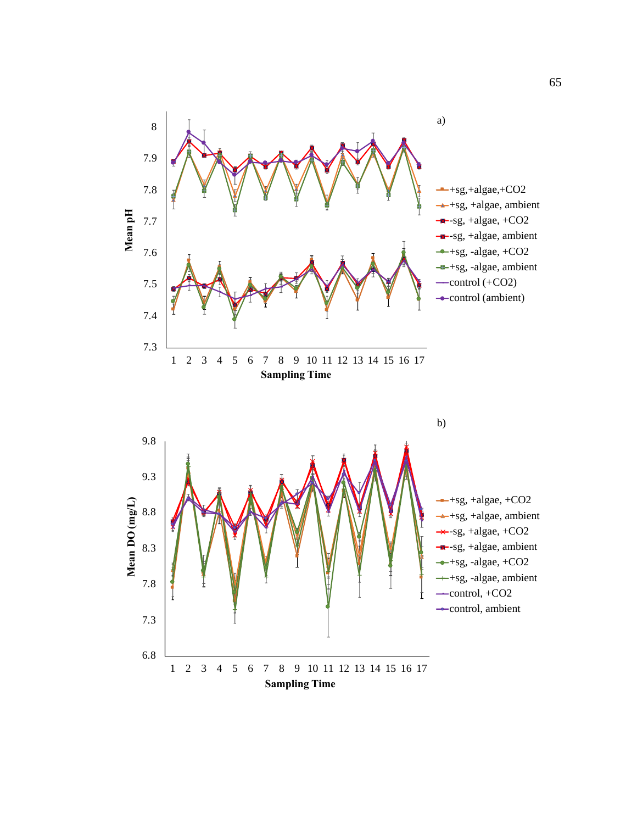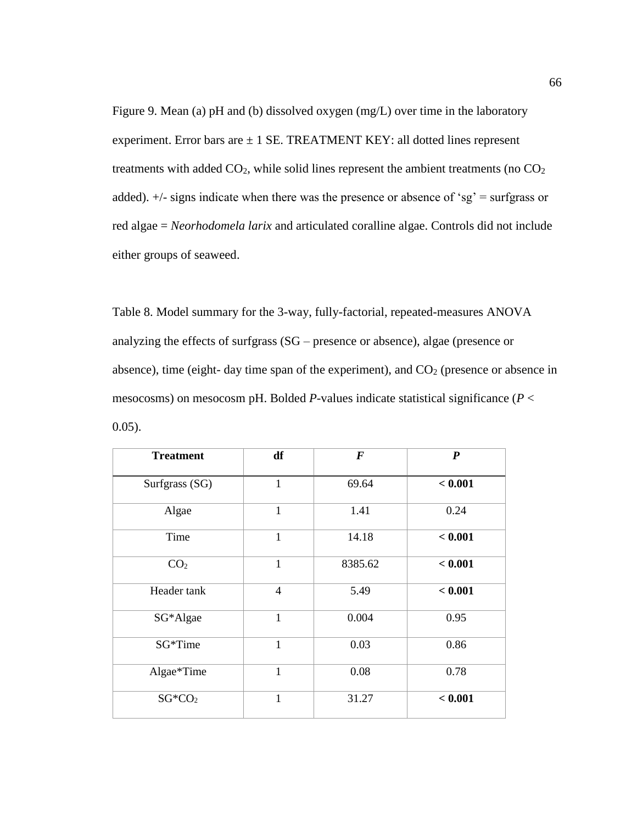Figure 9. Mean (a) pH and (b) dissolved oxygen (mg/L) over time in the laboratory experiment. Error bars are  $\pm$  1 SE. TREATMENT KEY: all dotted lines represent treatments with added  $CO<sub>2</sub>$ , while solid lines represent the ambient treatments (no  $CO<sub>2</sub>$ added). +/- signs indicate when there was the presence or absence of 'sg' = surfgrass or red algae = *Neorhodomela larix* and articulated coralline algae. Controls did not include either groups of seaweed.

Table 8. Model summary for the 3-way, fully-factorial, repeated-measures ANOVA analyzing the effects of surfgrass (SG – presence or absence), algae (presence or absence), time (eight- day time span of the experiment), and  $CO<sub>2</sub>$  (presence or absence in mesocosms) on mesocosm pH. Bolded *P*-values indicate statistical significance (*P* < 0.05).

| <b>Treatment</b>   | df             | $\boldsymbol{F}$ | $\boldsymbol{P}$ |
|--------------------|----------------|------------------|------------------|
| Surfgrass (SG)     | 1              | 69.64            | < 0.001          |
| Algae              | $\mathbf{1}$   | 1.41             | 0.24             |
| Time               | $\mathbf{1}$   | 14.18            | < 0.001          |
| CO <sub>2</sub>    | $\mathbf{1}$   | 8385.62          | < 0.001          |
| Header tank        | $\overline{4}$ | 5.49             | < 0.001          |
| SG*Algae           | 1              | 0.004            | 0.95             |
| SG*Time            | $\mathbf{1}$   | 0.03             | 0.86             |
| Algae*Time         | 1              | 0.08             | 0.78             |
| SG*CO <sub>2</sub> | $\mathbf{1}$   | 31.27            | < 0.001          |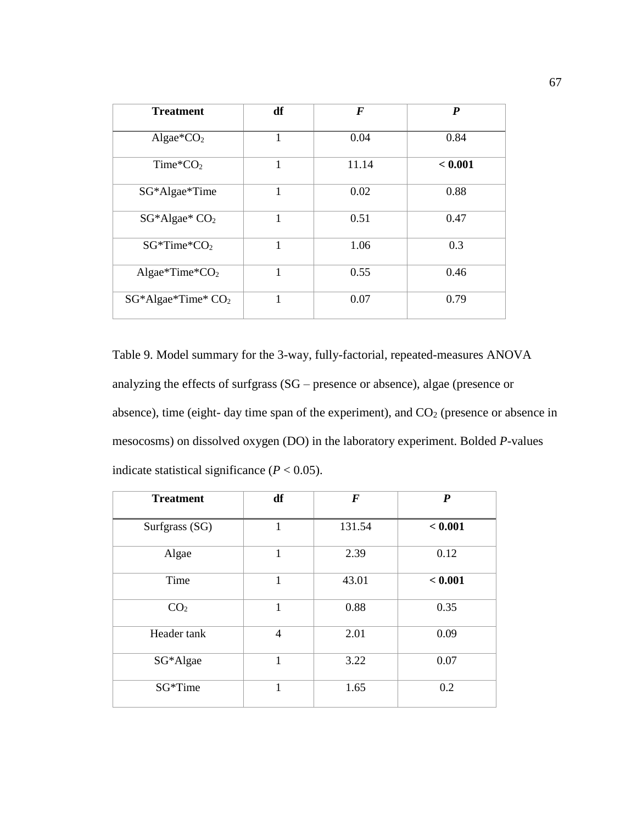| <b>Treatment</b>          | df | $\bm{F}$ | $\boldsymbol{P}$ |
|---------------------------|----|----------|------------------|
| Algae* $CO2$              | 1  | 0.04     | 0.84             |
| Time ${}^*\text{CO}_2$    | 1  | 11.14    | < 0.001          |
| SG*Algae*Time             | 1  | 0.02     | 0.88             |
| SG*Algae* CO <sub>2</sub> | 1  | 0.51     | 0.47             |
| $SG^*Time^*CO_2$          | 1  | 1.06     | 0.3              |
| Algae*Time* $CO2$         | 1  | 0.55     | 0.46             |
| SG*Algae*Time* CO2        | 1  | 0.07     | 0.79             |

Table 9. Model summary for the 3-way, fully-factorial, repeated-measures ANOVA analyzing the effects of surfgrass (SG – presence or absence), algae (presence or absence), time (eight- day time span of the experiment), and  $CO<sub>2</sub>$  (presence or absence in mesocosms) on dissolved oxygen (DO) in the laboratory experiment. Bolded *P*-values indicate statistical significance  $(P < 0.05)$ .

| <b>Treatment</b> | df             | $\boldsymbol{F}$ | $\boldsymbol{P}$ |
|------------------|----------------|------------------|------------------|
| Surfgrass (SG)   | $\mathbf 1$    | 131.54           | < 0.001          |
| Algae            | $\mathbf{1}$   | 2.39             | 0.12             |
| Time             | 1              | 43.01            | < 0.001          |
| CO <sub>2</sub>  | 1              | 0.88             | 0.35             |
| Header tank      | $\overline{4}$ | 2.01             | 0.09             |
| SG*Algae         | $\mathbf{1}$   | 3.22             | 0.07             |
| SG*Time          | $\mathbf{1}$   | 1.65             | 0.2              |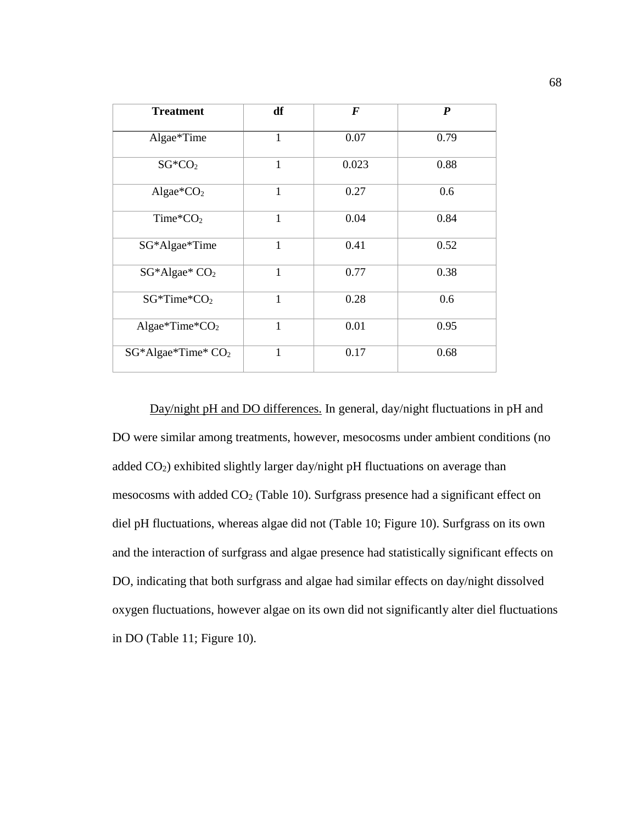| <b>Treatment</b>          | df           | $\boldsymbol{F}$ | $\boldsymbol{P}$ |
|---------------------------|--------------|------------------|------------------|
| Algae*Time                | $\mathbf{1}$ | 0.07             | 0.79             |
| $SG*CO2$                  | $\mathbf{1}$ | 0.023            | 0.88             |
| Algae* $CO2$              | $\mathbf{1}$ | 0.27             | 0.6              |
| Time ${}^*\text{CO}_2$    | $\mathbf{1}$ | 0.04             | 0.84             |
| SG*Algae*Time             | $\mathbf 1$  | 0.41             | 0.52             |
| SG*Algae* CO <sub>2</sub> | $\mathbf{1}$ | 0.77             | 0.38             |
| $SG^*Time^*CO_2$          | $\mathbf{1}$ | 0.28             | 0.6              |
| Algae*Time* $CO2$         | 1            | 0.01             | 0.95             |
| $SG^*Algae^*Time^* CO_2$  | 1            | 0.17             | 0.68             |

Day/night pH and DO differences. In general, day/night fluctuations in pH and DO were similar among treatments, however, mesocosms under ambient conditions (no added CO2) exhibited slightly larger day/night pH fluctuations on average than mesocosms with added  $CO<sub>2</sub>$  (Table 10). Surfgrass presence had a significant effect on diel pH fluctuations, whereas algae did not (Table 10; Figure 10). Surfgrass on its own and the interaction of surfgrass and algae presence had statistically significant effects on DO, indicating that both surfgrass and algae had similar effects on day/night dissolved oxygen fluctuations, however algae on its own did not significantly alter diel fluctuations in DO (Table 11; Figure 10).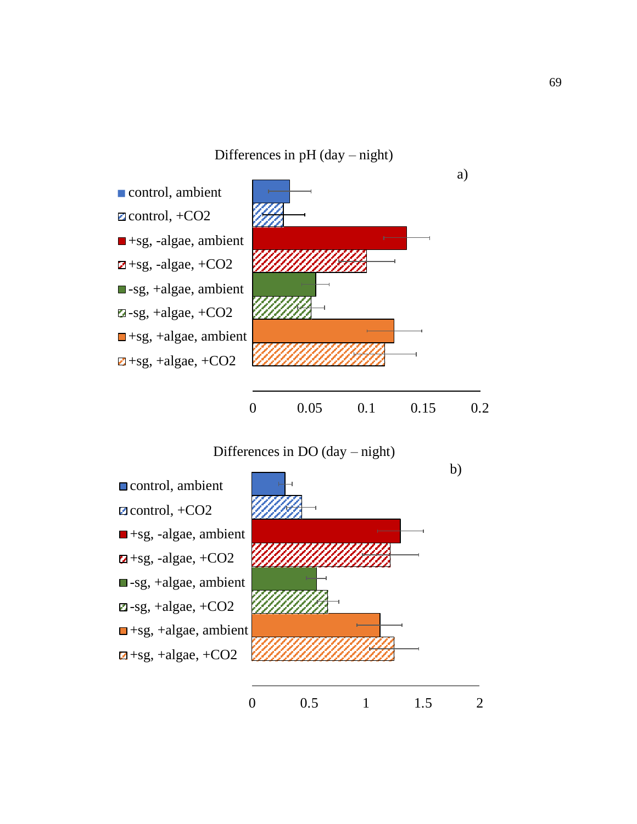Differences in pH (day – night)



Differences in DO (day – night)

control, ambient  $\blacksquare$ control, +CO2  $\blacksquare$ +sg, -algae, ambient  $\blacksquare$ +sg, -algae, +CO2 sg, +algae, ambient  $\blacksquare$ -sg, +algae, +CO2  $\Box$ +sg, +algae, ambient  $\blacksquare$ +sg, +algae, +CO2

b)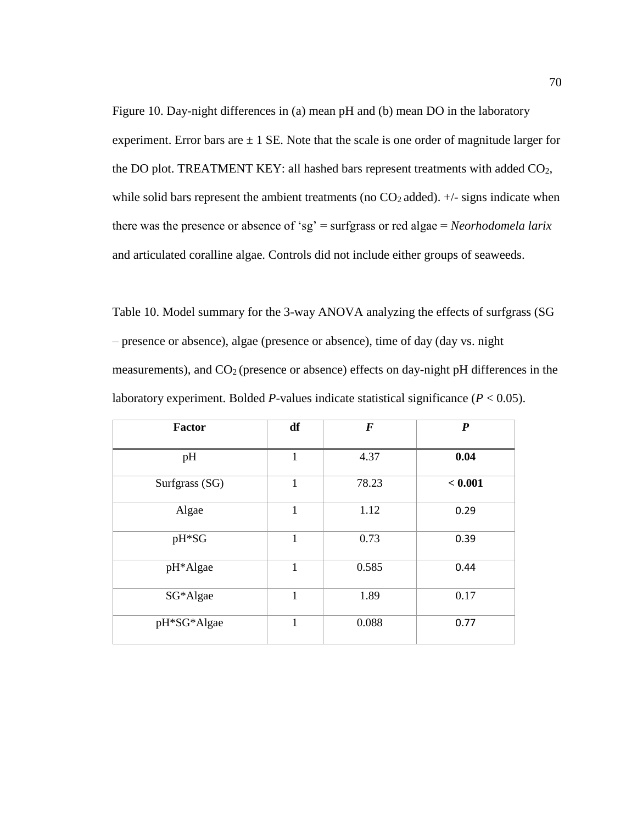Figure 10. Day-night differences in (a) mean pH and (b) mean DO in the laboratory experiment. Error bars are  $\pm 1$  SE. Note that the scale is one order of magnitude larger for the DO plot. TREATMENT KEY: all hashed bars represent treatments with added CO2, while solid bars represent the ambient treatments (no  $CO<sub>2</sub>$  added).  $+/-$  signs indicate when there was the presence or absence of 'sg' = surfgrass or red algae = *Neorhodomela larix* and articulated coralline algae. Controls did not include either groups of seaweeds.

Table 10. Model summary for the 3-way ANOVA analyzing the effects of surfgrass (SG – presence or absence), algae (presence or absence), time of day (day vs. night measurements), and CO2 (presence or absence) effects on day-night pH differences in the laboratory experiment. Bolded *P*-values indicate statistical significance ( $P < 0.05$ ).

| Factor         | df           | $\bm{F}$ | $\boldsymbol{P}$ |
|----------------|--------------|----------|------------------|
| pH             | $\mathbf{1}$ | 4.37     | 0.04             |
| Surfgrass (SG) | $\mathbf{1}$ | 78.23    | < 0.001          |
| Algae          | $\mathbf{1}$ | 1.12     | 0.29             |
| pH*SG          | $\mathbf{1}$ | 0.73     | 0.39             |
| pH*Algae       | 1            | 0.585    | 0.44             |
| SG*Algae       | $\mathbf{1}$ | 1.89     | 0.17             |
| pH*SG*Algae    | 1            | 0.088    | 0.77             |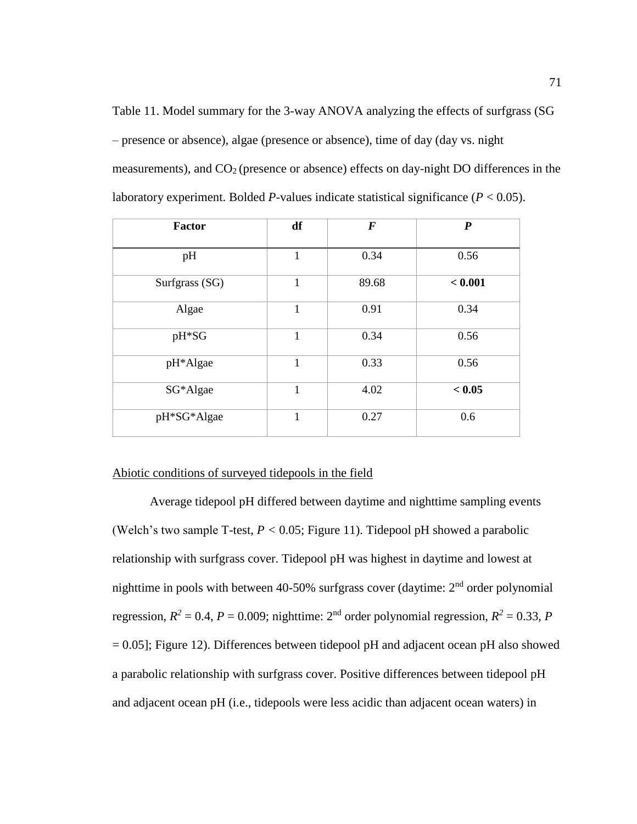Table 11. Model summary for the 3-way ANOVA analyzing the effects of surfgrass (SG – presence or absence), algae (presence or absence), time of day (day vs. night measurements), and CO2 (presence or absence) effects on day-night DO differences in the laboratory experiment. Bolded *P*-values indicate statistical significance ( $P < 0.05$ ).

| Factor         | df           | $\boldsymbol{F}$ | $\boldsymbol{P}$ |
|----------------|--------------|------------------|------------------|
| pH             | $\mathbf{1}$ | 0.34             | 0.56             |
| Surfgrass (SG) | $\mathbf{1}$ | 89.68            | < 0.001          |
| Algae          | $\mathbf{1}$ | 0.91             | 0.34             |
| pH*SG          | $\mathbf{1}$ | 0.34             | 0.56             |
| pH*Algae       | $\mathbf{1}$ | 0.33             | 0.56             |
| SG*Algae       | $\mathbf{1}$ | 4.02             | < 0.05           |
| pH*SG*Algae    | $\mathbf{1}$ | 0.27             | 0.6              |

# Abiotic conditions of surveyed tidepools in the field

Average tidepool pH differed between daytime and nighttime sampling events (Welch's two sample T-test,  $P < 0.05$ ; Figure 11). Tidepool pH showed a parabolic relationship with surfgrass cover. Tidepool pH was highest in daytime and lowest at nighttime in pools with between 40-50% surfgrass cover (daytime:  $2<sup>nd</sup>$  order polynomial regression,  $R^2 = 0.4$ ,  $P = 0.009$ ; nighttime: 2<sup>nd</sup> order polynomial regression,  $R^2 = 0.33$ , P  $= 0.05$ ]; Figure 12). Differences between tidepool pH and adjacent ocean pH also showed a parabolic relationship with surfgrass cover. Positive differences between tidepool pH and adjacent ocean pH (i.e., tidepools were less acidic than adjacent ocean waters) in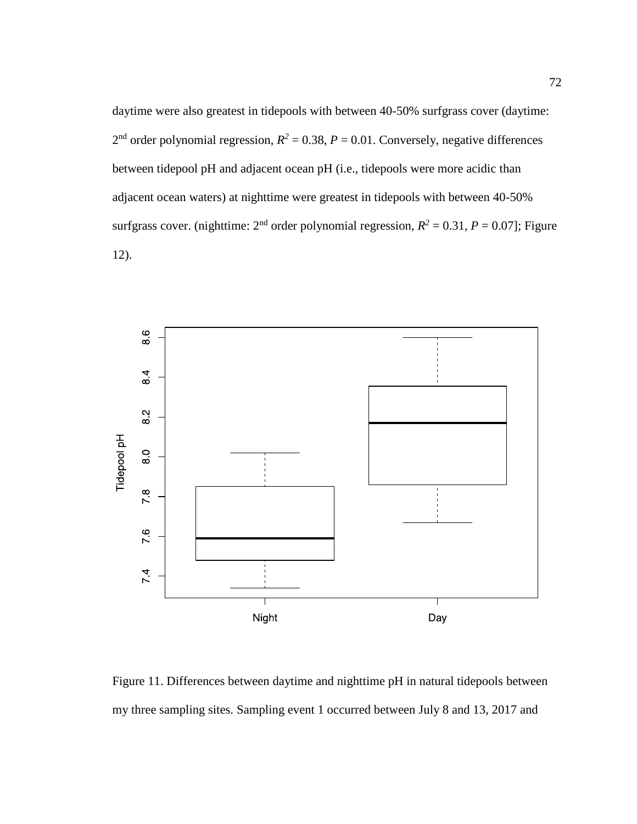daytime were also greatest in tidepools with between 40-50% surfgrass cover (daytime:  $2<sup>nd</sup>$  order polynomial regression,  $R<sup>2</sup> = 0.38$ ,  $P = 0.01$ . Conversely, negative differences between tidepool pH and adjacent ocean pH (i.e., tidepools were more acidic than adjacent ocean waters) at nighttime were greatest in tidepools with between 40-50% surfgrass cover. (nighttime:  $2<sup>nd</sup>$  order polynomial regression,  $R<sup>2</sup> = 0.31$ ,  $P = 0.07$ ]; Figure 12).



Figure 11. Differences between daytime and nighttime pH in natural tidepools between my three sampling sites. Sampling event 1 occurred between July 8 and 13, 2017 and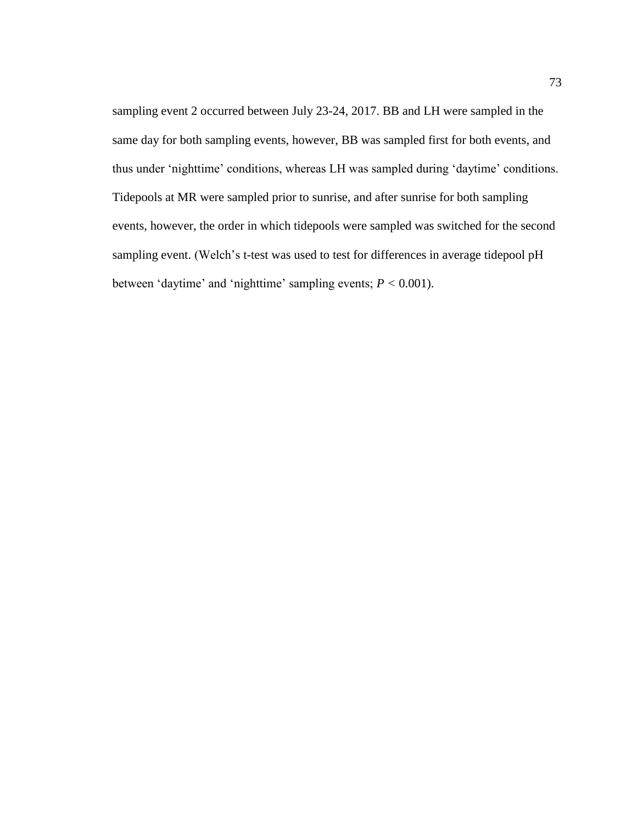sampling event 2 occurred between July 23-24, 2017. BB and LH were sampled in the same day for both sampling events, however, BB was sampled first for both events, and thus under 'nighttime' conditions, whereas LH was sampled during 'daytime' conditions. Tidepools at MR were sampled prior to sunrise, and after sunrise for both sampling events, however, the order in which tidepools were sampled was switched for the second sampling event. (Welch's t-test was used to test for differences in average tidepool pH between 'daytime' and 'nighttime' sampling events;  $P < 0.001$ ).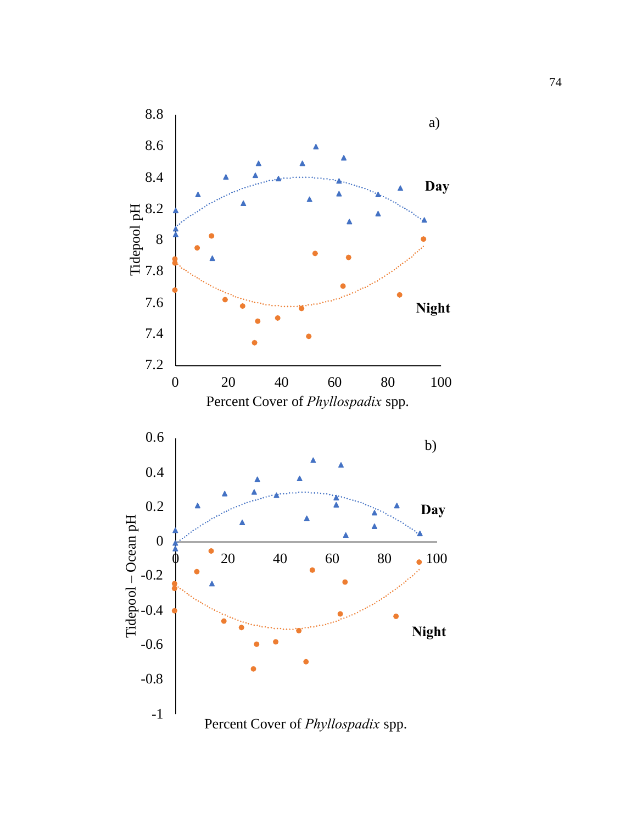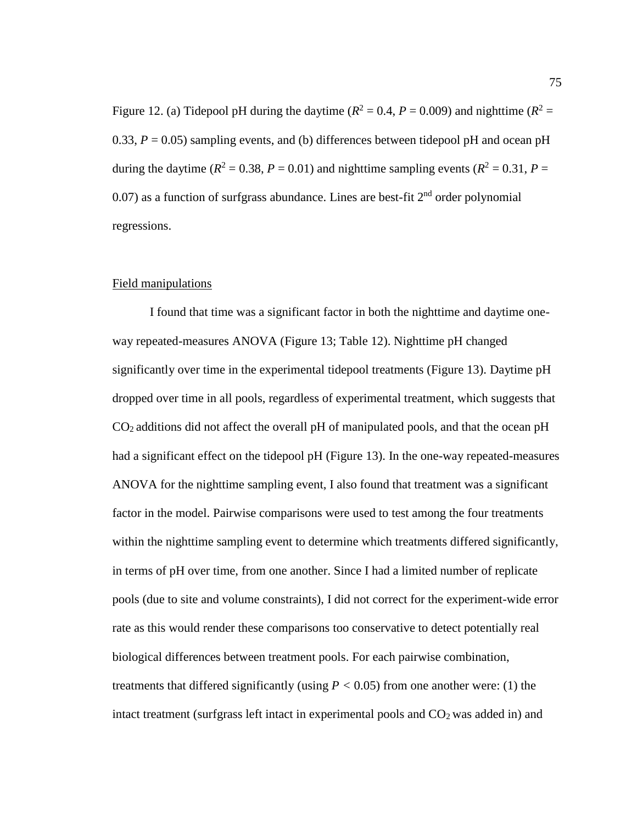Figure 12. (a) Tidepool pH during the daytime ( $R^2 = 0.4$ ,  $P = 0.009$ ) and nighttime ( $R^2 = 0.4$ ) 0.33,  $P = 0.05$ ) sampling events, and (b) differences between tidepool pH and ocean pH during the daytime ( $R^2 = 0.38$ ,  $P = 0.01$ ) and nighttime sampling events ( $R^2 = 0.31$ ,  $P =$ 0.07) as a function of surfgrass abundance. Lines are best-fit  $2<sup>nd</sup>$  order polynomial regressions.

### Field manipulations

I found that time was a significant factor in both the nighttime and daytime oneway repeated-measures ANOVA (Figure 13; Table 12). Nighttime pH changed significantly over time in the experimental tidepool treatments (Figure 13). Daytime pH dropped over time in all pools, regardless of experimental treatment, which suggests that CO2 additions did not affect the overall pH of manipulated pools, and that the ocean pH had a significant effect on the tidepool pH (Figure 13). In the one-way repeated-measures ANOVA for the nighttime sampling event, I also found that treatment was a significant factor in the model. Pairwise comparisons were used to test among the four treatments within the nighttime sampling event to determine which treatments differed significantly, in terms of pH over time, from one another. Since I had a limited number of replicate pools (due to site and volume constraints), I did not correct for the experiment-wide error rate as this would render these comparisons too conservative to detect potentially real biological differences between treatment pools. For each pairwise combination, treatments that differed significantly (using  $P < 0.05$ ) from one another were: (1) the intact treatment (surfgrass left intact in experimental pools and  $CO<sub>2</sub>$  was added in) and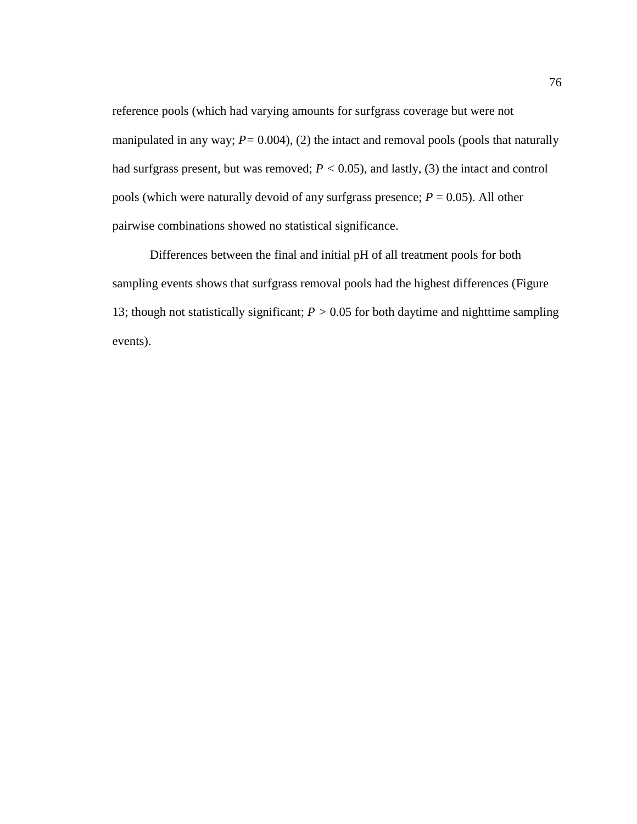reference pools (which had varying amounts for surfgrass coverage but were not manipulated in any way;  $P = 0.004$ ), (2) the intact and removal pools (pools that naturally had surfgrass present, but was removed;  $P < 0.05$ ), and lastly, (3) the intact and control pools (which were naturally devoid of any surfgrass presence; *P* = 0.05). All other pairwise combinations showed no statistical significance.

Differences between the final and initial pH of all treatment pools for both sampling events shows that surfgrass removal pools had the highest differences (Figure 13; though not statistically significant; *P >* 0.05 for both daytime and nighttime sampling events).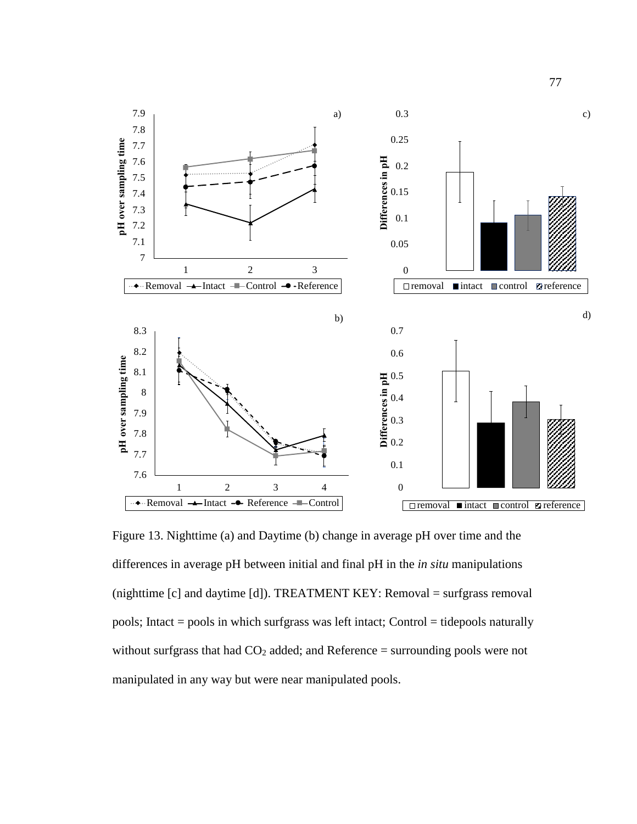

Figure 13. Nighttime (a) and Daytime (b) change in average pH over time and the differences in average pH between initial and final pH in the *in situ* manipulations (nighttime [c] and daytime [d]). TREATMENT KEY: Removal = surfgrass removal pools; Intact = pools in which surfgrass was left intact; Control = tidepools naturally without surfgrass that had  $CO<sub>2</sub>$  added; and Reference = surrounding pools were not manipulated in any way but were near manipulated pools.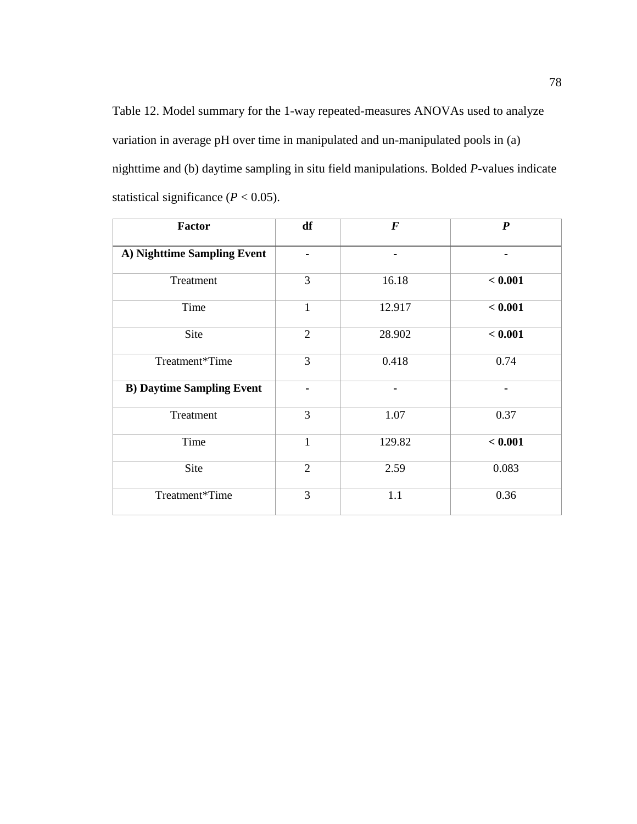Table 12. Model summary for the 1-way repeated-measures ANOVAs used to analyze variation in average pH over time in manipulated and un-manipulated pools in (a) nighttime and (b) daytime sampling in situ field manipulations. Bolded *P*-values indicate statistical significance  $(P < 0.05)$ .

| <b>Factor</b>                    | df             | $\boldsymbol{F}$ | $\boldsymbol{P}$ |
|----------------------------------|----------------|------------------|------------------|
| A) Nighttime Sampling Event      |                |                  | -                |
| Treatment                        | 3              | 16.18            | < 0.001          |
| Time                             | $\mathbf{1}$   | 12.917           | < 0.001          |
| Site                             | $\overline{2}$ | 28.902           | < 0.001          |
| Treatment*Time                   | 3              | 0.418            | 0.74             |
| <b>B) Daytime Sampling Event</b> | $\blacksquare$ | ۰                | $\blacksquare$   |
| Treatment                        | 3              | 1.07             | 0.37             |
| Time                             | $\mathbf{1}$   | 129.82           | < 0.001          |
| Site                             | $\overline{2}$ | 2.59             | 0.083            |
| Treatment*Time                   | 3              | 1.1              | 0.36             |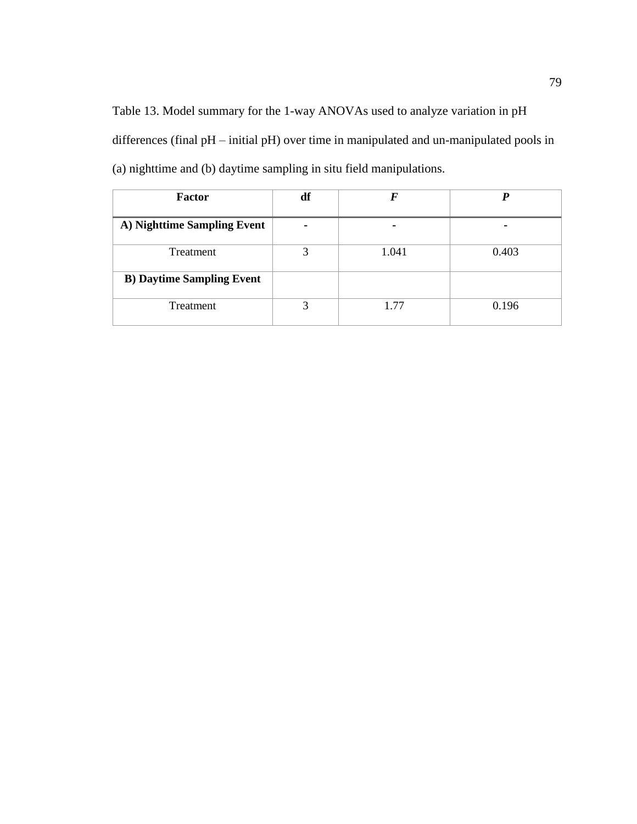Table 13. Model summary for the 1-way ANOVAs used to analyze variation in pH differences (final pH – initial pH) over time in manipulated and un-manipulated pools in (a) nighttime and (b) daytime sampling in situ field manipulations.

| Factor                           | df |       |       |
|----------------------------------|----|-------|-------|
| A) Nighttime Sampling Event      |    | ۰     | ۰     |
| Treatment                        | っ  | 1.041 | 0.403 |
| <b>B) Daytime Sampling Event</b> |    |       |       |
| Treatment                        | ⌒  | 1 77  | 0.196 |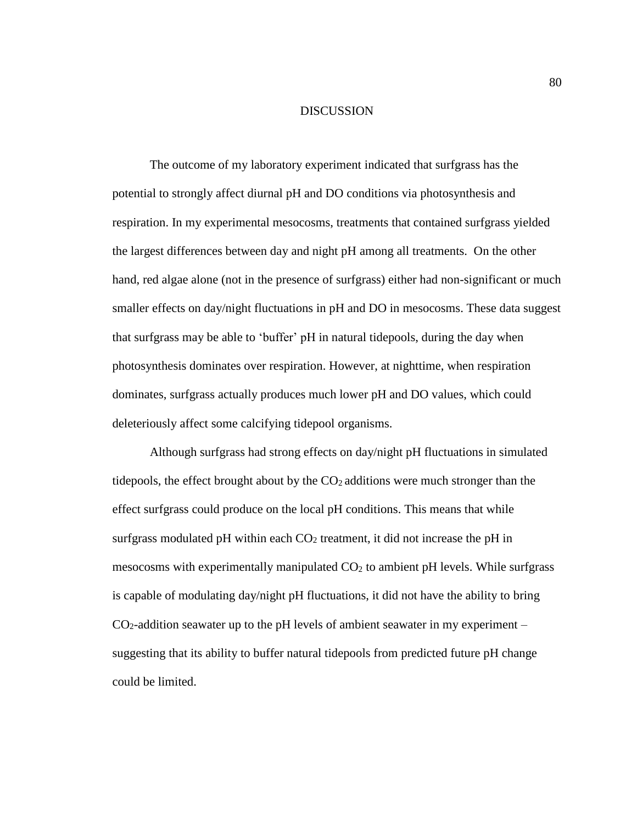### DISCUSSION

The outcome of my laboratory experiment indicated that surfgrass has the potential to strongly affect diurnal pH and DO conditions via photosynthesis and respiration. In my experimental mesocosms, treatments that contained surfgrass yielded the largest differences between day and night pH among all treatments. On the other hand, red algae alone (not in the presence of surfgrass) either had non-significant or much smaller effects on day/night fluctuations in pH and DO in mesocosms. These data suggest that surfgrass may be able to 'buffer' pH in natural tidepools, during the day when photosynthesis dominates over respiration. However, at nighttime, when respiration dominates, surfgrass actually produces much lower pH and DO values, which could deleteriously affect some calcifying tidepool organisms.

Although surfgrass had strong effects on day/night pH fluctuations in simulated tidepools, the effect brought about by the  $CO<sub>2</sub>$  additions were much stronger than the effect surfgrass could produce on the local pH conditions. This means that while surfgrass modulated pH within each  $CO<sub>2</sub>$  treatment, it did not increase the pH in mesocosms with experimentally manipulated CO<sup>2</sup> to ambient pH levels. While surfgrass is capable of modulating day/night pH fluctuations, it did not have the ability to bring  $CO<sub>2</sub>$ -addition seawater up to the pH levels of ambient seawater in my experiment – suggesting that its ability to buffer natural tidepools from predicted future pH change could be limited.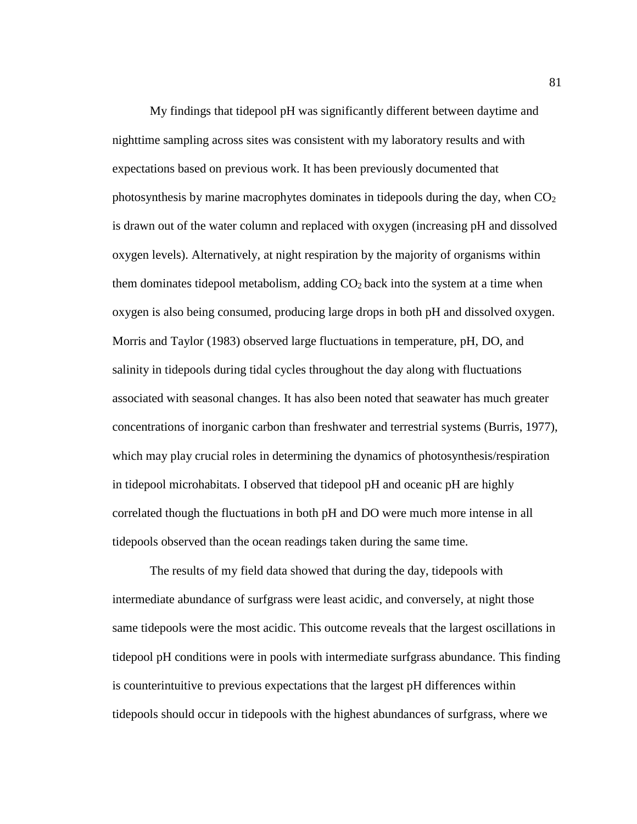My findings that tidepool pH was significantly different between daytime and nighttime sampling across sites was consistent with my laboratory results and with expectations based on previous work. It has been previously documented that photosynthesis by marine macrophytes dominates in tidepools during the day, when  $CO<sub>2</sub>$ is drawn out of the water column and replaced with oxygen (increasing pH and dissolved oxygen levels). Alternatively, at night respiration by the majority of organisms within them dominates tidepool metabolism, adding  $CO<sub>2</sub>$  back into the system at a time when oxygen is also being consumed, producing large drops in both pH and dissolved oxygen. Morris and Taylor (1983) observed large fluctuations in temperature, pH, DO, and salinity in tidepools during tidal cycles throughout the day along with fluctuations associated with seasonal changes. It has also been noted that seawater has much greater concentrations of inorganic carbon than freshwater and terrestrial systems (Burris, 1977), which may play crucial roles in determining the dynamics of photosynthesis/respiration in tidepool microhabitats. I observed that tidepool pH and oceanic pH are highly correlated though the fluctuations in both pH and DO were much more intense in all tidepools observed than the ocean readings taken during the same time.

The results of my field data showed that during the day, tidepools with intermediate abundance of surfgrass were least acidic, and conversely, at night those same tidepools were the most acidic. This outcome reveals that the largest oscillations in tidepool pH conditions were in pools with intermediate surfgrass abundance. This finding is counterintuitive to previous expectations that the largest pH differences within tidepools should occur in tidepools with the highest abundances of surfgrass, where we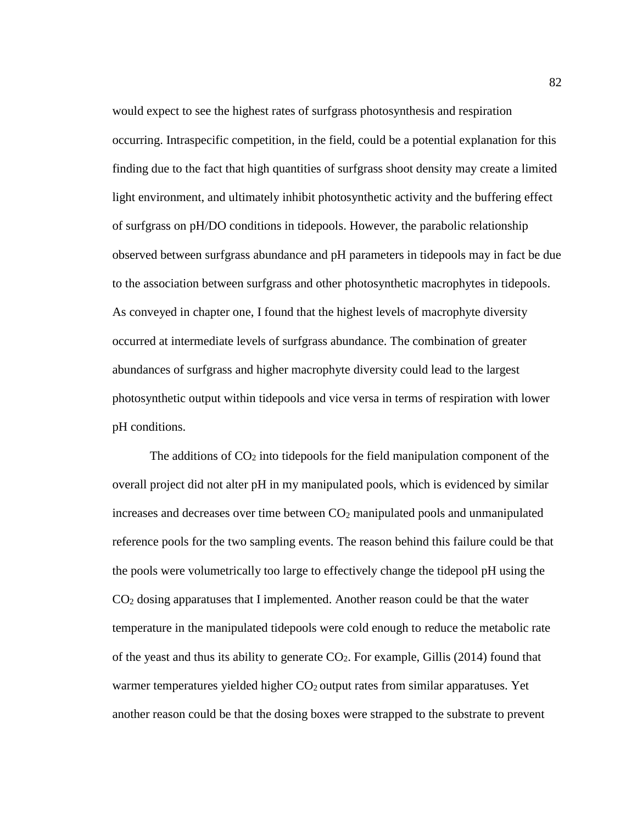would expect to see the highest rates of surfgrass photosynthesis and respiration occurring. Intraspecific competition, in the field, could be a potential explanation for this finding due to the fact that high quantities of surfgrass shoot density may create a limited light environment, and ultimately inhibit photosynthetic activity and the buffering effect of surfgrass on pH/DO conditions in tidepools. However, the parabolic relationship observed between surfgrass abundance and pH parameters in tidepools may in fact be due to the association between surfgrass and other photosynthetic macrophytes in tidepools. As conveyed in chapter one, I found that the highest levels of macrophyte diversity occurred at intermediate levels of surfgrass abundance. The combination of greater abundances of surfgrass and higher macrophyte diversity could lead to the largest photosynthetic output within tidepools and vice versa in terms of respiration with lower pH conditions.

The additions of  $CO<sub>2</sub>$  into tidepools for the field manipulation component of the overall project did not alter pH in my manipulated pools, which is evidenced by similar increases and decreases over time between  $CO<sub>2</sub>$  manipulated pools and unmanipulated reference pools for the two sampling events. The reason behind this failure could be that the pools were volumetrically too large to effectively change the tidepool pH using the CO<sup>2</sup> dosing apparatuses that I implemented. Another reason could be that the water temperature in the manipulated tidepools were cold enough to reduce the metabolic rate of the yeast and thus its ability to generate  $CO<sub>2</sub>$ . For example, Gillis (2014) found that warmer temperatures yielded higher CO<sub>2</sub> output rates from similar apparatuses. Yet another reason could be that the dosing boxes were strapped to the substrate to prevent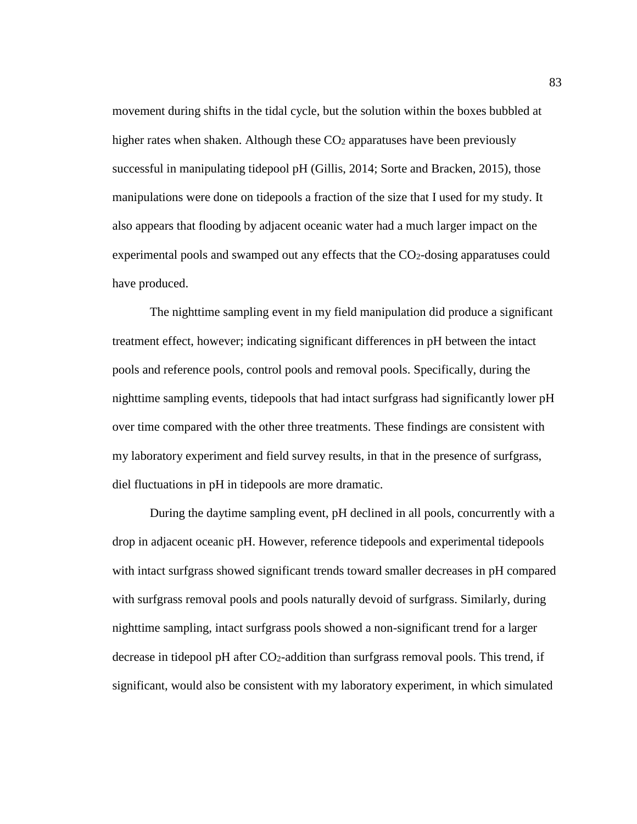movement during shifts in the tidal cycle, but the solution within the boxes bubbled at higher rates when shaken. Although these  $CO<sub>2</sub>$  apparatuses have been previously successful in manipulating tidepool pH (Gillis, 2014; Sorte and Bracken, 2015), those manipulations were done on tidepools a fraction of the size that I used for my study. It also appears that flooding by adjacent oceanic water had a much larger impact on the experimental pools and swamped out any effects that the  $CO<sub>2</sub>$ -dosing apparatuses could have produced.

The nighttime sampling event in my field manipulation did produce a significant treatment effect, however; indicating significant differences in pH between the intact pools and reference pools, control pools and removal pools. Specifically, during the nighttime sampling events, tidepools that had intact surfgrass had significantly lower pH over time compared with the other three treatments. These findings are consistent with my laboratory experiment and field survey results, in that in the presence of surfgrass, diel fluctuations in pH in tidepools are more dramatic.

During the daytime sampling event, pH declined in all pools, concurrently with a drop in adjacent oceanic pH. However, reference tidepools and experimental tidepools with intact surfgrass showed significant trends toward smaller decreases in pH compared with surfgrass removal pools and pools naturally devoid of surfgrass. Similarly, during nighttime sampling, intact surfgrass pools showed a non-significant trend for a larger decrease in tidepool pH after  $CO<sub>2</sub>$ -addition than surfgrass removal pools. This trend, if significant, would also be consistent with my laboratory experiment, in which simulated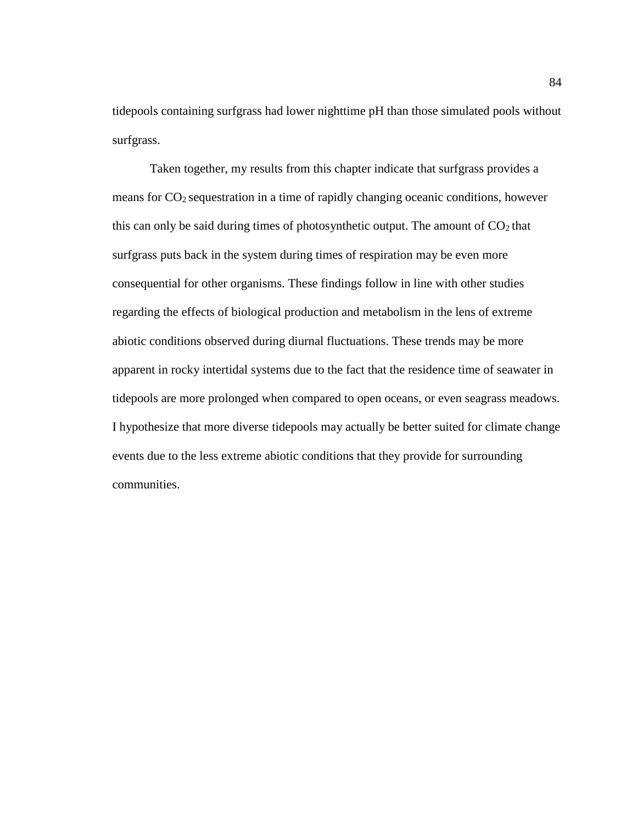tidepools containing surfgrass had lower nighttime pH than those simulated pools without surfgrass.

Taken together, my results from this chapter indicate that surfgrass provides a means for CO2 sequestration in a time of rapidly changing oceanic conditions, however this can only be said during times of photosynthetic output. The amount of  $CO<sub>2</sub>$  that surfgrass puts back in the system during times of respiration may be even more consequential for other organisms. These findings follow in line with other studies regarding the effects of biological production and metabolism in the lens of extreme abiotic conditions observed during diurnal fluctuations. These trends may be more apparent in rocky intertidal systems due to the fact that the residence time of seawater in tidepools are more prolonged when compared to open oceans, or even seagrass meadows. I hypothesize that more diverse tidepools may actually be better suited for climate change events due to the less extreme abiotic conditions that they provide for surrounding communities.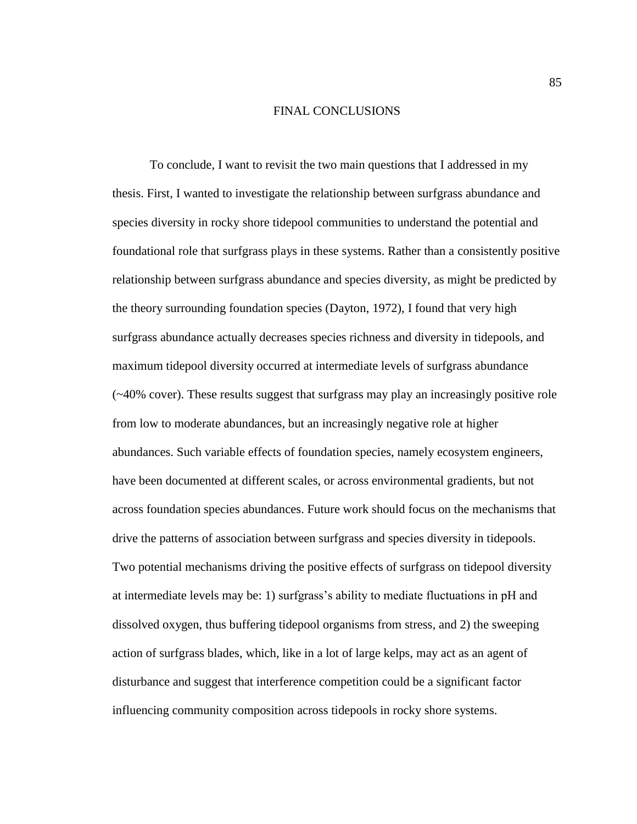#### FINAL CONCLUSIONS

To conclude, I want to revisit the two main questions that I addressed in my thesis. First, I wanted to investigate the relationship between surfgrass abundance and species diversity in rocky shore tidepool communities to understand the potential and foundational role that surfgrass plays in these systems. Rather than a consistently positive relationship between surfgrass abundance and species diversity, as might be predicted by the theory surrounding foundation species (Dayton, 1972), I found that very high surfgrass abundance actually decreases species richness and diversity in tidepools, and maximum tidepool diversity occurred at intermediate levels of surfgrass abundance (~40% cover). These results suggest that surfgrass may play an increasingly positive role from low to moderate abundances, but an increasingly negative role at higher abundances. Such variable effects of foundation species, namely ecosystem engineers, have been documented at different scales, or across environmental gradients, but not across foundation species abundances. Future work should focus on the mechanisms that drive the patterns of association between surfgrass and species diversity in tidepools. Two potential mechanisms driving the positive effects of surfgrass on tidepool diversity at intermediate levels may be: 1) surfgrass's ability to mediate fluctuations in pH and dissolved oxygen, thus buffering tidepool organisms from stress, and 2) the sweeping action of surfgrass blades, which, like in a lot of large kelps, may act as an agent of disturbance and suggest that interference competition could be a significant factor influencing community composition across tidepools in rocky shore systems.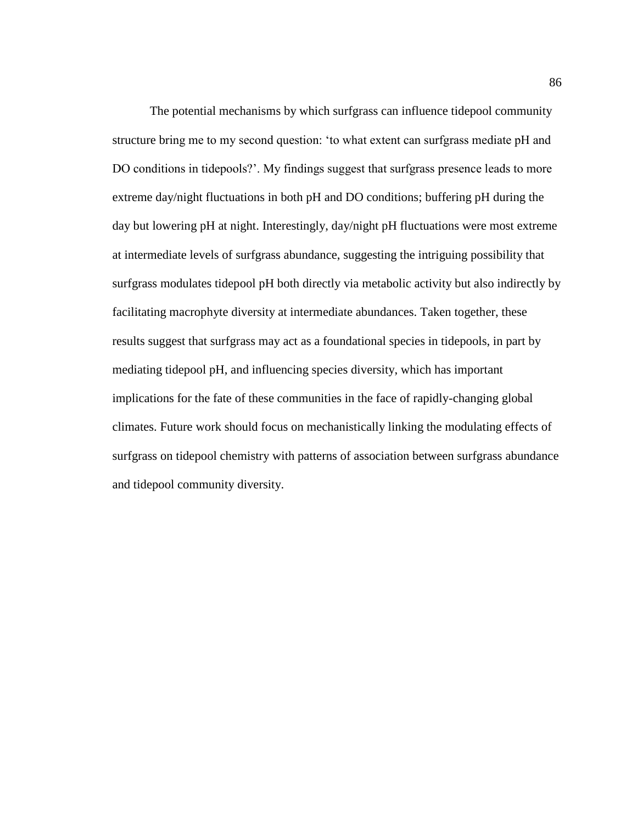The potential mechanisms by which surfgrass can influence tidepool community structure bring me to my second question: 'to what extent can surfgrass mediate pH and DO conditions in tidepools?'. My findings suggest that surfgrass presence leads to more extreme day/night fluctuations in both pH and DO conditions; buffering pH during the day but lowering pH at night. Interestingly, day/night pH fluctuations were most extreme at intermediate levels of surfgrass abundance, suggesting the intriguing possibility that surfgrass modulates tidepool pH both directly via metabolic activity but also indirectly by facilitating macrophyte diversity at intermediate abundances. Taken together, these results suggest that surfgrass may act as a foundational species in tidepools, in part by mediating tidepool pH, and influencing species diversity, which has important implications for the fate of these communities in the face of rapidly-changing global climates. Future work should focus on mechanistically linking the modulating effects of surfgrass on tidepool chemistry with patterns of association between surfgrass abundance and tidepool community diversity.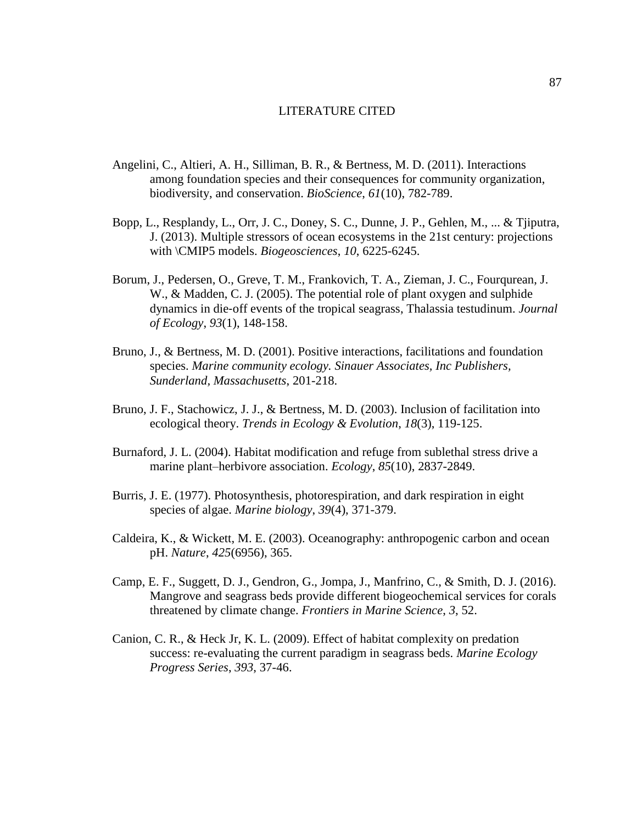### LITERATURE CITED

- Angelini, C., Altieri, A. H., Silliman, B. R., & Bertness, M. D. (2011). Interactions among foundation species and their consequences for community organization, biodiversity, and conservation. *BioScience*, *61*(10), 782-789.
- Bopp, L., Resplandy, L., Orr, J. C., Doney, S. C., Dunne, J. P., Gehlen, M., ... & Tjiputra, J. (2013). Multiple stressors of ocean ecosystems in the 21st century: projections with \CMIP5 models. *Biogeosciences*, *10*, 6225-6245.
- Borum, J., Pedersen, O., Greve, T. M., Frankovich, T. A., Zieman, J. C., Fourqurean, J. W., & Madden, C. J. (2005). The potential role of plant oxygen and sulphide dynamics in die‐off events of the tropical seagrass, Thalassia testudinum. *Journal of Ecology*, *93*(1), 148-158.
- Bruno, J., & Bertness, M. D. (2001). Positive interactions, facilitations and foundation species. *Marine community ecology. Sinauer Associates, Inc Publishers, Sunderland, Massachusetts*, 201-218.
- Bruno, J. F., Stachowicz, J. J., & Bertness, M. D. (2003). Inclusion of facilitation into ecological theory. *Trends in Ecology & Evolution*, *18*(3), 119-125.
- Burnaford, J. L. (2004). Habitat modification and refuge from sublethal stress drive a marine plant–herbivore association. *Ecology*, *85*(10), 2837-2849.
- Burris, J. E. (1977). Photosynthesis, photorespiration, and dark respiration in eight species of algae. *Marine biology*, *39*(4), 371-379.
- Caldeira, K., & Wickett, M. E. (2003). Oceanography: anthropogenic carbon and ocean pH. *Nature*, *425*(6956), 365.
- Camp, E. F., Suggett, D. J., Gendron, G., Jompa, J., Manfrino, C., & Smith, D. J. (2016). Mangrove and seagrass beds provide different biogeochemical services for corals threatened by climate change. *Frontiers in Marine Science*, *3*, 52.
- Canion, C. R., & Heck Jr, K. L. (2009). Effect of habitat complexity on predation success: re-evaluating the current paradigm in seagrass beds. *Marine Ecology Progress Series*, *393*, 37-46.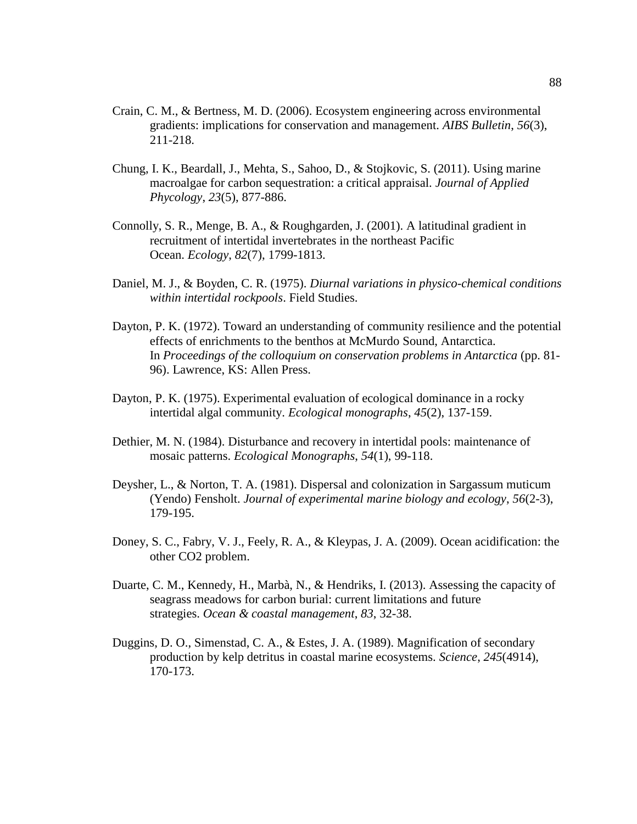- Crain, C. M., & Bertness, M. D. (2006). Ecosystem engineering across environmental gradients: implications for conservation and management. *AIBS Bulletin*, *56*(3), 211-218.
- Chung, I. K., Beardall, J., Mehta, S., Sahoo, D., & Stojkovic, S. (2011). Using marine macroalgae for carbon sequestration: a critical appraisal. *Journal of Applied Phycology*, *23*(5), 877-886.
- Connolly, S. R., Menge, B. A., & Roughgarden, J. (2001). A latitudinal gradient in recruitment of intertidal invertebrates in the northeast Pacific Ocean. *Ecology*, *82*(7), 1799-1813.
- Daniel, M. J., & Boyden, C. R. (1975). *Diurnal variations in physico-chemical conditions within intertidal rockpools*. Field Studies.
- Dayton, P. K. (1972). Toward an understanding of community resilience and the potential effects of enrichments to the benthos at McMurdo Sound, Antarctica. In *Proceedings of the colloquium on conservation problems in Antarctica* (pp. 81- 96). Lawrence, KS: Allen Press.
- Dayton, P. K. (1975). Experimental evaluation of ecological dominance in a rocky intertidal algal community. *Ecological monographs*, *45*(2), 137-159.
- Dethier, M. N. (1984). Disturbance and recovery in intertidal pools: maintenance of mosaic patterns. *Ecological Monographs*, *54*(1), 99-118.
- Deysher, L., & Norton, T. A. (1981). Dispersal and colonization in Sargassum muticum (Yendo) Fensholt. *Journal of experimental marine biology and ecology*, *56*(2-3), 179-195.
- Doney, S. C., Fabry, V. J., Feely, R. A., & Kleypas, J. A. (2009). Ocean acidification: the other CO2 problem.
- Duarte, C. M., Kennedy, H., Marbà, N., & Hendriks, I. (2013). Assessing the capacity of seagrass meadows for carbon burial: current limitations and future strategies. *Ocean & coastal management*, *83*, 32-38.
- Duggins, D. O., Simenstad, C. A., & Estes, J. A. (1989). Magnification of secondary production by kelp detritus in coastal marine ecosystems. *Science*, *245*(4914), 170-173.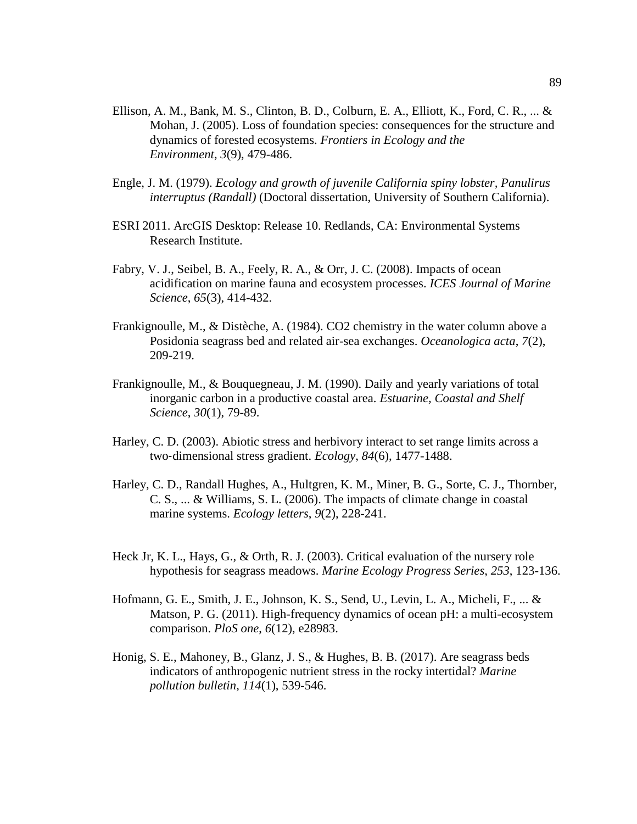- Ellison, A. M., Bank, M. S., Clinton, B. D., Colburn, E. A., Elliott, K., Ford, C. R., ...  $\&$ Mohan, J. (2005). Loss of foundation species: consequences for the structure and dynamics of forested ecosystems. *Frontiers in Ecology and the Environment*, *3*(9), 479-486.
- Engle, J. M. (1979). *Ecology and growth of juvenile California spiny lobster, Panulirus interruptus (Randall)* (Doctoral dissertation, University of Southern California).
- ESRI 2011. ArcGIS Desktop: Release 10. Redlands, CA: Environmental Systems Research Institute.
- Fabry, V. J., Seibel, B. A., Feely, R. A., & Orr, J. C. (2008). Impacts of ocean acidification on marine fauna and ecosystem processes. *ICES Journal of Marine Science*, *65*(3), 414-432.
- Frankignoulle, M., & Distèche, A. (1984). CO2 chemistry in the water column above a Posidonia seagrass bed and related air-sea exchanges. *Oceanologica acta*, *7*(2), 209-219.
- Frankignoulle, M., & Bouquegneau, J. M. (1990). Daily and yearly variations of total inorganic carbon in a productive coastal area. *Estuarine, Coastal and Shelf Science*, *30*(1), 79-89.
- Harley, C. D. (2003). Abiotic stress and herbivory interact to set range limits across a two‐dimensional stress gradient. *Ecology*, *84*(6), 1477-1488.
- Harley, C. D., Randall Hughes, A., Hultgren, K. M., Miner, B. G., Sorte, C. J., Thornber, C. S., ... & Williams, S. L. (2006). The impacts of climate change in coastal marine systems. *Ecology letters*, *9*(2), 228-241.
- Heck Jr, K. L., Hays, G., & Orth, R. J. (2003). Critical evaluation of the nursery role hypothesis for seagrass meadows. *Marine Ecology Progress Series*, *253*, 123-136.
- Hofmann, G. E., Smith, J. E., Johnson, K. S., Send, U., Levin, L. A., Micheli, F., ... & Matson, P. G. (2011). High-frequency dynamics of ocean pH: a multi-ecosystem comparison. *PloS one*, *6*(12), e28983.
- Honig, S. E., Mahoney, B., Glanz, J. S., & Hughes, B. B. (2017). Are seagrass beds indicators of anthropogenic nutrient stress in the rocky intertidal? *Marine pollution bulletin*, *114*(1), 539-546.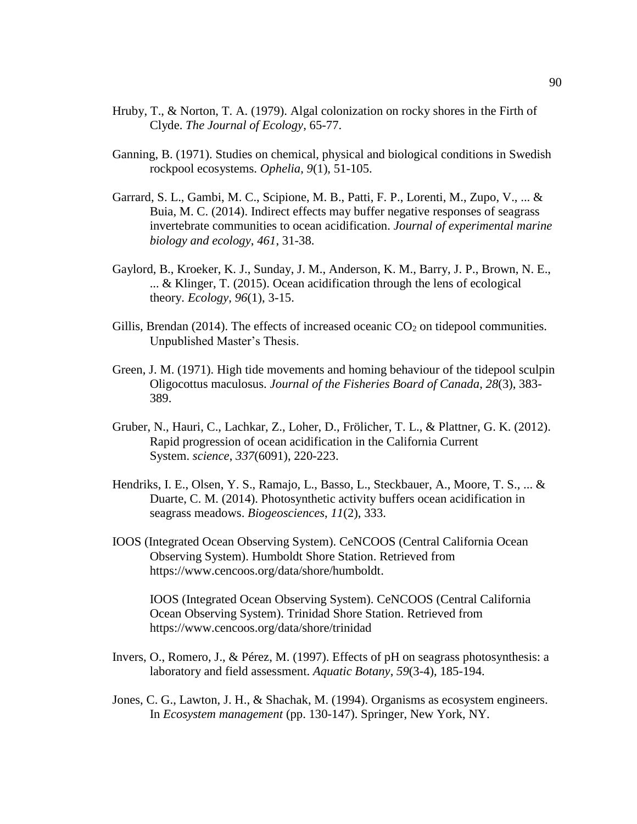- Hruby, T., & Norton, T. A. (1979). Algal colonization on rocky shores in the Firth of Clyde. *The Journal of Ecology*, 65-77.
- Ganning, B. (1971). Studies on chemical, physical and biological conditions in Swedish rockpool ecosystems. *Ophelia*, *9*(1), 51-105.
- Garrard, S. L., Gambi, M. C., Scipione, M. B., Patti, F. P., Lorenti, M., Zupo, V., ... & Buia, M. C. (2014). Indirect effects may buffer negative responses of seagrass invertebrate communities to ocean acidification. *Journal of experimental marine biology and ecology*, *461*, 31-38.
- Gaylord, B., Kroeker, K. J., Sunday, J. M., Anderson, K. M., Barry, J. P., Brown, N. E., ... & Klinger, T. (2015). Ocean acidification through the lens of ecological theory. *Ecology*, *96*(1), 3-15.
- Gillis, Brendan (2014). The effects of increased oceanic  $CO<sub>2</sub>$  on tidepool communities. Unpublished Master's Thesis.
- Green, J. M. (1971). High tide movements and homing behaviour of the tidepool sculpin Oligocottus maculosus. *Journal of the Fisheries Board of Canada*, *28*(3), 383- 389.
- Gruber, N., Hauri, C., Lachkar, Z., Loher, D., Frölicher, T. L., & Plattner, G. K. (2012). Rapid progression of ocean acidification in the California Current System. *science*, *337*(6091), 220-223.
- Hendriks, I. E., Olsen, Y. S., Ramajo, L., Basso, L., Steckbauer, A., Moore, T. S., ... & Duarte, C. M. (2014). Photosynthetic activity buffers ocean acidification in seagrass meadows. *Biogeosciences*, *11*(2), 333.
- IOOS (Integrated Ocean Observing System). CeNCOOS (Central California Ocean Observing System). Humboldt Shore Station. Retrieved from [https://www.cencoos.org/data/shore/humboldt.](https://www.cencoos.org/data/shore/humboldt)

IOOS (Integrated Ocean Observing System). CeNCOOS (Central California Ocean Observing System). Trinidad Shore Station. Retrieved from <https://www.cencoos.org/data/shore/trinidad>

- Invers, O., Romero, J., & Pérez, M. (1997). Effects of pH on seagrass photosynthesis: a laboratory and field assessment. *Aquatic Botany*, *59*(3-4), 185-194.
- Jones, C. G., Lawton, J. H., & Shachak, M. (1994). Organisms as ecosystem engineers. In *Ecosystem management* (pp. 130-147). Springer, New York, NY.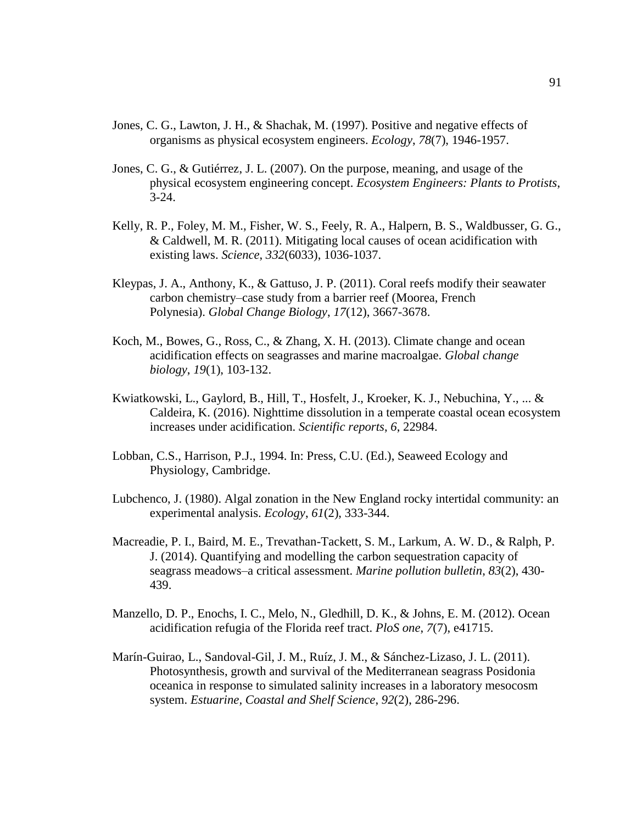- Jones, C. G., Lawton, J. H., & Shachak, M. (1997). Positive and negative effects of organisms as physical ecosystem engineers. *Ecology*, *78*(7), 1946-1957.
- Jones, C. G., & Gutiérrez, J. L. (2007). On the purpose, meaning, and usage of the physical ecosystem engineering concept. *Ecosystem Engineers: Plants to Protists*, 3-24.
- Kelly, R. P., Foley, M. M., Fisher, W. S., Feely, R. A., Halpern, B. S., Waldbusser, G. G., & Caldwell, M. R. (2011). Mitigating local causes of ocean acidification with existing laws. *Science*, *332*(6033), 1036-1037.
- Kleypas, J. A., Anthony, K., & Gattuso, J. P. (2011). Coral reefs modify their seawater carbon chemistry–case study from a barrier reef (Moorea, French Polynesia). *Global Change Biology*, *17*(12), 3667-3678.
- Koch, M., Bowes, G., Ross, C., & Zhang, X. H. (2013). Climate change and ocean acidification effects on seagrasses and marine macroalgae. *Global change biology*, *19*(1), 103-132.
- Kwiatkowski, L., Gaylord, B., Hill, T., Hosfelt, J., Kroeker, K. J., Nebuchina, Y., ... & Caldeira, K. (2016). Nighttime dissolution in a temperate coastal ocean ecosystem increases under acidification. *Scientific reports*, *6*, 22984.
- Lobban, C.S., Harrison, P.J., 1994. In: Press, C.U. (Ed.), Seaweed Ecology and Physiology, Cambridge.
- Lubchenco, J. (1980). Algal zonation in the New England rocky intertidal community: an experimental analysis. *Ecology*, *61*(2), 333-344.
- Macreadie, P. I., Baird, M. E., Trevathan-Tackett, S. M., Larkum, A. W. D., & Ralph, P. J. (2014). Quantifying and modelling the carbon sequestration capacity of seagrass meadows–a critical assessment. *Marine pollution bulletin*, *83*(2), 430- 439.
- Manzello, D. P., Enochs, I. C., Melo, N., Gledhill, D. K., & Johns, E. M. (2012). Ocean acidification refugia of the Florida reef tract. *PloS one*, *7*(7), e41715.
- Marín-Guirao, L., Sandoval-Gil, J. M., Ruíz, J. M., & Sánchez-Lizaso, J. L. (2011). Photosynthesis, growth and survival of the Mediterranean seagrass Posidonia oceanica in response to simulated salinity increases in a laboratory mesocosm system. *Estuarine, Coastal and Shelf Science*, *92*(2), 286-296.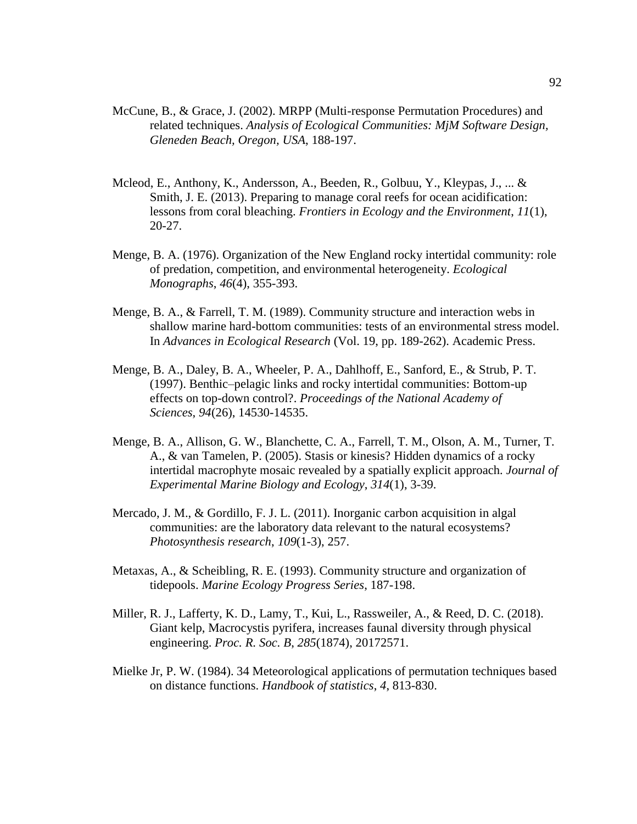- McCune, B., & Grace, J. (2002). MRPP (Multi-response Permutation Procedures) and related techniques. *Analysis of Ecological Communities: MjM Software Design, Gleneden Beach, Oregon, USA*, 188-197.
- Mcleod, E., Anthony, K., Andersson, A., Beeden, R., Golbuu, Y., Kleypas, J., ... & Smith, J. E. (2013). Preparing to manage coral reefs for ocean acidification: lessons from coral bleaching. *Frontiers in Ecology and the Environment*, *11*(1), 20-27.
- Menge, B. A. (1976). Organization of the New England rocky intertidal community: role of predation, competition, and environmental heterogeneity. *Ecological Monographs*, *46*(4), 355-393.
- Menge, B. A., & Farrell, T. M. (1989). Community structure and interaction webs in shallow marine hard-bottom communities: tests of an environmental stress model. In *Advances in Ecological Research* (Vol. 19, pp. 189-262). Academic Press.
- Menge, B. A., Daley, B. A., Wheeler, P. A., Dahlhoff, E., Sanford, E., & Strub, P. T. (1997). Benthic–pelagic links and rocky intertidal communities: Bottom-up effects on top-down control?. *Proceedings of the National Academy of Sciences*, *94*(26), 14530-14535.
- Menge, B. A., Allison, G. W., Blanchette, C. A., Farrell, T. M., Olson, A. M., Turner, T. A., & van Tamelen, P. (2005). Stasis or kinesis? Hidden dynamics of a rocky intertidal macrophyte mosaic revealed by a spatially explicit approach. *Journal of Experimental Marine Biology and Ecology*, *314*(1), 3-39.
- Mercado, J. M., & Gordillo, F. J. L. (2011). Inorganic carbon acquisition in algal communities: are the laboratory data relevant to the natural ecosystems? *Photosynthesis research*, *109*(1-3), 257.
- Metaxas, A., & Scheibling, R. E. (1993). Community structure and organization of tidepools. *Marine Ecology Progress Series*, 187-198.
- Miller, R. J., Lafferty, K. D., Lamy, T., Kui, L., Rassweiler, A., & Reed, D. C. (2018). Giant kelp, Macrocystis pyrifera, increases faunal diversity through physical engineering. *Proc. R. Soc. B*, *285*(1874), 20172571.
- Mielke Jr, P. W. (1984). 34 Meteorological applications of permutation techniques based on distance functions. *Handbook of statistics*, *4*, 813-830.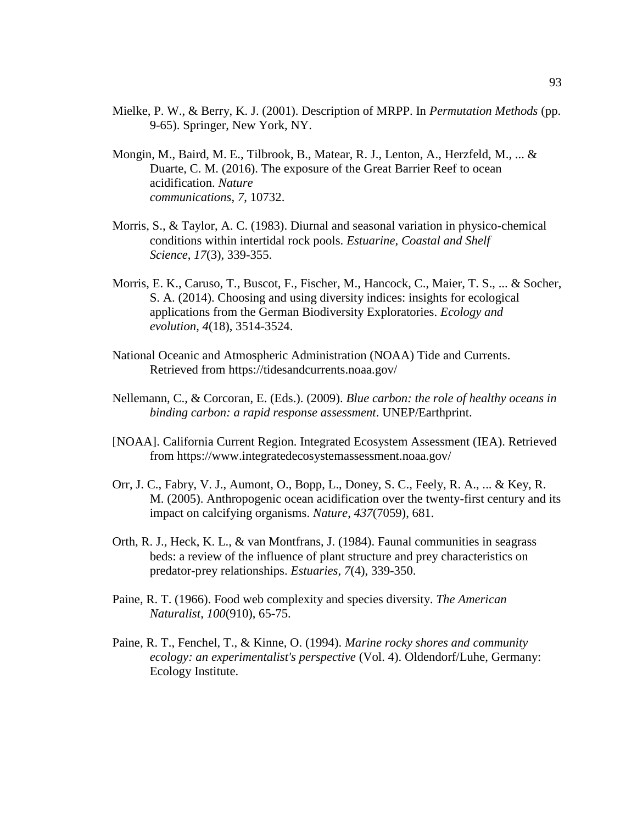- Mielke, P. W., & Berry, K. J. (2001). Description of MRPP. In *Permutation Methods* (pp. 9-65). Springer, New York, NY.
- Mongin, M., Baird, M. E., Tilbrook, B., Matear, R. J., Lenton, A., Herzfeld, M., ... & Duarte, C. M. (2016). The exposure of the Great Barrier Reef to ocean acidification. *Nature communications*, *7*, 10732.
- Morris, S., & Taylor, A. C. (1983). Diurnal and seasonal variation in physico-chemical conditions within intertidal rock pools. *Estuarine, Coastal and Shelf Science*, *17*(3), 339-355.
- Morris, E. K., Caruso, T., Buscot, F., Fischer, M., Hancock, C., Maier, T. S., ... & Socher, S. A. (2014). Choosing and using diversity indices: insights for ecological applications from the German Biodiversity Exploratories. *Ecology and evolution*, *4*(18), 3514-3524.
- National Oceanic and Atmospheric Administration (NOAA) Tide and Currents. Retrieved from<https://tidesandcurrents.noaa.gov/>
- Nellemann, C., & Corcoran, E. (Eds.). (2009). *Blue carbon: the role of healthy oceans in binding carbon: a rapid response assessment*. UNEP/Earthprint.
- [NOAA]. California Current Region. Integrated Ecosystem Assessment (IEA). Retrieved from https://www.integratedecosystemassessment.noaa.gov/
- Orr, J. C., Fabry, V. J., Aumont, O., Bopp, L., Doney, S. C., Feely, R. A., ... & Key, R. M. (2005). Anthropogenic ocean acidification over the twenty-first century and its impact on calcifying organisms. *Nature*, *437*(7059), 681.
- Orth, R. J., Heck, K. L., & van Montfrans, J. (1984). Faunal communities in seagrass beds: a review of the influence of plant structure and prey characteristics on predator-prey relationships. *Estuaries*, *7*(4), 339-350.
- Paine, R. T. (1966). Food web complexity and species diversity. *The American Naturalist*, *100*(910), 65-75.
- Paine, R. T., Fenchel, T., & Kinne, O. (1994). *Marine rocky shores and community ecology: an experimentalist's perspective* (Vol. 4). Oldendorf/Luhe, Germany: Ecology Institute.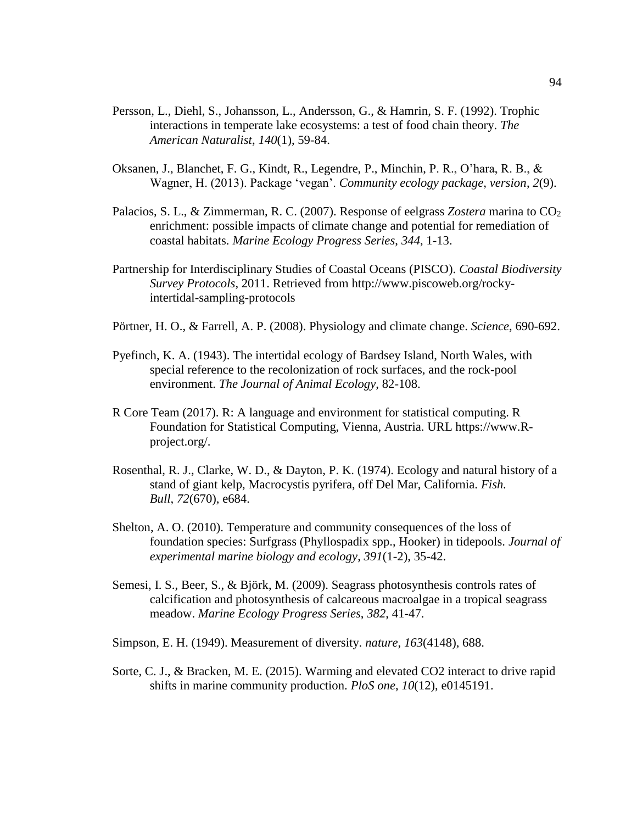- Persson, L., Diehl, S., Johansson, L., Andersson, G., & Hamrin, S. F. (1992). Trophic interactions in temperate lake ecosystems: a test of food chain theory. *The American Naturalist*, *140*(1), 59-84.
- Oksanen, J., Blanchet, F. G., Kindt, R., Legendre, P., Minchin, P. R., O'hara, R. B., & Wagner, H. (2013). Package 'vegan'. *Community ecology package, version*, *2*(9).
- Palacios, S. L., & Zimmerman, R. C. (2007). Response of eelgrass *Zostera* marina to CO<sub>2</sub> enrichment: possible impacts of climate change and potential for remediation of coastal habitats. *Marine Ecology Progress Series*, *344*, 1-13.
- Partnership for Interdisciplinary Studies of Coastal Oceans (PISCO). *Coastal Biodiversity Survey Protocols*, 2011. Retrieved from [http://www.piscoweb.org/rocky](http://www.piscoweb.org/rocky-%09intertidal-sampling-)[intertidal-sampling-p](http://www.piscoweb.org/rocky-%09intertidal-sampling-)rotocols
- Pörtner, H. O., & Farrell, A. P. (2008). Physiology and climate change. *Science*, 690-692.
- Pyefinch, K. A. (1943). The intertidal ecology of Bardsey Island, North Wales, with special reference to the recolonization of rock surfaces, and the rock-pool environment. *The Journal of Animal Ecology*, 82-108.
- R Core Team (2017). R: A language and environment for statistical computing. R Foundation for Statistical Computing, Vienna, Austria. URL [https://www.R](https://www.r-/)project.org/.
- Rosenthal, R. J., Clarke, W. D., & Dayton, P. K. (1974). Ecology and natural history of a stand of giant kelp, Macrocystis pyrifera, off Del Mar, California. *Fish. Bull*, *72*(670), e684.
- Shelton, A. O. (2010). Temperature and community consequences of the loss of foundation species: Surfgrass (Phyllospadix spp., Hooker) in tidepools. *Journal of experimental marine biology and ecology*, *391*(1-2), 35-42.
- Semesi, I. S., Beer, S., & Björk, M. (2009). Seagrass photosynthesis controls rates of calcification and photosynthesis of calcareous macroalgae in a tropical seagrass meadow. *Marine Ecology Progress Series*, *382*, 41-47.
- Simpson, E. H. (1949). Measurement of diversity. *nature*, *163*(4148), 688.
- Sorte, C. J., & Bracken, M. E. (2015). Warming and elevated CO2 interact to drive rapid shifts in marine community production. *PloS one*, *10*(12), e0145191.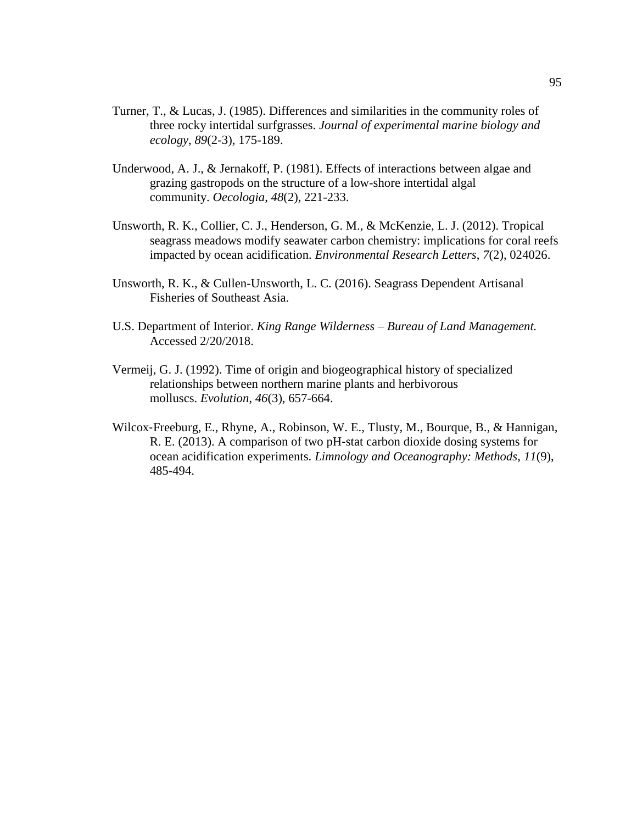- Turner, T., & Lucas, J. (1985). Differences and similarities in the community roles of three rocky intertidal surfgrasses. *Journal of experimental marine biology and ecology*, *89*(2-3), 175-189.
- Underwood, A. J., & Jernakoff, P. (1981). Effects of interactions between algae and grazing gastropods on the structure of a low-shore intertidal algal community. *Oecologia*, *48*(2), 221-233.
- Unsworth, R. K., Collier, C. J., Henderson, G. M., & McKenzie, L. J. (2012). Tropical seagrass meadows modify seawater carbon chemistry: implications for coral reefs impacted by ocean acidification. *Environmental Research Letters*, *7*(2), 024026.
- Unsworth, R. K., & Cullen-Unsworth, L. C. (2016). Seagrass Dependent Artisanal Fisheries of Southeast Asia.
- U.S. Department of Interior. *King Range Wilderness – Bureau of Land Management.*  Accessed 2/20/2018.
- Vermeij, G. J. (1992). Time of origin and biogeographical history of specialized relationships between northern marine plants and herbivorous molluscs. *Evolution*, *46*(3), 657-664.
- Wilcox‐Freeburg, E., Rhyne, A., Robinson, W. E., Tlusty, M., Bourque, B., & Hannigan, R. E. (2013). A comparison of two pH‐stat carbon dioxide dosing systems for ocean acidification experiments. *Limnology and Oceanography: Methods*, *11*(9), 485-494.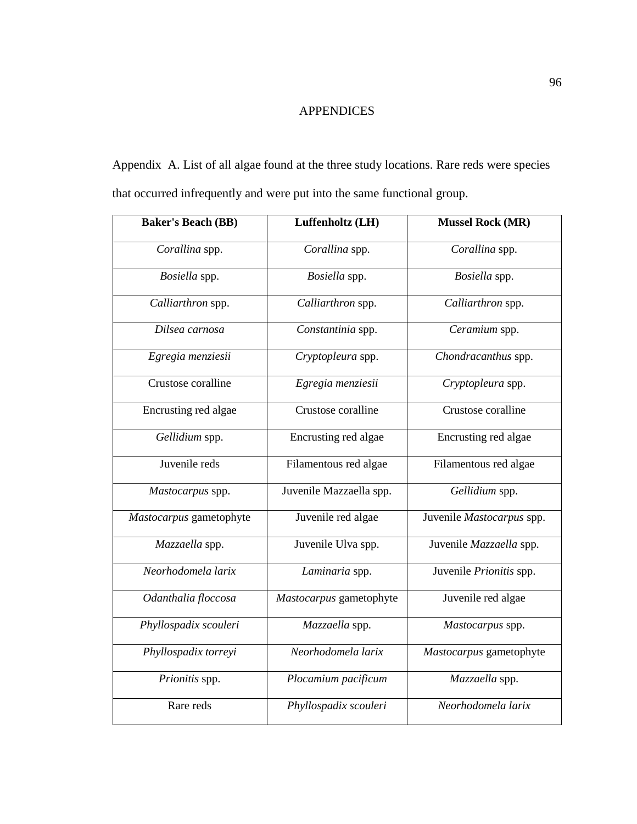## APPENDICES

Appendix A. List of all algae found at the three study locations. Rare reds were species that occurred infrequently and were put into the same functional group.

| <b>Baker's Beach (BB)</b> | Luffenholtz (LH)        | <b>Mussel Rock (MR)</b>   |  |  |  |  |  |
|---------------------------|-------------------------|---------------------------|--|--|--|--|--|
| Corallina spp.            | Corallina spp.          | Corallina spp.            |  |  |  |  |  |
| Bosiella spp.             | Bosiella spp.           | Bosiella spp.             |  |  |  |  |  |
| Calliarthron spp.         | Calliarthron spp.       | Calliarthron spp.         |  |  |  |  |  |
| Dilsea carnosa            | Constantinia spp.       | Ceramium spp.             |  |  |  |  |  |
| Egregia menziesii         | Cryptopleura spp.       | Chondracanthus spp.       |  |  |  |  |  |
| Crustose coralline        | Egregia menziesii       | Cryptopleura spp.         |  |  |  |  |  |
| Encrusting red algae      | Crustose coralline      | Crustose coralline        |  |  |  |  |  |
| Gellidium spp.            | Encrusting red algae    | Encrusting red algae      |  |  |  |  |  |
| Juvenile reds             | Filamentous red algae   | Filamentous red algae     |  |  |  |  |  |
| Mastocarpus spp.          | Juvenile Mazzaella spp. | Gellidium spp.            |  |  |  |  |  |
| Mastocarpus gametophyte   | Juvenile red algae      | Juvenile Mastocarpus spp. |  |  |  |  |  |
| Mazzaella spp.            | Juvenile Ulva spp.      | Juvenile Mazzaella spp.   |  |  |  |  |  |
| Neorhodomela larix        | Laminaria spp.          | Juvenile Prionitis spp.   |  |  |  |  |  |
| Odanthalia floccosa       | Mastocarpus gametophyte | Juvenile red algae        |  |  |  |  |  |
| Phyllospadix scouleri     | Mazzaella spp.          | Mastocarpus spp.          |  |  |  |  |  |
| Phyllospadix torreyi      | Neorhodomela larix      | Mastocarpus gametophyte   |  |  |  |  |  |
| Prionitis spp.            | Plocamium pacificum     | Mazzaella spp.            |  |  |  |  |  |
| Rare reds                 | Phyllospadix scouleri   | Neorhodomela larix        |  |  |  |  |  |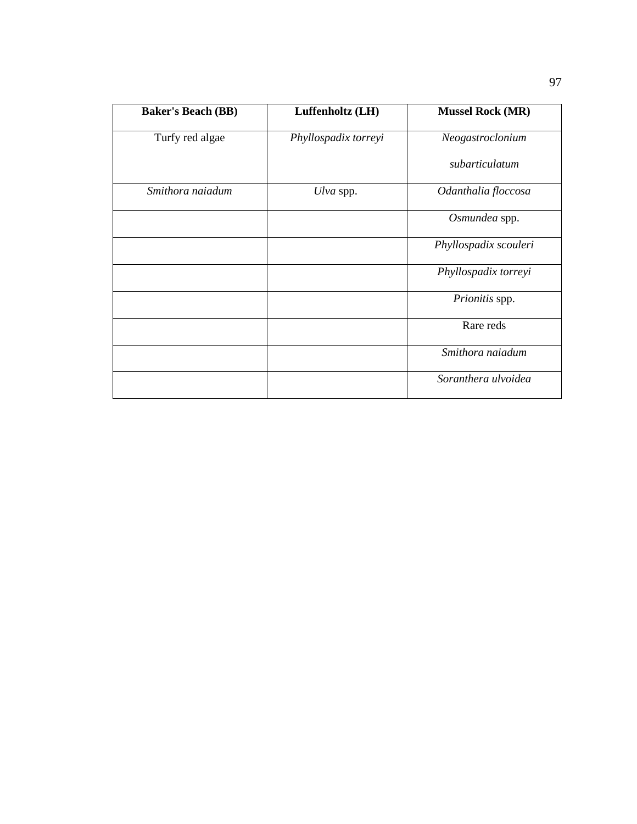| <b>Baker's Beach (BB)</b> | Luffenholtz (LH)     | <b>Mussel Rock (MR)</b> |  |  |  |  |
|---------------------------|----------------------|-------------------------|--|--|--|--|
| Turfy red algae           | Phyllospadix torreyi | Neogastroclonium        |  |  |  |  |
|                           |                      | subarticulatum          |  |  |  |  |
| Smithora najadum          | Ulva spp.            | Odanthalia floccosa     |  |  |  |  |
|                           |                      | Osmundea spp.           |  |  |  |  |
|                           |                      | Phyllospadix scouleri   |  |  |  |  |
|                           |                      | Phyllospadix torreyi    |  |  |  |  |
|                           |                      | Prionitis spp.          |  |  |  |  |
|                           |                      | Rare reds               |  |  |  |  |
|                           |                      | Smithora naiadum        |  |  |  |  |
|                           |                      | Soranthera ulvoidea     |  |  |  |  |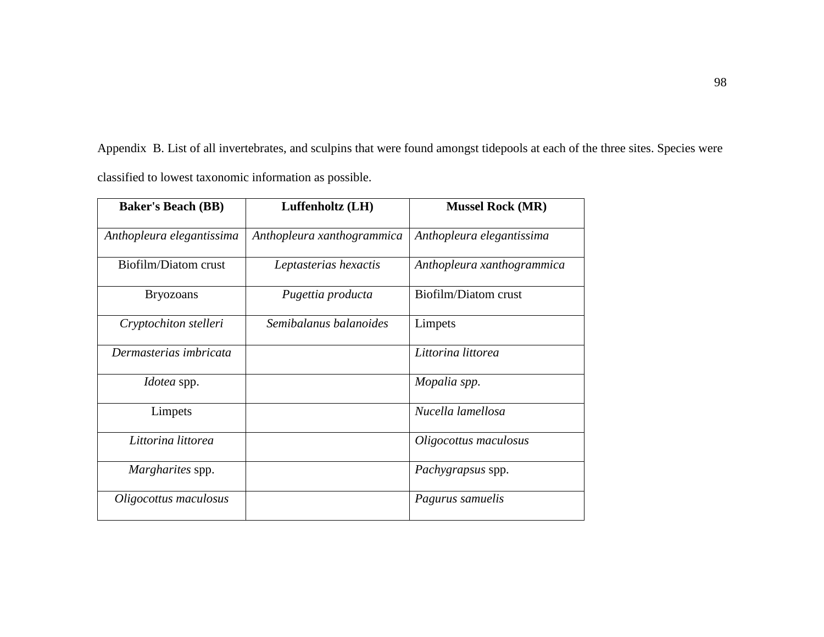Appendix B. List of all invertebrates, and sculpins that were found amongst tidepools at each of the three sites. Species were classified to lowest taxonomic information as possible.

| <b>Baker's Beach (BB)</b> | Luffenholtz (LH)           | <b>Mussel Rock (MR)</b>    |
|---------------------------|----------------------------|----------------------------|
| Anthopleura elegantissima | Anthopleura xanthogrammica | Anthopleura elegantissima  |
| Biofilm/Diatom crust      | Leptasterias hexactis      | Anthopleura xanthogrammica |
| <b>Bryozoans</b>          | Pugettia producta          | Biofilm/Diatom crust       |
| Cryptochiton stelleri     | Semibalanus balanoides     | Limpets                    |
| Dermasterias imbricata    |                            | Littorina littorea         |
| <i>Idotea</i> spp.        |                            | Mopalia spp.               |
| Limpets                   |                            | Nucella lamellosa          |
| Littorina littorea        |                            | Oligocottus maculosus      |
| Margharites spp.          |                            | Pachygrapsus spp.          |
| Oligocottus maculosus     |                            | Pagurus samuelis           |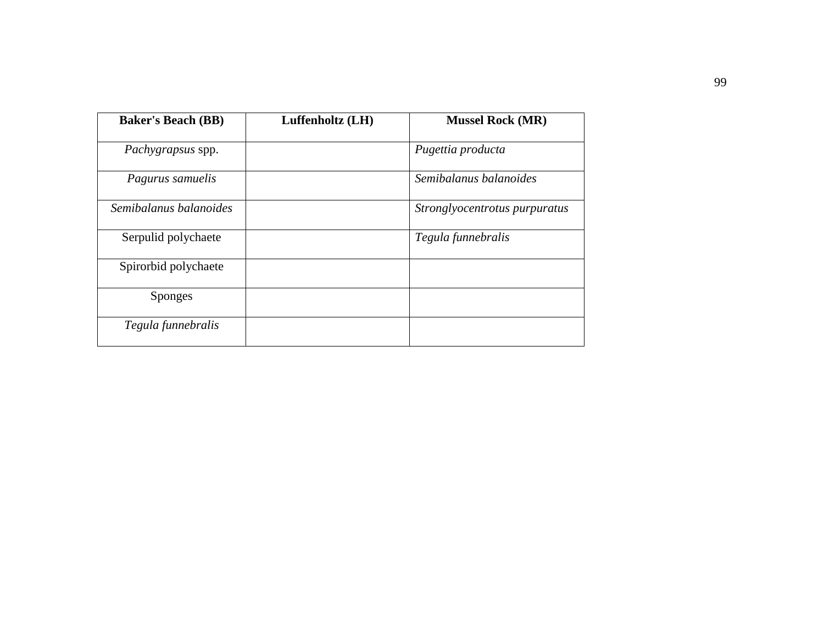| <b>Baker's Beach (BB)</b> | Luffenholtz (LH) | <b>Mussel Rock (MR)</b>       |
|---------------------------|------------------|-------------------------------|
| <i>Pachygrapsus</i> spp.  |                  | Pugettia producta             |
| Pagurus samuelis          |                  | Semibalanus balanoides        |
| Semibalanus balanoides    |                  | Stronglyocentrotus purpuratus |
| Serpulid polychaete       |                  | Tegula funnebralis            |
| Spirorbid polychaete      |                  |                               |
| <b>Sponges</b>            |                  |                               |
| Tegula funnebralis        |                  |                               |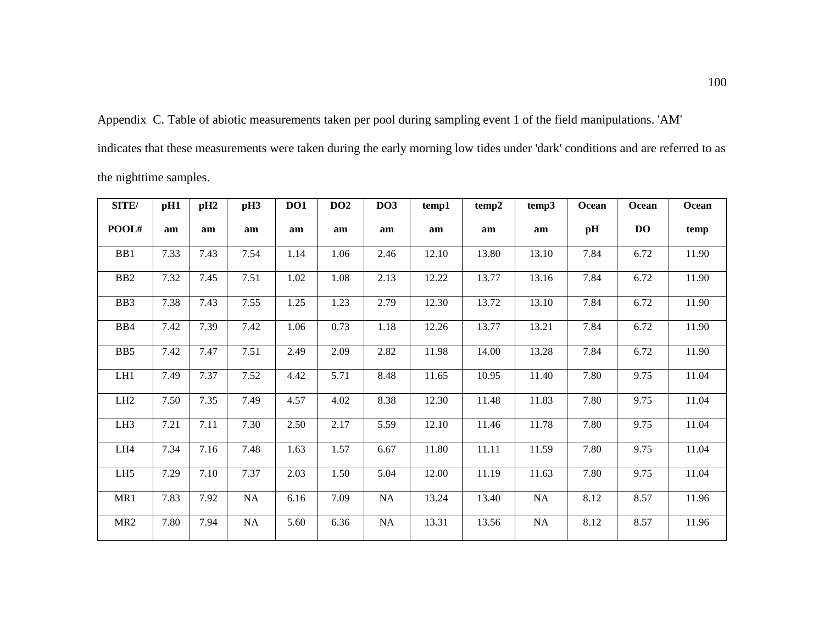Appendix C. Table of abiotic measurements taken per pool during sampling event 1 of the field manipulations. 'AM' indicates that these measurements were taken during the early morning low tides under 'dark' conditions and are referred to as the nighttime samples.

| SITE/           | pH1  | pH <sub>2</sub> | pH3      | DO1  | DO2  | DO3       | temp1 | temp2 | temp3    | Ocean | Ocean     | Ocean |
|-----------------|------|-----------------|----------|------|------|-----------|-------|-------|----------|-------|-----------|-------|
| POOL#           | am   | am              | am       | am   | am   | am        | am    | am    | am       | pН    | <b>DO</b> | temp  |
| B <sub>B1</sub> | 7.33 | 7.43            | 7.54     | 1.14 | 1.06 | 2.46      | 12.10 | 13.80 | 13.10    | 7.84  | 6.72      | 11.90 |
| B <sub>B2</sub> | 7.32 | 7.45            | 7.51     | 1.02 | 1.08 | 2.13      | 12.22 | 13.77 | 13.16    | 7.84  | 6.72      | 11.90 |
| BB3             | 7.38 | 7.43            | 7.55     | 1.25 | 1.23 | 2.79      | 12.30 | 13.72 | 13.10    | 7.84  | 6.72      | 11.90 |
| BB4             | 7.42 | 7.39            | 7.42     | 1.06 | 0.73 | 1.18      | 12.26 | 13.77 | 13.21    | 7.84  | 6.72      | 11.90 |
| B <sub>B5</sub> | 7.42 | 7.47            | 7.51     | 2.49 | 2.09 | 2.82      | 11.98 | 14.00 | 13.28    | 7.84  | 6.72      | 11.90 |
| LH1             | 7.49 | 7.37            | 7.52     | 4.42 | 5.71 | 8.48      | 11.65 | 10.95 | 11.40    | 7.80  | 9.75      | 11.04 |
| LH2             | 7.50 | 7.35            | 7.49     | 4.57 | 4.02 | 8.38      | 12.30 | 11.48 | 11.83    | 7.80  | 9.75      | 11.04 |
| LH <sub>3</sub> | 7.21 | 7.11            | 7.30     | 2.50 | 2.17 | 5.59      | 12.10 | 11.46 | 11.78    | 7.80  | 9.75      | 11.04 |
| LH4             | 7.34 | 7.16            | 7.48     | 1.63 | 1.57 | 6.67      | 11.80 | 11.11 | 11.59    | 7.80  | 9.75      | 11.04 |
| LH <sub>5</sub> | 7.29 | 7.10            | 7.37     | 2.03 | 1.50 | 5.04      | 12.00 | 11.19 | 11.63    | 7.80  | 9.75      | 11.04 |
| MR1             | 7.83 | 7.92            | NA       | 6.16 | 7.09 | <b>NA</b> | 13.24 | 13.40 | NA       | 8.12  | 8.57      | 11.96 |
| MR <sub>2</sub> | 7.80 | 7.94            | $\rm NA$ | 5.60 | 6.36 | NA        | 13.31 | 13.56 | $\rm NA$ | 8.12  | 8.57      | 11.96 |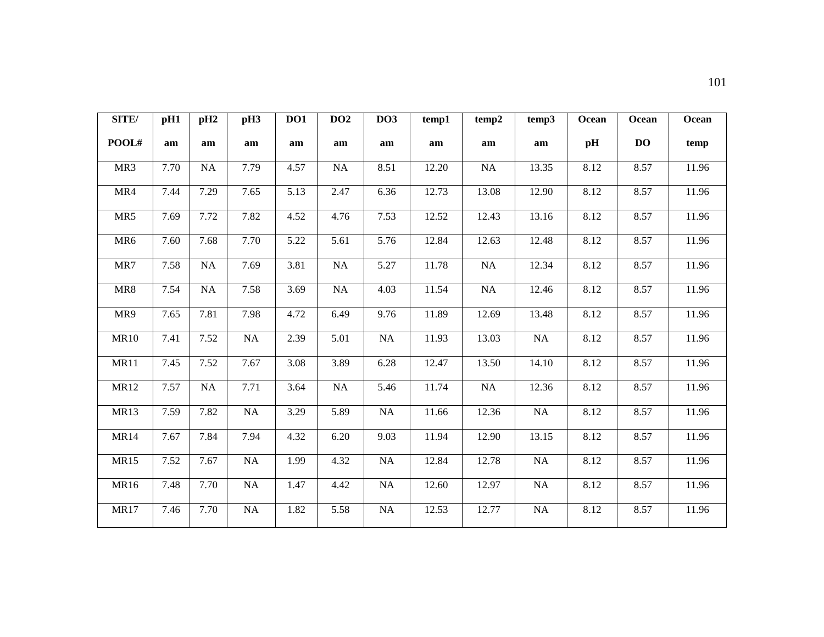| SITE/           | pH1  | pH <sub>2</sub> | pH <sub>3</sub> | <b>DO1</b> | DO2       | DO3       | temp1 | temp2     | temp3     | Ocean | Ocean          | Ocean |
|-----------------|------|-----------------|-----------------|------------|-----------|-----------|-------|-----------|-----------|-------|----------------|-------|
| POOL#           | am   | am              | am              | am         | am        | am        | am    | am        | am        | pH    | D <sub>O</sub> | temp  |
| MR3             | 7.70 | <b>NA</b>       | 7.79            | 4.57       | <b>NA</b> | 8.51      | 12.20 | <b>NA</b> | 13.35     | 8.12  | 8.57           | 11.96 |
| MR4             | 7.44 | 7.29            | 7.65            | 5.13       | 2.47      | 6.36      | 12.73 | 13.08     | 12.90     | 8.12  | 8.57           | 11.96 |
| MR5             | 7.69 | 7.72            | 7.82            | 4.52       | 4.76      | 7.53      | 12.52 | 12.43     | 13.16     | 8.12  | 8.57           | 11.96 |
| MR <sub>6</sub> | 7.60 | 7.68            | 7.70            | 5.22       | 5.61      | 5.76      | 12.84 | 12.63     | 12.48     | 8.12  | 8.57           | 11.96 |
| MR7             | 7.58 | NA              | 7.69            | 3.81       | NA        | 5.27      | 11.78 | NA        | 12.34     | 8.12  | 8.57           | 11.96 |
| MR8             | 7.54 | <b>NA</b>       | 7.58            | 3.69       | <b>NA</b> | 4.03      | 11.54 | <b>NA</b> | 12.46     | 8.12  | 8.57           | 11.96 |
| MR9             | 7.65 | 7.81            | 7.98            | 4.72       | 6.49      | 9.76      | 11.89 | 12.69     | 13.48     | 8.12  | 8.57           | 11.96 |
| <b>MR10</b>     | 7.41 | 7.52            | NA              | 2.39       | 5.01      | <b>NA</b> | 11.93 | 13.03     | <b>NA</b> | 8.12  | 8.57           | 11.96 |
| <b>MR11</b>     | 7.45 | 7.52            | 7.67            | 3.08       | 3.89      | 6.28      | 12.47 | 13.50     | 14.10     | 8.12  | 8.57           | 11.96 |
| <b>MR12</b>     | 7.57 | <b>NA</b>       | 7.71            | 3.64       | NA        | 5.46      | 11.74 | <b>NA</b> | 12.36     | 8.12  | 8.57           | 11.96 |
| <b>MR13</b>     | 7.59 | 7.82            | NA              | 3.29       | 5.89      | NA        | 11.66 | 12.36     | NA        | 8.12  | 8.57           | 11.96 |
| <b>MR14</b>     | 7.67 | 7.84            | 7.94            | 4.32       | 6.20      | 9.03      | 11.94 | 12.90     | 13.15     | 8.12  | 8.57           | 11.96 |
| <b>MR15</b>     | 7.52 | 7.67            | NA              | 1.99       | 4.32      | NA        | 12.84 | 12.78     | <b>NA</b> | 8.12  | 8.57           | 11.96 |
| MR16            | 7.48 | 7.70            | $\rm NA$        | 1.47       | 4.42      | <b>NA</b> | 12.60 | 12.97     | NA        | 8.12  | 8.57           | 11.96 |
| <b>MR17</b>     | 7.46 | 7.70            | NA              | 1.82       | 5.58      | NA        | 12.53 | 12.77     | <b>NA</b> | 8.12  | 8.57           | 11.96 |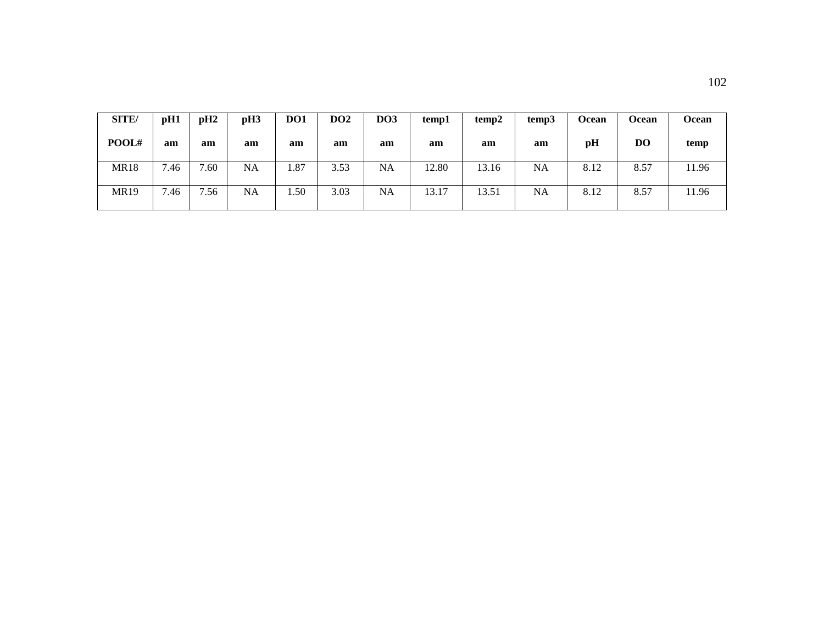| SITE/       | pH1  | pH2  | pH3 | DO1       | DO <sub>2</sub> | <b>DO3</b> | temp1 | temp2 | temp3     | <b>Ocean</b> | Ocean | <b>Ocean</b> |
|-------------|------|------|-----|-----------|-----------------|------------|-------|-------|-----------|--------------|-------|--------------|
| POOL#       | am   | am   | am  | am        | am              | am         | am    | am    | am        | pH           | DO    | temp         |
| <b>MR18</b> | 7.46 | 7.60 | NA  | 1.87      | 3.53            | NA         | 12.80 | 13.16 | <b>NA</b> | 8.12         | 8.57  | 11.96        |
| <b>MR19</b> | 7.46 | 7.56 | NA  | $.50^{-}$ | 3.03            | NA         | 13.17 | 13.51 | NA        | 8.12         | 8.57  | 11.96        |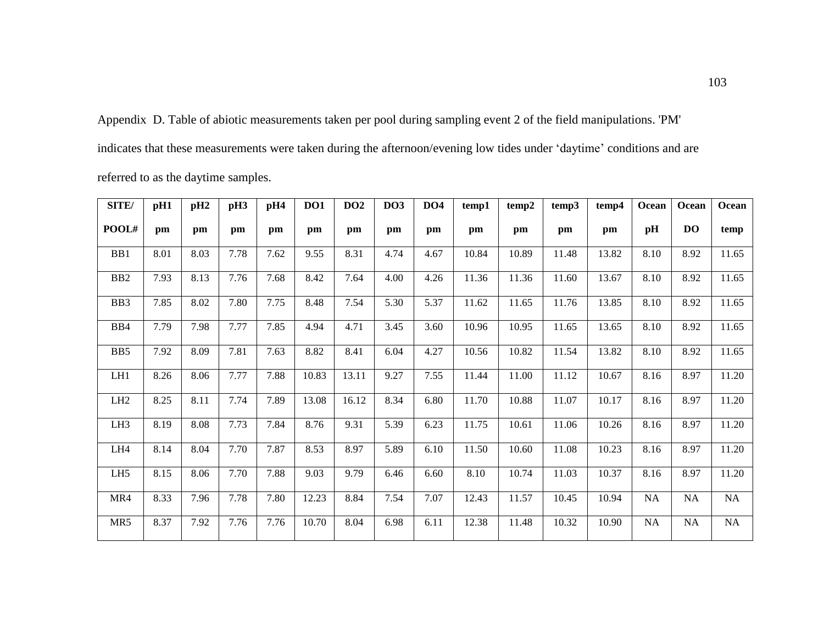Appendix D. Table of abiotic measurements taken per pool during sampling event 2 of the field manipulations. 'PM' indicates that these measurements were taken during the afternoon/evening low tides under 'daytime' conditions and are referred to as the daytime samples.

| SITE/            | pH1  | pH <sub>2</sub> | pH <sub>3</sub> | pH4  | DO1   | DO2   | DO <sub>3</sub> | DO4  | temp1 | temp2 | temp3 | temp4 | Ocean     | Ocean          | Ocean    |
|------------------|------|-----------------|-----------------|------|-------|-------|-----------------|------|-------|-------|-------|-------|-----------|----------------|----------|
| POOL#            | pm   | pm              | pm              | pm   | pm    | pm    | pm              | pm   | pm    | pm    | pm    | pm    | pH        | D <sub>O</sub> | temp     |
| BB1              | 8.01 | 8.03            | 7.78            | 7.62 | 9.55  | 8.31  | 4.74            | 4.67 | 10.84 | 10.89 | 11.48 | 13.82 | 8.10      | 8.92           | 11.65    |
| B <sub>B2</sub>  | 7.93 | 8.13            | 7.76            | 7.68 | 8.42  | 7.64  | 4.00            | 4.26 | 11.36 | 11.36 | 11.60 | 13.67 | 8.10      | 8.92           | 11.65    |
| B <sub>B</sub> 3 | 7.85 | 8.02            | 7.80            | 7.75 | 8.48  | 7.54  | 5.30            | 5.37 | 11.62 | 11.65 | 11.76 | 13.85 | 8.10      | 8.92           | 11.65    |
| B <sub>B4</sub>  | 7.79 | 7.98            | 7.77            | 7.85 | 4.94  | 4.71  | 3.45            | 3.60 | 10.96 | 10.95 | 11.65 | 13.65 | 8.10      | 8.92           | 11.65    |
| B <sub>B5</sub>  | 7.92 | 8.09            | 7.81            | 7.63 | 8.82  | 8.41  | 6.04            | 4.27 | 10.56 | 10.82 | 11.54 | 13.82 | 8.10      | 8.92           | 11.65    |
| LH1              | 8.26 | 8.06            | 7.77            | 7.88 | 10.83 | 13.11 | 9.27            | 7.55 | 11.44 | 11.00 | 11.12 | 10.67 | 8.16      | 8.97           | 11.20    |
| LH <sub>2</sub>  | 8.25 | 8.11            | 7.74            | 7.89 | 13.08 | 16.12 | 8.34            | 6.80 | 11.70 | 10.88 | 11.07 | 10.17 | 8.16      | 8.97           | 11.20    |
| LH <sub>3</sub>  | 8.19 | 8.08            | 7.73            | 7.84 | 8.76  | 9.31  | 5.39            | 6.23 | 11.75 | 10.61 | 11.06 | 10.26 | 8.16      | 8.97           | 11.20    |
| LH4              | 8.14 | 8.04            | 7.70            | 7.87 | 8.53  | 8.97  | 5.89            | 6.10 | 11.50 | 10.60 | 11.08 | 10.23 | 8.16      | 8.97           | 11.20    |
| LH <sub>5</sub>  | 8.15 | 8.06            | 7.70            | 7.88 | 9.03  | 9.79  | 6.46            | 6.60 | 8.10  | 10.74 | 11.03 | 10.37 | 8.16      | 8.97           | 11.20    |
| MR4              | 8.33 | 7.96            | 7.78            | 7.80 | 12.23 | 8.84  | 7.54            | 7.07 | 12.43 | 11.57 | 10.45 | 10.94 | <b>NA</b> | NA             | NA       |
| MR5              | 8.37 | 7.92            | 7.76            | 7.76 | 10.70 | 8.04  | 6.98            | 6.11 | 12.38 | 11.48 | 10.32 | 10.90 | NA        | $\rm NA$       | $\rm NA$ |